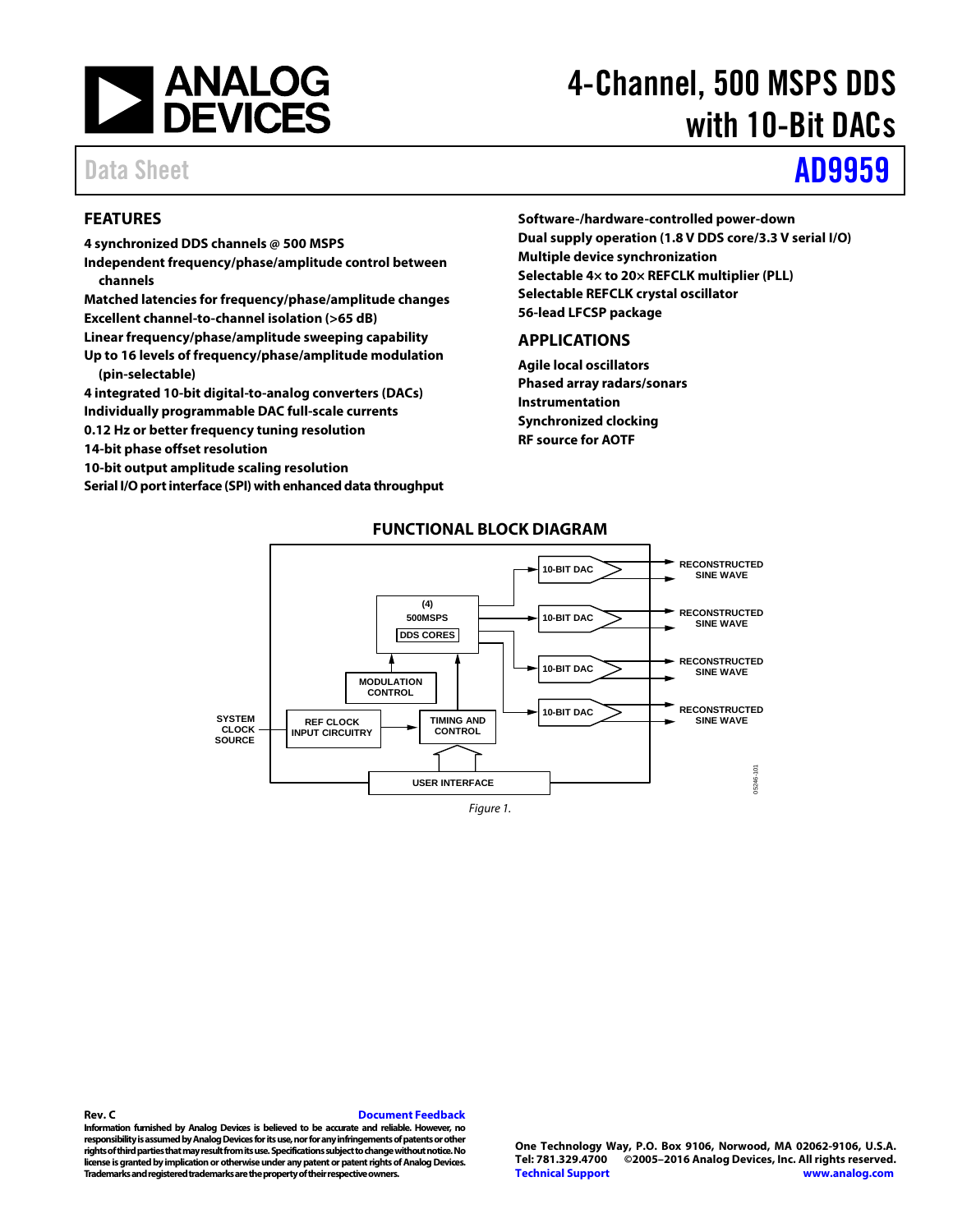<span id="page-0-0"></span>

# 4-Channel, 500 MSPS DDS with 10-Bit DACs

# Data Sheet **[AD9959](http://www.analog.com/AD9959?doc=AD9959.pdf)**

# **FEATURES**

- **4 synchronized DDS channels @ 500 MSPS**
- **Independent frequency/phase/amplitude control between channels**
- **Matched latencies for frequency/phase/amplitude changes Excellent channel-to-channel isolation (>65 dB)**
- **Linear frequency/phase/amplitude sweeping capability**
- **Up to 16 levels of frequency/phase/amplitude modulation (pin-selectable)**
- **4 integrated 10-bit digital-to-analog converters (DACs)**
- **Individually programmable DAC full-scale currents**
- **0.12 Hz or better frequency tuning resolution**
- **14-bit phase offset resolution**
- **10-bit output amplitude scaling resolution**
- **Serial I/O port interface (SPI) with enhanced data throughput**

**Software-/hardware-controlled power-down Dual supply operation (1.8 V DDS core/3.3 V serial I/O) Multiple device synchronization Selectable 4× to 20× REFCLK multiplier (PLL) Selectable REFCLK crystal oscillator 56-lead LFCSP package**

## **APPLICATIONS**

**Agile local oscillators Phased array radars/sonars Instrumentation Synchronized clocking RF source for AOTF**



# **FUNCTIONAL BLOCK DIAGRAM**

*Figure 1.* 

**Information furnished by Analog Devices is believed to be accurate and reliable. However, no responsibility is assumed by Analog Devices for its use, nor for any infringements of patents or other rights of third parties that may result from its use. Specifications subject to change without notice. No license is granted by implication or otherwise under any patent or patent rights of Analog Devices. Trademarks and registered trademarks are the property of their respective owners.**

**Rev. C [Document Feedback](https://form.analog.com/Form_Pages/feedback/documentfeedback.aspx?doc=AD9959.pdf&product=AD9959&rev=C)**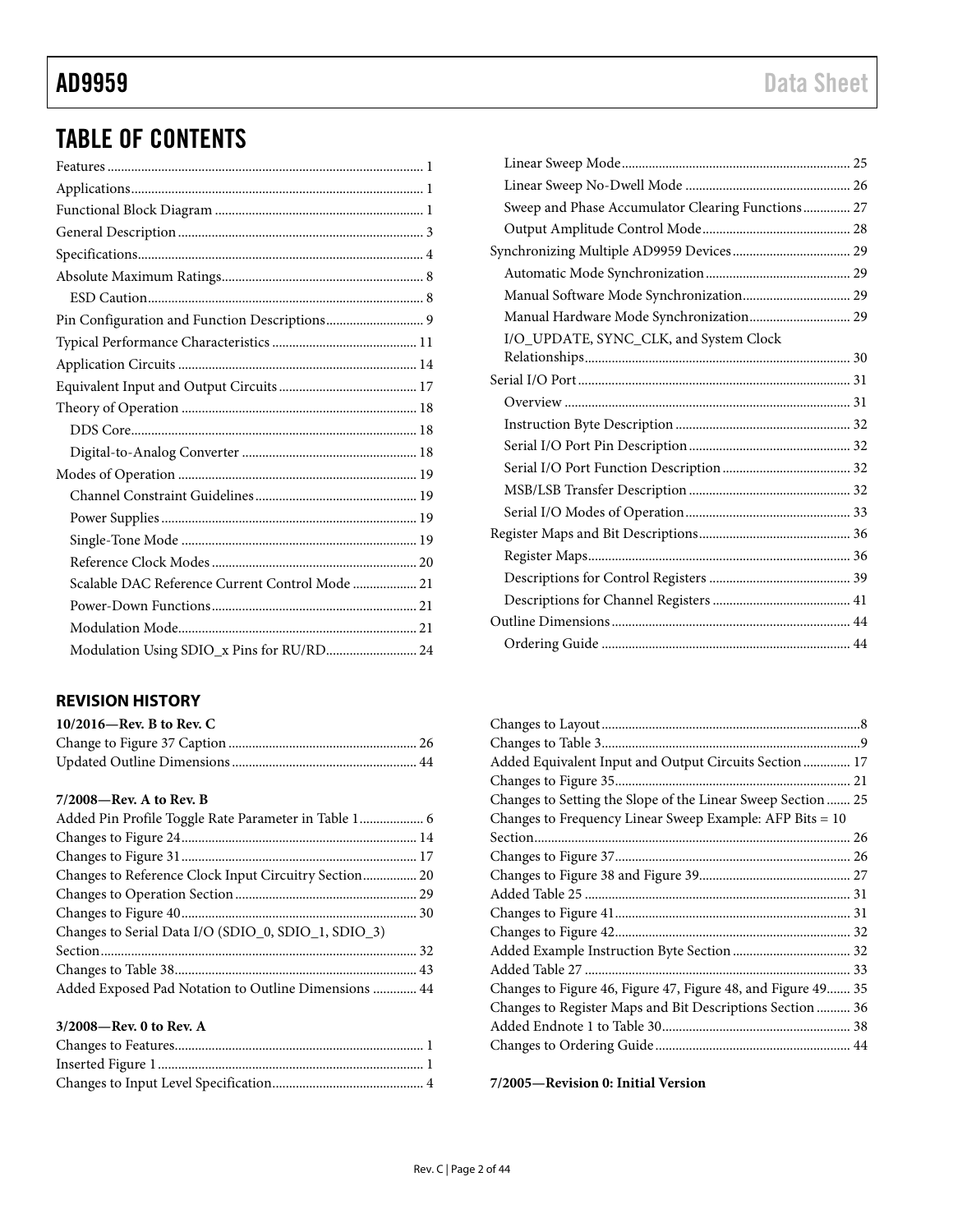# TABLE OF CONTENTS

# **REVISION HISTORY**

| $10/2016$ —Rev. B to Rev. C |  |
|-----------------------------|--|
|                             |  |
|                             |  |

#### **7/2008—Rev. A to Rev. B**

| Added Pin Profile Toggle Rate Parameter in Table 1 6 |  |
|------------------------------------------------------|--|
|                                                      |  |
|                                                      |  |
|                                                      |  |
|                                                      |  |
|                                                      |  |
| Changes to Serial Data I/O (SDIO_0, SDIO_1, SDIO_3)  |  |
|                                                      |  |
|                                                      |  |
| Added Exposed Pad Notation to Outline Dimensions  44 |  |

### **3/2008—Rev. 0 to Rev. A**

| Sweep and Phase Accumulator Clearing Functions 27 |  |
|---------------------------------------------------|--|
|                                                   |  |
|                                                   |  |
|                                                   |  |
| Manual Software Mode Synchronization 29           |  |
| Manual Hardware Mode Synchronization 29           |  |
| I/O_UPDATE, SYNC_CLK, and System Clock            |  |
|                                                   |  |
|                                                   |  |
|                                                   |  |
|                                                   |  |
|                                                   |  |
|                                                   |  |
|                                                   |  |
|                                                   |  |
|                                                   |  |
|                                                   |  |
|                                                   |  |
|                                                   |  |
|                                                   |  |
|                                                   |  |

| Added Equivalent Input and Output Circuits Section  17       |  |
|--------------------------------------------------------------|--|
|                                                              |  |
| Changes to Setting the Slope of the Linear Sweep Section  25 |  |
| Changes to Frequency Linear Sweep Example: AFP Bits = 10     |  |
|                                                              |  |
|                                                              |  |
|                                                              |  |
|                                                              |  |
|                                                              |  |
|                                                              |  |
|                                                              |  |
|                                                              |  |
| Changes to Figure 46, Figure 47, Figure 48, and Figure 49 35 |  |
| Changes to Register Maps and Bit Descriptions Section  36    |  |
|                                                              |  |
|                                                              |  |
|                                                              |  |

**7/2005—Revision 0: Initial Version**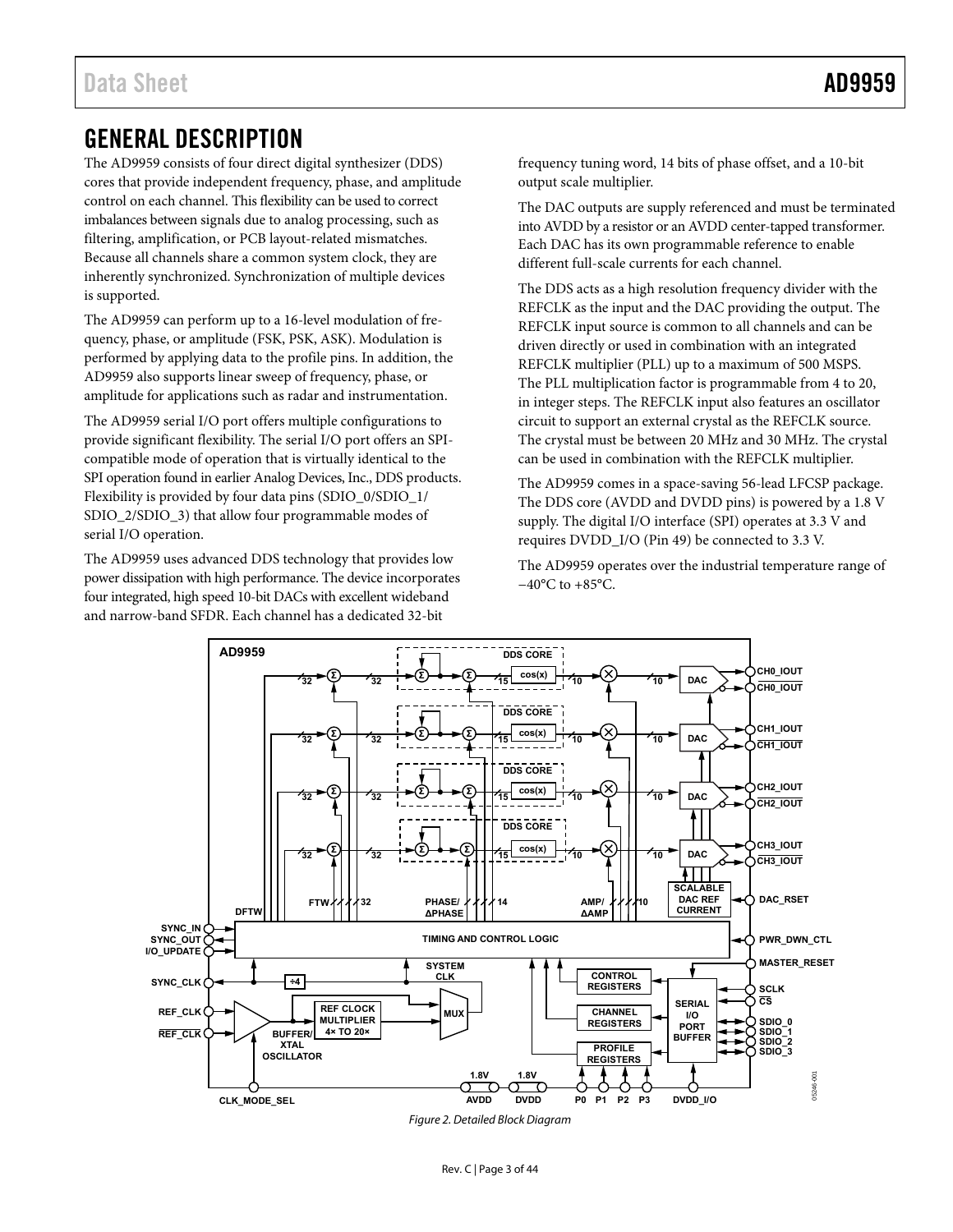# <span id="page-2-0"></span>GENERAL DESCRIPTION

The AD9959 consists of four direct digital synthesizer (DDS) cores that provide independent frequency, phase, and amplitude control on each channel. This flexibility can be used to correct imbalances between signals due to analog processing, such as filtering, amplification, or PCB layout-related mismatches. Because all channels share a common system clock, they are inherently synchronized. Synchronization of multiple devices is supported.

The AD9959 can perform up to a 16-level modulation of frequency, phase, or amplitude (FSK, PSK, ASK). Modulation is performed by applying data to the profile pins. In addition, the AD9959 also supports linear sweep of frequency, phase, or amplitude for applications such as radar and instrumentation.

The AD9959 serial I/O port offers multiple configurations to provide significant flexibility. The serial I/O port offers an SPIcompatible mode of operation that is virtually identical to the SPI operation found in earlier Analog Devices, Inc., DDS products. Flexibility is provided by four data pins (SDIO\_0/SDIO\_1/ SDIO\_2/SDIO\_3) that allow four programmable modes of serial I/O operation.

The AD9959 uses advanced DDS technology that provides low power dissipation with high performance. The device incorporates four integrated, high speed 10-bit DACs with excellent wideband and narrow-band SFDR. Each channel has a dedicated 32-bit

frequency tuning word, 14 bits of phase offset, and a 10-bit output scale multiplier.

The DAC outputs are supply referenced and must be terminated into AVDD by a resistor or an AVDD center-tapped transformer. Each DAC has its own programmable reference to enable different full-scale currents for each channel.

The DDS acts as a high resolution frequency divider with the REFCLK as the input and the DAC providing the output. The REFCLK input source is common to all channels and can be driven directly or used in combination with an integrated REFCLK multiplier (PLL) up to a maximum of 500 MSPS. The PLL multiplication factor is programmable from 4 to 20, in integer steps. The REFCLK input also features an oscillator circuit to support an external crystal as the REFCLK source. The crystal must be between 20 MHz and 30 MHz. The crystal can be used in combination with the REFCLK multiplier.

The AD9959 comes in a space-saving 56-lead LFCSP package. The DDS core (AVDD and DVDD pins) is powered by a 1.8 V supply. The digital I/O interface (SPI) operates at 3.3 V and requires DVDD\_I/O (Pin 49) be connected to 3.3 V.

The AD9959 operates over the industrial temperature range of −40°C to +85°C.



Figure 2. Detailed Block Diagram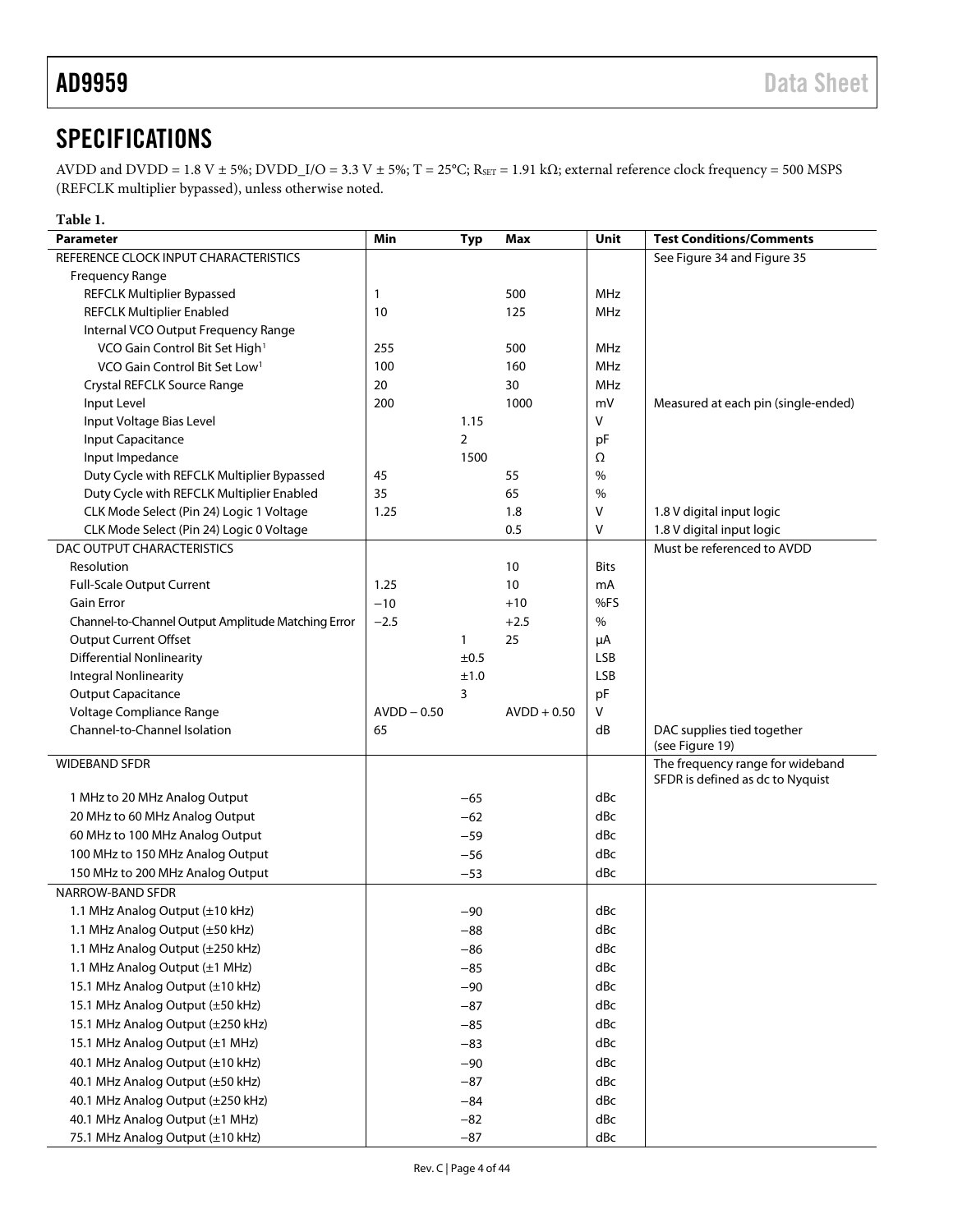# <span id="page-3-0"></span>**SPECIFICATIONS**

AVDD and DVDD = 1.8 V ± 5%; DVDD\_I/O = 3.3 V ± 5%; T = 25°C; R<sub>SET</sub> = 1.91 k $\Omega$ ; external reference clock frequency = 500 MSPS (REFCLK multiplier bypassed), unless otherwise noted.

<span id="page-3-1"></span>

| Table 1.                                           |               |                |               |             |                                     |
|----------------------------------------------------|---------------|----------------|---------------|-------------|-------------------------------------|
| <b>Parameter</b>                                   | Min           | <b>Typ</b>     | Max           | Unit        | <b>Test Conditions/Comments</b>     |
| REFERENCE CLOCK INPUT CHARACTERISTICS              |               |                |               |             | See Figure 34 and Figure 35         |
| Frequency Range                                    |               |                |               |             |                                     |
| <b>REFCLK Multiplier Bypassed</b>                  | $\mathbf{1}$  |                | 500           | <b>MHz</b>  |                                     |
| <b>REFCLK Multiplier Enabled</b>                   | 10            |                | 125           | MHz         |                                     |
| Internal VCO Output Frequency Range                |               |                |               |             |                                     |
| VCO Gain Control Bit Set High <sup>1</sup>         | 255           |                | 500           | <b>MHz</b>  |                                     |
| VCO Gain Control Bit Set Low <sup>1</sup>          | 100           |                | 160           | MHz         |                                     |
| Crystal REFCLK Source Range                        | 20            |                | 30            | <b>MHz</b>  |                                     |
| Input Level                                        | 200           |                | 1000          | mV          | Measured at each pin (single-ended) |
| Input Voltage Bias Level                           |               | 1.15           |               | V           |                                     |
| Input Capacitance                                  |               | $\overline{2}$ |               | pF          |                                     |
| Input Impedance                                    |               | 1500           |               | Ω           |                                     |
| Duty Cycle with REFCLK Multiplier Bypassed         | 45            |                | 55            | $\%$        |                                     |
| Duty Cycle with REFCLK Multiplier Enabled          | 35            |                | 65            | $\%$        |                                     |
| CLK Mode Select (Pin 24) Logic 1 Voltage           | 1.25          |                | 1.8           | V           | 1.8 V digital input logic           |
| CLK Mode Select (Pin 24) Logic 0 Voltage           |               |                | 0.5           | V           | 1.8 V digital input logic           |
| DAC OUTPUT CHARACTERISTICS                         |               |                |               |             | Must be referenced to AVDD          |
| Resolution                                         |               |                | 10            | <b>Bits</b> |                                     |
| <b>Full-Scale Output Current</b>                   | 1.25          |                | 10            | mA          |                                     |
| <b>Gain Error</b>                                  | $-10$         |                | $+10$         | %FS         |                                     |
| Channel-to-Channel Output Amplitude Matching Error | $-2.5$        |                | $+2.5$        | $\%$        |                                     |
| Output Current Offset                              |               | 1              | 25            | μA          |                                     |
| <b>Differential Nonlinearity</b>                   |               | ±0.5           |               | <b>LSB</b>  |                                     |
| <b>Integral Nonlinearity</b>                       |               | ±1.0           |               | <b>LSB</b>  |                                     |
| <b>Output Capacitance</b>                          |               | 3              |               | pF          |                                     |
| Voltage Compliance Range                           | $AVDD - 0.50$ |                | $AVDD + 0.50$ | V           |                                     |
| Channel-to-Channel Isolation                       | 65            |                |               | dB          | DAC supplies tied together          |
|                                                    |               |                |               |             | (see Figure 19)                     |
| <b>WIDEBAND SFDR</b>                               |               |                |               |             | The frequency range for wideband    |
| 1 MHz to 20 MHz Analog Output                      |               | $-65$          |               | dBc         | SFDR is defined as dc to Nyquist    |
| 20 MHz to 60 MHz Analog Output                     |               | $-62$          |               | dBc         |                                     |
| 60 MHz to 100 MHz Analog Output                    |               |                |               | dBc         |                                     |
|                                                    |               | $-59$          |               |             |                                     |
| 100 MHz to 150 MHz Analog Output                   |               | $-56$          |               | dBc         |                                     |
| 150 MHz to 200 MHz Analog Output                   |               | $-53$          |               | dBc         |                                     |
| NARROW-BAND SFDR                                   |               |                |               |             |                                     |
| 1.1 MHz Analog Output (±10 kHz)                    |               | -90            |               | dBc         |                                     |
| 1.1 MHz Analog Output (±50 kHz)                    |               | $-88$          |               | dBc         |                                     |
| 1.1 MHz Analog Output (±250 kHz)                   |               | $-86$          |               | dBc         |                                     |
| 1.1 MHz Analog Output (±1 MHz)                     |               | $-85$          |               | dBc         |                                     |
| 15.1 MHz Analog Output (±10 kHz)                   |               | $-90$          |               | dBc         |                                     |
| 15.1 MHz Analog Output (±50 kHz)                   |               | $-87$          |               | dBc         |                                     |
| 15.1 MHz Analog Output (±250 kHz)                  |               | $-85$          |               | dBc         |                                     |
| 15.1 MHz Analog Output (±1 MHz)                    |               | $-83$          |               | dBc         |                                     |
| 40.1 MHz Analog Output (±10 kHz)                   |               | $-90$          |               | dBc         |                                     |
| 40.1 MHz Analog Output (±50 kHz)                   |               | $-87$          |               | dBc         |                                     |
| 40.1 MHz Analog Output (±250 kHz)                  |               | $-84$          |               | dBc         |                                     |
| 40.1 MHz Analog Output (±1 MHz)                    |               | $-82$          |               | dBc         |                                     |
| 75.1 MHz Analog Output (±10 kHz)                   |               | $-87$          |               | dBc         |                                     |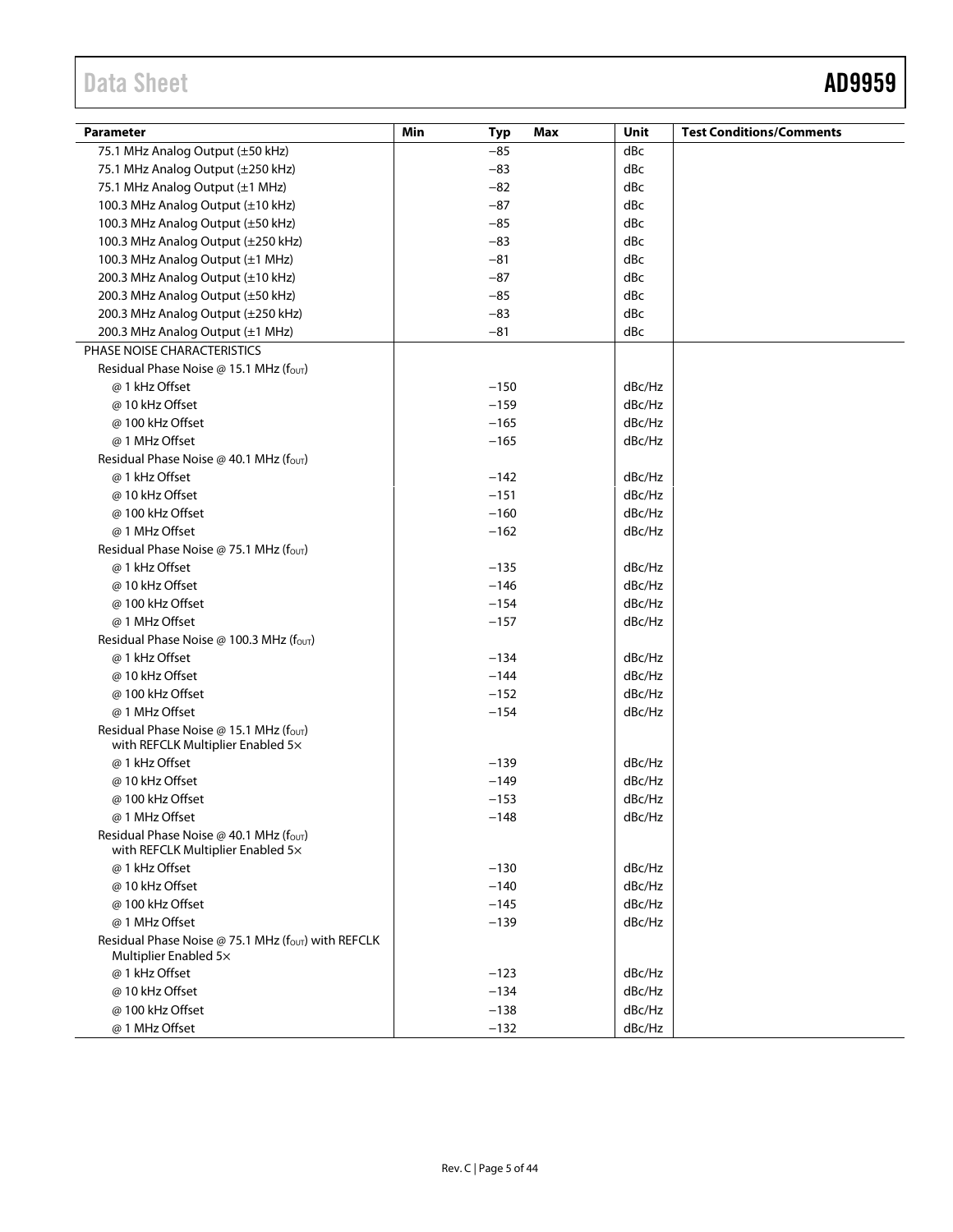# Data Sheet **AD9959**

| <b>Parameter</b>                                                            | Max<br>Min<br>Typ | Unit   | <b>Test Conditions/Comments</b> |
|-----------------------------------------------------------------------------|-------------------|--------|---------------------------------|
| 75.1 MHz Analog Output (±50 kHz)                                            | $-85$             | dBc    |                                 |
| 75.1 MHz Analog Output (±250 kHz)                                           | $-83$             | dBc    |                                 |
| 75.1 MHz Analog Output (±1 MHz)                                             | $-82$             | dBc    |                                 |
| 100.3 MHz Analog Output (±10 kHz)                                           | $-87$             | dBc    |                                 |
| 100.3 MHz Analog Output (±50 kHz)                                           | $-85$             | dBc    |                                 |
| 100.3 MHz Analog Output (±250 kHz)                                          | $-83$             | dBc    |                                 |
| 100.3 MHz Analog Output (±1 MHz)                                            | $-81$             | dBc    |                                 |
| 200.3 MHz Analog Output (±10 kHz)                                           | $-87$             | dBc    |                                 |
| 200.3 MHz Analog Output (±50 kHz)                                           | $-85$             | dBc    |                                 |
| 200.3 MHz Analog Output (±250 kHz)                                          | $-83$             | dBc    |                                 |
| 200.3 MHz Analog Output (±1 MHz)                                            | $-81$             | dBc    |                                 |
| PHASE NOISE CHARACTERISTICS                                                 |                   |        |                                 |
| Residual Phase Noise @ 15.1 MHz (fout)                                      |                   |        |                                 |
| @ 1 kHz Offset                                                              | $-150$            | dBc/Hz |                                 |
| @ 10 kHz Offset                                                             | $-159$            | dBc/Hz |                                 |
| @ 100 kHz Offset                                                            | $-165$            | dBc/Hz |                                 |
| @ 1 MHz Offset                                                              | $-165$            | dBc/Hz |                                 |
| Residual Phase Noise @ 40.1 MHz (four)                                      |                   |        |                                 |
| @ 1 kHz Offset                                                              | $-142$            | dBc/Hz |                                 |
| @ 10 kHz Offset                                                             | $-151$            | dBc/Hz |                                 |
| @ 100 kHz Offset                                                            | $-160$            | dBc/Hz |                                 |
| @ 1 MHz Offset                                                              | $-162$            | dBc/Hz |                                 |
| Residual Phase Noise @ 75.1 MHz ( $fOUT$ )                                  |                   |        |                                 |
| @ 1 kHz Offset                                                              | $-135$            | dBc/Hz |                                 |
| @ 10 kHz Offset                                                             | $-146$            | dBc/Hz |                                 |
| @ 100 kHz Offset                                                            | $-154$            | dBc/Hz |                                 |
| @ 1 MHz Offset                                                              | $-157$            | dBc/Hz |                                 |
| Residual Phase Noise @ 100.3 MHz (f <sub>out</sub> )                        |                   |        |                                 |
| @ 1 kHz Offset                                                              | $-134$            | dBc/Hz |                                 |
| @ 10 kHz Offset                                                             | $-144$            | dBc/Hz |                                 |
| @ 100 kHz Offset                                                            | $-152$            | dBc/Hz |                                 |
| @ 1 MHz Offset                                                              | $-154$            | dBc/Hz |                                 |
| Residual Phase Noise @ 15.1 MHz (fout)                                      |                   |        |                                 |
| with REFCLK Multiplier Enabled 5x                                           |                   |        |                                 |
| @ 1 kHz Offset                                                              | $-139$            | dBc/Hz |                                 |
| @ 10 kHz Offset                                                             | $-149$            | dBc/Hz |                                 |
| @ 100 kHz Offset                                                            | $-153$            | dBc/Hz |                                 |
| @ 1 MHz Offset                                                              | $-148$            | dBc/Hz |                                 |
| Residual Phase Noise @ 40.1 MHz (fout)<br>with REFCLK Multiplier Enabled 5x |                   |        |                                 |
| @ 1 kHz Offset                                                              | $-130$            | dBc/Hz |                                 |
| @ 10 kHz Offset                                                             | $-140$            | dBc/Hz |                                 |
| @ 100 kHz Offset                                                            | $-145$            | dBc/Hz |                                 |
| @ 1 MHz Offset                                                              | $-139$            | dBc/Hz |                                 |
| Residual Phase Noise @ 75.1 MHz (fout) with REFCLK<br>Multiplier Enabled 5x |                   |        |                                 |
| @ 1 kHz Offset                                                              | $-123$            | dBc/Hz |                                 |
| @ 10 kHz Offset                                                             | $-134$            | dBc/Hz |                                 |
| @ 100 kHz Offset                                                            | $-138$            | dBc/Hz |                                 |
| @ 1 MHz Offset                                                              | $-132$            | dBc/Hz |                                 |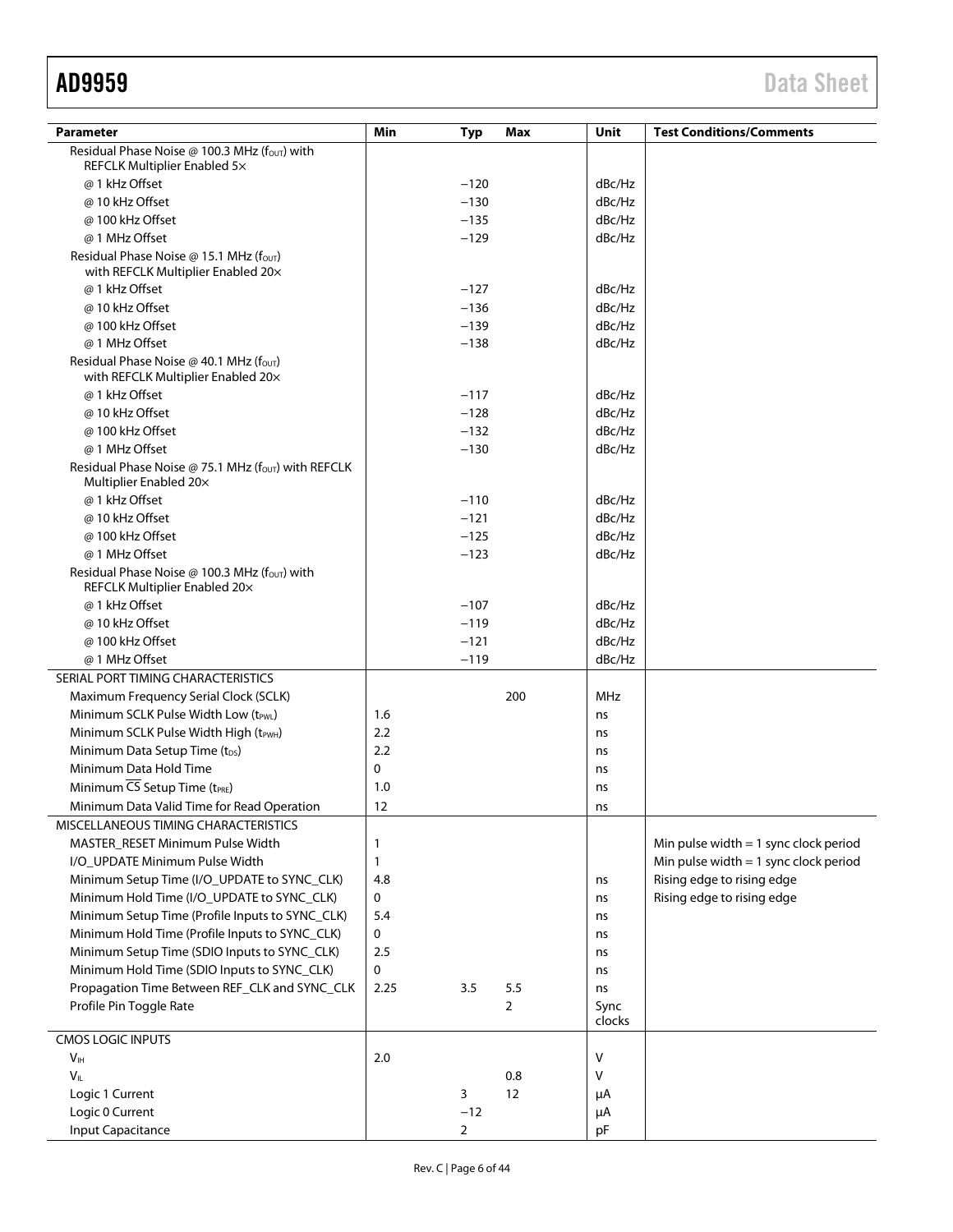| Parameter                                                                                  | Min         | <b>Typ</b>     | Max | Unit       | <b>Test Conditions/Comments</b>         |
|--------------------------------------------------------------------------------------------|-------------|----------------|-----|------------|-----------------------------------------|
| Residual Phase Noise @ 100.3 MHz (f <sub>out</sub> ) with                                  |             |                |     |            |                                         |
| REFCLK Multiplier Enabled 5x                                                               |             |                |     |            |                                         |
| @ 1 kHz Offset                                                                             |             | $-120$         |     | dBc/Hz     |                                         |
| @ 10 kHz Offset                                                                            |             | $-130$         |     | dBc/Hz     |                                         |
| @ 100 kHz Offset                                                                           |             | $-135$         |     | dBc/Hz     |                                         |
| @ 1 MHz Offset                                                                             |             | $-129$         |     | dBc/Hz     |                                         |
| Residual Phase Noise @ 15.1 MHz (f <sub>out)</sub>                                         |             |                |     |            |                                         |
| with REFCLK Multiplier Enabled 20x                                                         |             |                |     |            |                                         |
| @ 1 kHz Offset                                                                             |             | $-127$         |     | dBc/Hz     |                                         |
| @ 10 kHz Offset                                                                            |             | $-136$         |     | dBc/Hz     |                                         |
| @ 100 kHz Offset                                                                           |             | $-139$         |     | dBc/Hz     |                                         |
| @ 1 MHz Offset                                                                             |             | $-138$         |     | dBc/Hz     |                                         |
| Residual Phase Noise @ 40.1 MHz ( $f_{\text{OUT}}$ )<br>with REFCLK Multiplier Enabled 20x |             |                |     |            |                                         |
| @ 1 kHz Offset                                                                             |             | $-117$         |     | dBc/Hz     |                                         |
| @ 10 kHz Offset                                                                            |             | $-128$         |     | dBc/Hz     |                                         |
| @ 100 kHz Offset                                                                           |             | $-132$         |     | dBc/Hz     |                                         |
| @ 1 MHz Offset                                                                             |             | $-130$         |     | dBc/Hz     |                                         |
| Residual Phase Noise @ 75.1 MHz ( $f_{OUT}$ ) with REFCLK<br>Multiplier Enabled 20x        |             |                |     |            |                                         |
| @ 1 kHz Offset                                                                             |             | $-110$         |     | dBc/Hz     |                                         |
| @ 10 kHz Offset                                                                            |             | $-121$         |     | dBc/Hz     |                                         |
| @ 100 kHz Offset                                                                           |             | $-125$         |     | dBc/Hz     |                                         |
| @ 1 MHz Offset                                                                             |             | $-123$         |     | dBc/Hz     |                                         |
| Residual Phase Noise @ 100.3 MHz (f <sub>out</sub> ) with<br>REFCLK Multiplier Enabled 20x |             |                |     |            |                                         |
| @ 1 kHz Offset                                                                             |             | $-107$         |     | dBc/Hz     |                                         |
| @ 10 kHz Offset                                                                            |             | $-119$         |     | dBc/Hz     |                                         |
| @ 100 kHz Offset                                                                           |             | $-121$         |     | dBc/Hz     |                                         |
| @ 1 MHz Offset                                                                             |             | $-119$         |     | dBc/Hz     |                                         |
| SERIAL PORT TIMING CHARACTERISTICS                                                         |             |                |     |            |                                         |
| Maximum Frequency Serial Clock (SCLK)                                                      |             |                | 200 | <b>MHz</b> |                                         |
| Minimum SCLK Pulse Width Low (t <sub>PWL</sub> )                                           | 1.6         |                |     | ns         |                                         |
| Minimum SCLK Pulse Width High (tPWH)                                                       | 2.2         |                |     | ns         |                                         |
| Minimum Data Setup Time (t <sub>DS</sub> )                                                 | 2.2         |                |     | ns         |                                         |
| Minimum Data Hold Time                                                                     | $\mathbf 0$ |                |     | ns         |                                         |
| Minimum CS Setup Time (t <sub>PRE</sub> )                                                  | 1.0         |                |     | ns         |                                         |
| Minimum Data Valid Time for Read Operation                                                 | 12          |                |     | ns         |                                         |
| MISCELLANEOUS TIMING CHARACTERISTICS                                                       |             |                |     |            |                                         |
| MASTER_RESET Minimum Pulse Width                                                           | 1           |                |     |            | Min pulse width $= 1$ sync clock period |
| I/O_UPDATE Minimum Pulse Width                                                             | 1           |                |     |            | Min pulse width $= 1$ sync clock period |
| Minimum Setup Time (I/O_UPDATE to SYNC_CLK)                                                | 4.8         |                |     | ns         | Rising edge to rising edge              |
| Minimum Hold Time (I/O_UPDATE to SYNC_CLK)                                                 | 0           |                |     | ns         | Rising edge to rising edge              |
| Minimum Setup Time (Profile Inputs to SYNC_CLK)                                            | 5.4         |                |     | ns         |                                         |
| Minimum Hold Time (Profile Inputs to SYNC_CLK)                                             | 0           |                |     | ns         |                                         |
| Minimum Setup Time (SDIO Inputs to SYNC_CLK)                                               | 2.5         |                |     | ns         |                                         |
| Minimum Hold Time (SDIO Inputs to SYNC_CLK)                                                | 0           |                |     | ns         |                                         |
| Propagation Time Between REF_CLK and SYNC_CLK                                              | 2.25        | 3.5            | 5.5 | ns         |                                         |
| Profile Pin Toggle Rate                                                                    |             |                | 2   | Sync       |                                         |
|                                                                                            |             |                |     | clocks     |                                         |
| <b>CMOS LOGIC INPUTS</b>                                                                   |             |                |     |            |                                         |
| V <sub>IH</sub>                                                                            | 2.0         |                |     | $\vee$     |                                         |
| $V_{IL}$                                                                                   |             |                | 0.8 | $\vee$     |                                         |
| Logic 1 Current                                                                            |             | 3              | 12  | μA         |                                         |
| Logic 0 Current                                                                            |             | $-12$          |     | μA         |                                         |
| Input Capacitance                                                                          |             | $\overline{2}$ |     | pF         |                                         |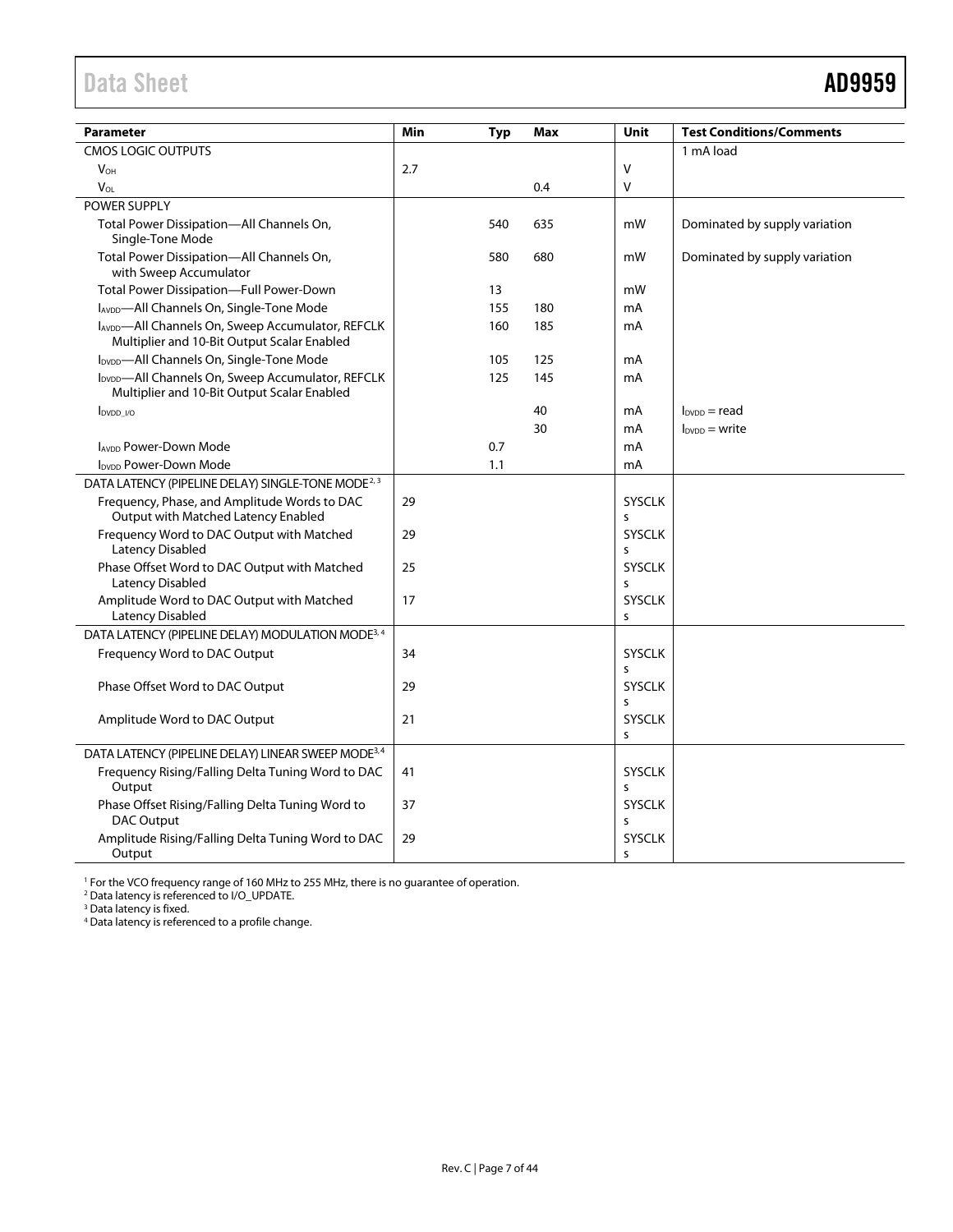# <span id="page-6-0"></span>Data Sheet **AD9959**

| <b>Parameter</b>                                                                                             | Min |     | Max | Unit               | <b>Test Conditions/Comments</b> |
|--------------------------------------------------------------------------------------------------------------|-----|-----|-----|--------------------|---------------------------------|
| CMOS LOGIC OUTPUTS                                                                                           |     | Typ |     |                    | 1 mA load                       |
| <b>V<sub>OH</sub></b>                                                                                        | 2.7 |     |     | $\vee$             |                                 |
| $V_{OL}$                                                                                                     |     |     | 0.4 | V                  |                                 |
| POWER SUPPLY                                                                                                 |     |     |     |                    |                                 |
| Total Power Dissipation-All Channels On,<br>Single-Tone Mode                                                 |     | 540 | 635 | mW                 | Dominated by supply variation   |
| Total Power Dissipation-All Channels On,<br>with Sweep Accumulator                                           |     | 580 | 680 | mW                 | Dominated by supply variation   |
| Total Power Dissipation-Full Power-Down                                                                      |     | 13  |     | mW                 |                                 |
| IAVDD-All Channels On, Single-Tone Mode                                                                      |     | 155 | 180 | mA                 |                                 |
| IAVDD-All Channels On, Sweep Accumulator, REFCLK<br>Multiplier and 10-Bit Output Scalar Enabled              |     | 160 | 185 | mA                 |                                 |
| IDVDD-All Channels On, Single-Tone Mode                                                                      |     | 105 | 125 | mA                 |                                 |
| I <sub>DVDD</sub> -All Channels On, Sweep Accumulator, REFCLK<br>Multiplier and 10-Bit Output Scalar Enabled |     | 125 | 145 | mA                 |                                 |
| $I_{DVDD}$ $V_{O}$                                                                                           |     |     | 40  | mA                 | $I_{\text{DVDD}}$ = read        |
|                                                                                                              |     |     | 30  | mA                 | $IDVDD$ = write                 |
| <b>IAVDD Power-Down Mode</b>                                                                                 |     | 0.7 |     | mA                 |                                 |
| <b>I<sub>DVDD</sub></b> Power-Down Mode                                                                      |     | 1.1 |     | mA                 |                                 |
| DATA LATENCY (PIPELINE DELAY) SINGLE-TONE MODE <sup>2, 3</sup>                                               |     |     |     |                    |                                 |
| Frequency, Phase, and Amplitude Words to DAC<br>Output with Matched Latency Enabled                          | 29  |     |     | <b>SYSCLK</b><br>S |                                 |
| Frequency Word to DAC Output with Matched<br><b>Latency Disabled</b>                                         | 29  |     |     | <b>SYSCLK</b><br>S |                                 |
| Phase Offset Word to DAC Output with Matched<br>Latency Disabled                                             | 25  |     |     | <b>SYSCLK</b><br>s |                                 |
| Amplitude Word to DAC Output with Matched<br><b>Latency Disabled</b>                                         | 17  |     |     | <b>SYSCLK</b><br>S |                                 |
| DATA LATENCY (PIPELINE DELAY) MODULATION MODE <sup>3, 4</sup>                                                |     |     |     |                    |                                 |
| Frequency Word to DAC Output                                                                                 | 34  |     |     | <b>SYSCLK</b><br>S |                                 |
| Phase Offset Word to DAC Output                                                                              | 29  |     |     | <b>SYSCLK</b><br>s |                                 |
| Amplitude Word to DAC Output                                                                                 | 21  |     |     | <b>SYSCLK</b><br>S |                                 |
| DATA LATENCY (PIPELINE DELAY) LINEAR SWEEP MODE <sup>3,4</sup>                                               |     |     |     |                    |                                 |
| Frequency Rising/Falling Delta Tuning Word to DAC<br>Output                                                  | 41  |     |     | SYSCLK<br>S        |                                 |
| Phase Offset Rising/Falling Delta Tuning Word to<br>DAC Output                                               | 37  |     |     | <b>SYSCLK</b><br>s |                                 |
| Amplitude Rising/Falling Delta Tuning Word to DAC<br>Output                                                  | 29  |     |     | <b>SYSCLK</b><br>S |                                 |

<sup>1</sup> For the VCO frequency range of 160 MHz to 255 MHz, there is no guarantee of operation.<br><sup>2</sup> Data latency is referenced to I/O\_UPDATE.

<sup>3</sup> Data latency is fixed.

<sup>4</sup> Data latency is referenced to a profile change.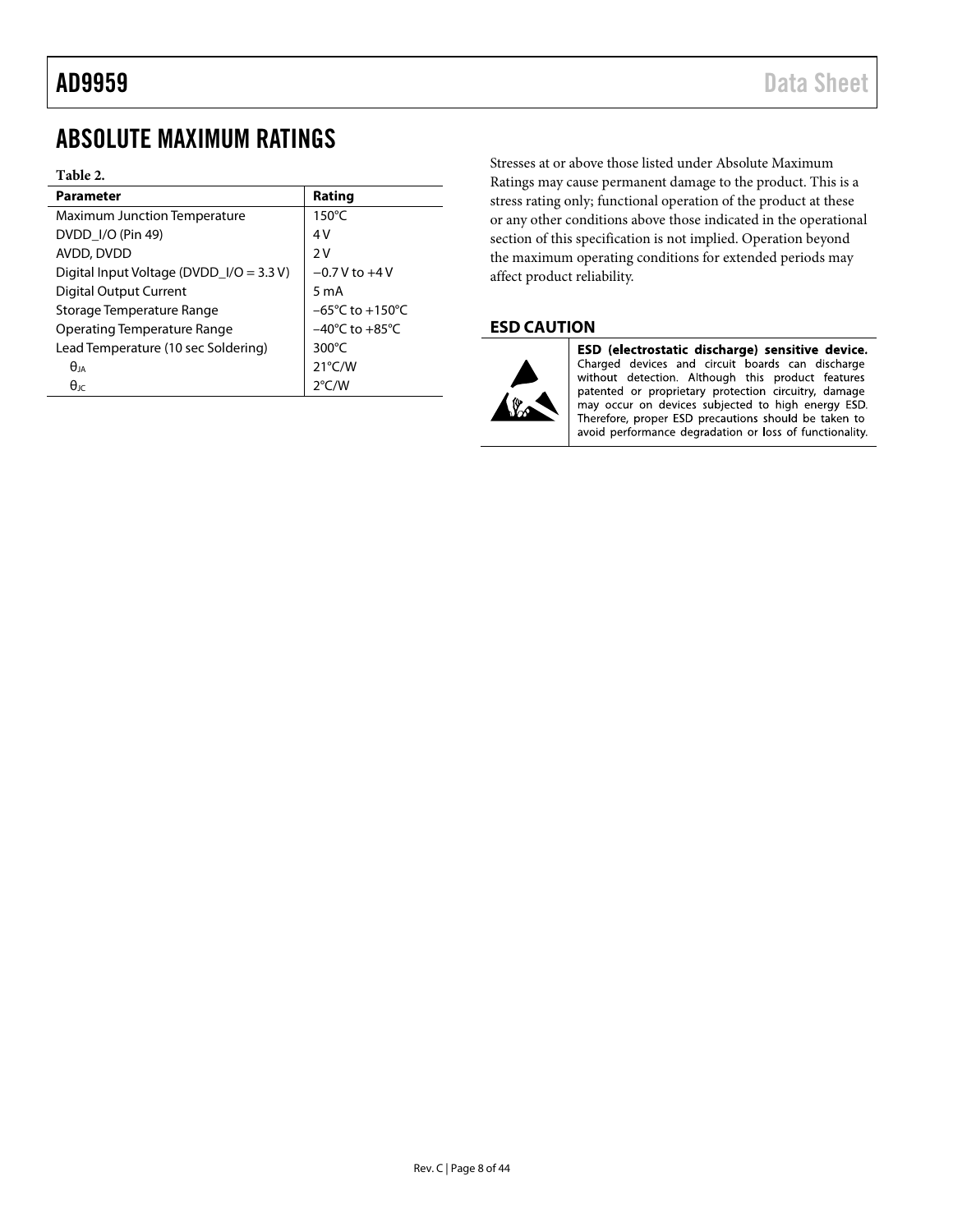# <span id="page-7-0"></span>ABSOLUTE MAXIMUM RATINGS

## **Table 2.**

| Parameter                                  | Rating                              |
|--------------------------------------------|-------------------------------------|
| Maximum Junction Temperature               | $150^{\circ}$ C                     |
| DVDD I/O (Pin 49)                          | 4 V                                 |
| AVDD, DVDD                                 | 2V                                  |
| Digital Input Voltage (DVDD_I/O = $3.3$ V) | $-0.7$ V to $+4$ V                  |
| <b>Digital Output Current</b>              | 5 m A                               |
| Storage Temperature Range                  | $-65^{\circ}$ C to $+150^{\circ}$ C |
| Operating Temperature Range                | $-40^{\circ}$ C to $+85^{\circ}$ C  |
| Lead Temperature (10 sec Soldering)        | $300^{\circ}$ C                     |
| $\theta$ ia                                | $21^{\circ}$ C/W                    |
| $\theta$ ıc                                | $2^{\circ}$ C/W                     |

Stresses at or above those listed under Absolute Maximum Ratings may cause permanent damage to the product. This is a stress rating only; functional operation of the product at these or any other conditions above those indicated in the operational section of this specification is not implied. Operation beyond the maximum operating conditions for extended periods may affect product reliability.

## **ESD CAUTION**



ESD (electrostatic discharge) sensitive device. Charged devices and circuit boards can discharge without detection. Although this product features patented or proprietary protection circuitry, damage may occur on devices subjected to high energy ESD. Therefore, proper ESD precautions should be taken to avoid performance degradation or loss of functionality.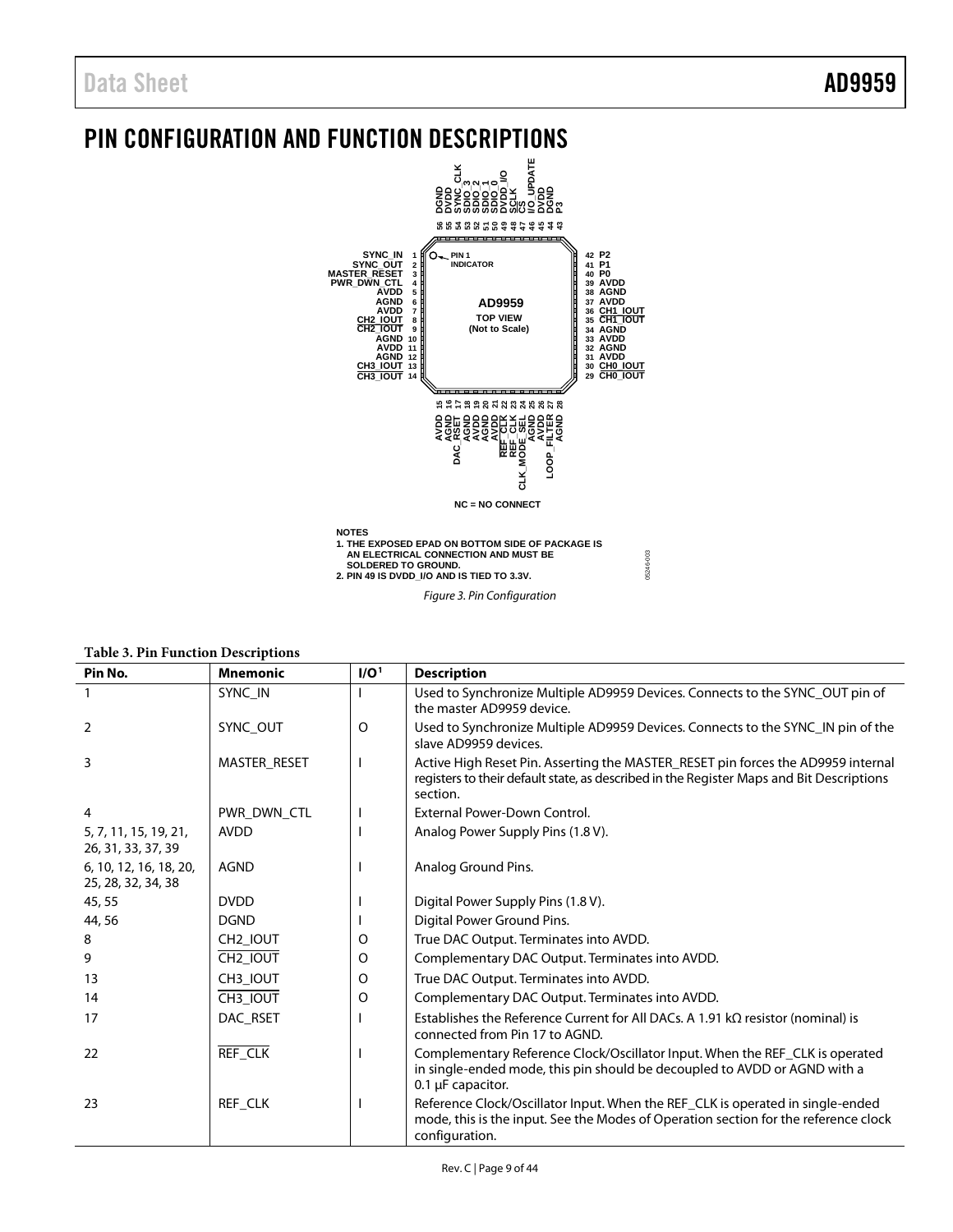# <span id="page-8-0"></span>PIN CONFIGURATION AND FUNCTION DESCRIPTIONS



*Figure 3. Pin Configuration*

| Pin No.                                      | <b>Mnemonic</b>      | I/O <sup>1</sup> | <b>Description</b>                                                                                                                                                                       |
|----------------------------------------------|----------------------|------------------|------------------------------------------------------------------------------------------------------------------------------------------------------------------------------------------|
|                                              | SYNC_IN              |                  | Used to Synchronize Multiple AD9959 Devices. Connects to the SYNC_OUT pin of<br>the master AD9959 device.                                                                                |
| 2                                            | SYNC_OUT             | O                | Used to Synchronize Multiple AD9959 Devices. Connects to the SYNC_IN pin of the<br>slave AD9959 devices.                                                                                 |
| 3                                            | MASTER RESET         |                  | Active High Reset Pin. Asserting the MASTER_RESET pin forces the AD9959 internal<br>registers to their default state, as described in the Register Maps and Bit Descriptions<br>section. |
| 4                                            | PWR DWN CTL          |                  | External Power-Down Control.                                                                                                                                                             |
| 5, 7, 11, 15, 19, 21,<br>26, 31, 33, 37, 39  | <b>AVDD</b>          |                  | Analog Power Supply Pins (1.8 V).                                                                                                                                                        |
| 6, 10, 12, 16, 18, 20,<br>25, 28, 32, 34, 38 | <b>AGND</b>          |                  | Analog Ground Pins.                                                                                                                                                                      |
| 45,55                                        | <b>DVDD</b>          |                  | Digital Power Supply Pins (1.8 V).                                                                                                                                                       |
| 44,56                                        | <b>DGND</b>          |                  | Digital Power Ground Pins.                                                                                                                                                               |
| 8                                            | CH2_IOUT             | O                | True DAC Output. Terminates into AVDD.                                                                                                                                                   |
| 9                                            | CH <sub>2_IOUT</sub> | O                | Complementary DAC Output. Terminates into AVDD.                                                                                                                                          |
| 13                                           | CH3_IOUT             | O                | True DAC Output. Terminates into AVDD.                                                                                                                                                   |
| 14                                           | CH3_IOUT             | O                | Complementary DAC Output. Terminates into AVDD.                                                                                                                                          |
| 17                                           | DAC_RSET             |                  | Establishes the Reference Current for All DACs. A 1.91 $k\Omega$ resistor (nominal) is<br>connected from Pin 17 to AGND.                                                                 |
| 22                                           | <b>REF_CLK</b>       |                  | Complementary Reference Clock/Oscillator Input. When the REF_CLK is operated<br>in single-ended mode, this pin should be decoupled to AVDD or AGND with a<br>$0.1 \mu$ F capacitor.      |
| 23                                           | REF CLK              |                  | Reference Clock/Oscillator Input. When the REF_CLK is operated in single-ended<br>mode, this is the input. See the Modes of Operation section for the reference clock<br>configuration.  |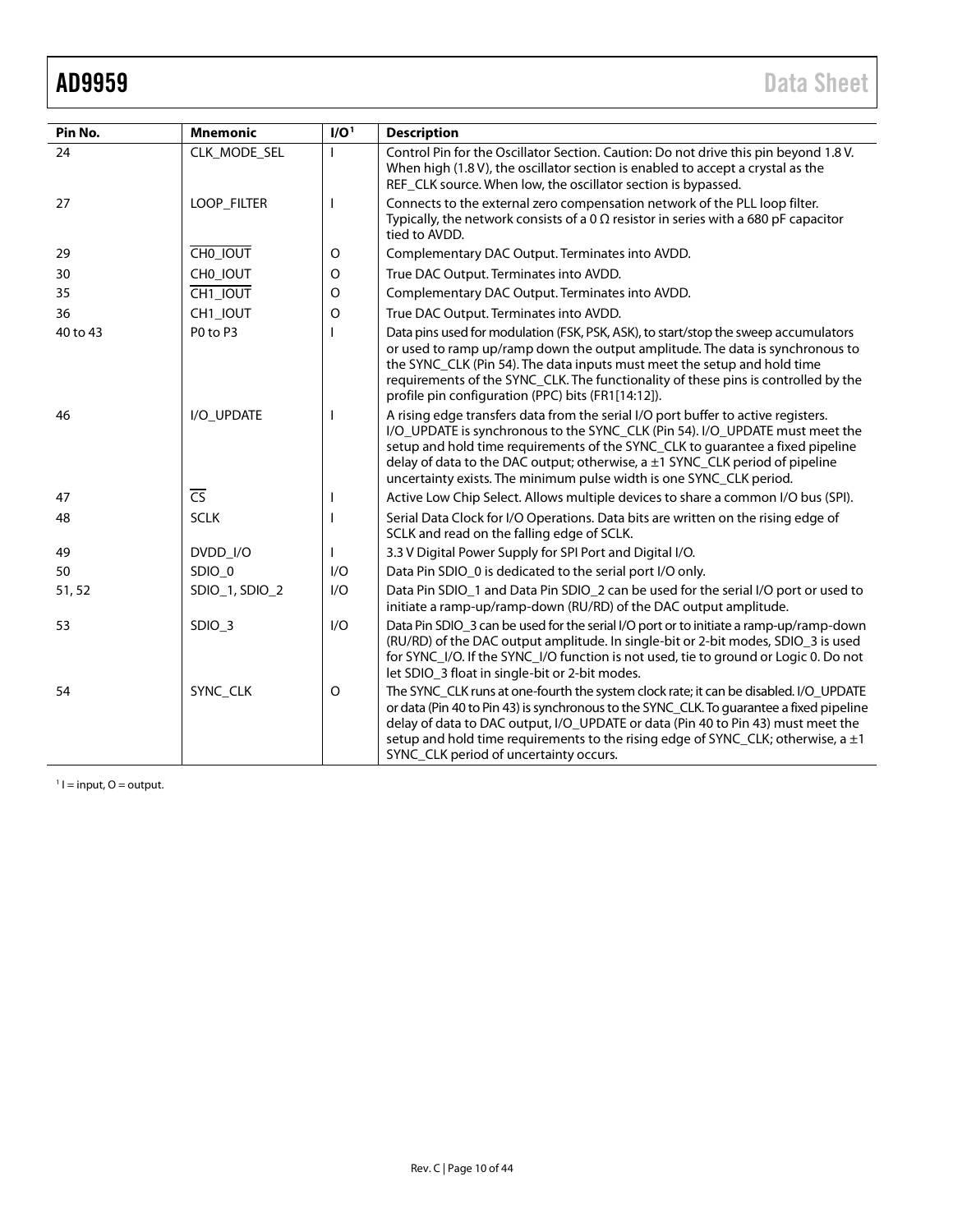<span id="page-9-0"></span>

| Pin No.  | <b>Mnemonic</b> | I/O <sup>1</sup>         | <b>Description</b>                                                                                                                                                                                                                                                                                                                                                                                              |  |
|----------|-----------------|--------------------------|-----------------------------------------------------------------------------------------------------------------------------------------------------------------------------------------------------------------------------------------------------------------------------------------------------------------------------------------------------------------------------------------------------------------|--|
| 24       | CLK_MODE_SEL    |                          | Control Pin for the Oscillator Section. Caution: Do not drive this pin beyond 1.8V.<br>When high (1.8 V), the oscillator section is enabled to accept a crystal as the<br>REF_CLK source. When low, the oscillator section is bypassed.                                                                                                                                                                         |  |
| 27       | LOOP_FILTER     | $\mathbf{I}$             | Connects to the external zero compensation network of the PLL loop filter.<br>Typically, the network consists of a 0 $\Omega$ resistor in series with a 680 pF capacitor<br>tied to AVDD.                                                                                                                                                                                                                       |  |
| 29       | CHO_IOUT        | $\circ$                  | Complementary DAC Output. Terminates into AVDD.                                                                                                                                                                                                                                                                                                                                                                 |  |
| 30       | CHO IOUT        | O                        | True DAC Output. Terminates into AVDD.                                                                                                                                                                                                                                                                                                                                                                          |  |
| 35       | CH1_IOUT        | $\circ$                  | Complementary DAC Output. Terminates into AVDD.                                                                                                                                                                                                                                                                                                                                                                 |  |
| 36       | CH1_IOUT        | $\circ$                  | True DAC Output. Terminates into AVDD.                                                                                                                                                                                                                                                                                                                                                                          |  |
| 40 to 43 | P0 to P3        |                          | Data pins used for modulation (FSK, PSK, ASK), to start/stop the sweep accumulators<br>or used to ramp up/ramp down the output amplitude. The data is synchronous to<br>the SYNC_CLK (Pin 54). The data inputs must meet the setup and hold time<br>requirements of the SYNC_CLK. The functionality of these pins is controlled by the<br>profile pin configuration (PPC) bits (FR1[14:12]).                    |  |
| 46       | I/O_UPDATE      | $\overline{\phantom{a}}$ | A rising edge transfers data from the serial I/O port buffer to active registers.<br>I/O_UPDATE is synchronous to the SYNC_CLK (Pin 54). I/O_UPDATE must meet the<br>setup and hold time requirements of the SYNC_CLK to guarantee a fixed pipeline<br>delay of data to the DAC output; otherwise, $a \pm 1$ SYNC_CLK period of pipeline<br>uncertainty exists. The minimum pulse width is one SYNC_CLK period. |  |
| 47       | $\overline{CS}$ |                          | Active Low Chip Select. Allows multiple devices to share a common I/O bus (SPI).                                                                                                                                                                                                                                                                                                                                |  |
| 48       | <b>SCLK</b>     |                          | Serial Data Clock for I/O Operations. Data bits are written on the rising edge of<br>SCLK and read on the falling edge of SCLK.                                                                                                                                                                                                                                                                                 |  |
| 49       | DVDD I/O        |                          | 3.3 V Digital Power Supply for SPI Port and Digital I/O.                                                                                                                                                                                                                                                                                                                                                        |  |
| 50       | SDIO_0          | I/O                      | Data Pin SDIO_0 is dedicated to the serial port I/O only.                                                                                                                                                                                                                                                                                                                                                       |  |
| 51,52    | SDIO_1, SDIO_2  | 1/O                      | Data Pin SDIO_1 and Data Pin SDIO_2 can be used for the serial I/O port or used to<br>initiate a ramp-up/ramp-down (RU/RD) of the DAC output amplitude.                                                                                                                                                                                                                                                         |  |
| 53       | SDIO_3          | 1/O                      | Data Pin SDIO_3 can be used for the serial I/O port or to initiate a ramp-up/ramp-down<br>(RU/RD) of the DAC output amplitude. In single-bit or 2-bit modes, SDIO_3 is used<br>for SYNC_I/O. If the SYNC_I/O function is not used, tie to ground or Logic 0. Do not<br>let SDIO_3 float in single-bit or 2-bit modes.                                                                                           |  |
| 54       | SYNC_CLK        | $\circ$                  | The SYNC_CLK runs at one-fourth the system clock rate; it can be disabled. I/O_UPDATE<br>or data (Pin 40 to Pin 43) is synchronous to the SYNC_CLK. To guarantee a fixed pipeline<br>delay of data to DAC output, I/O_UPDATE or data (Pin 40 to Pin 43) must meet the<br>setup and hold time requirements to the rising edge of SYNC_CLK; otherwise, $a \pm 1$<br>SYNC_CLK period of uncertainty occurs.        |  |

 $1 = input, 0 = output.$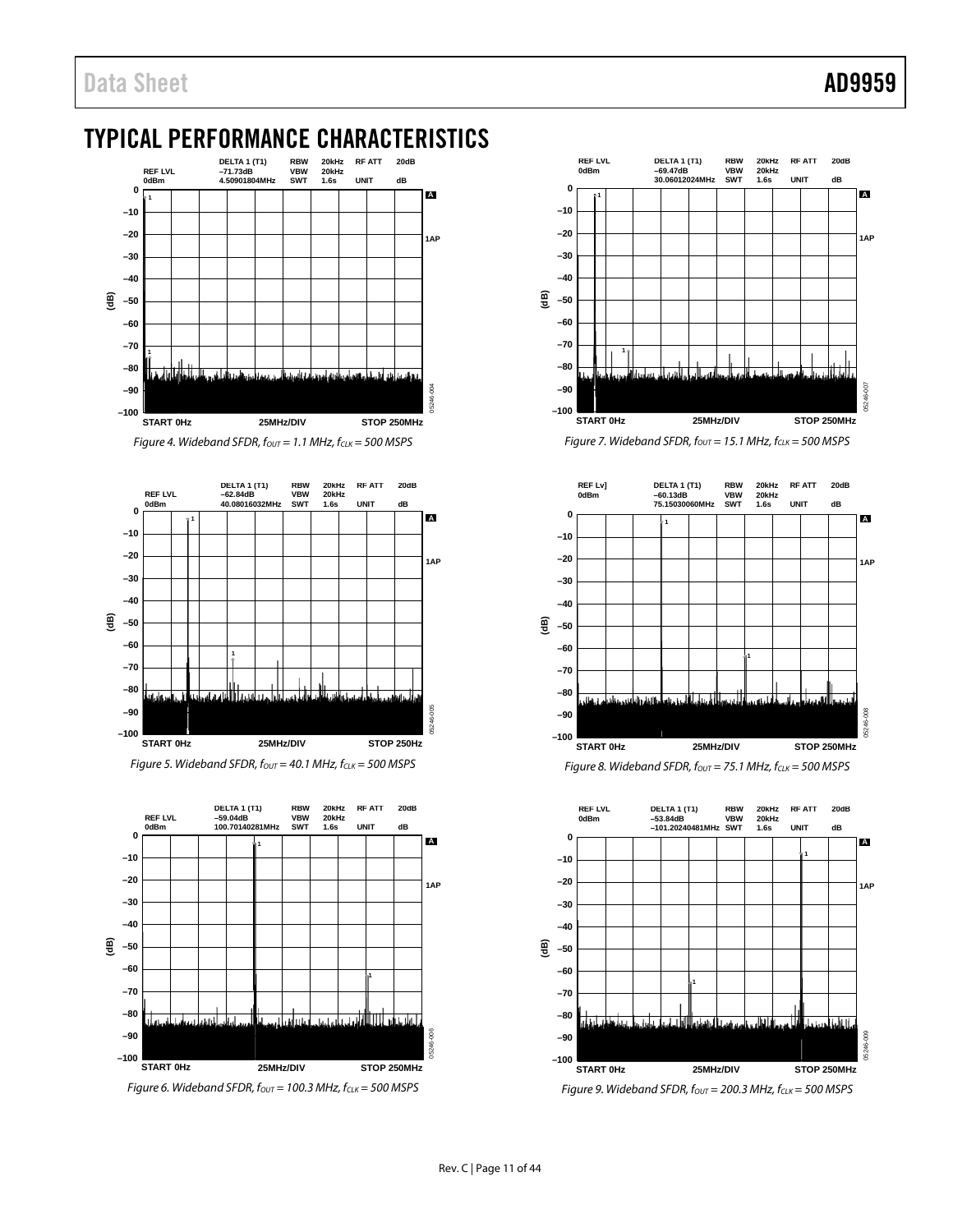# <span id="page-10-0"></span>**TYPICAL PERFORMANCE CHARACTERISTICS**



*Figure 4. Wideband SFDR, fout* = 1.1 MHz,  $f_{CLK}$  = 500 MSPS











*Figure 7. Wideband SFDR, fout* = 15.1 MHz, fcLK = 500 MSPS



*Figure 8. Wideband SFDR, fout* = 75.1 MHz, fcLK = 500 MSPS



*Figure 9. Wideband SFDR,*  $f_{OUT} = 200.3$  *MHz,*  $f_{CLK} = 500$  *MSPS*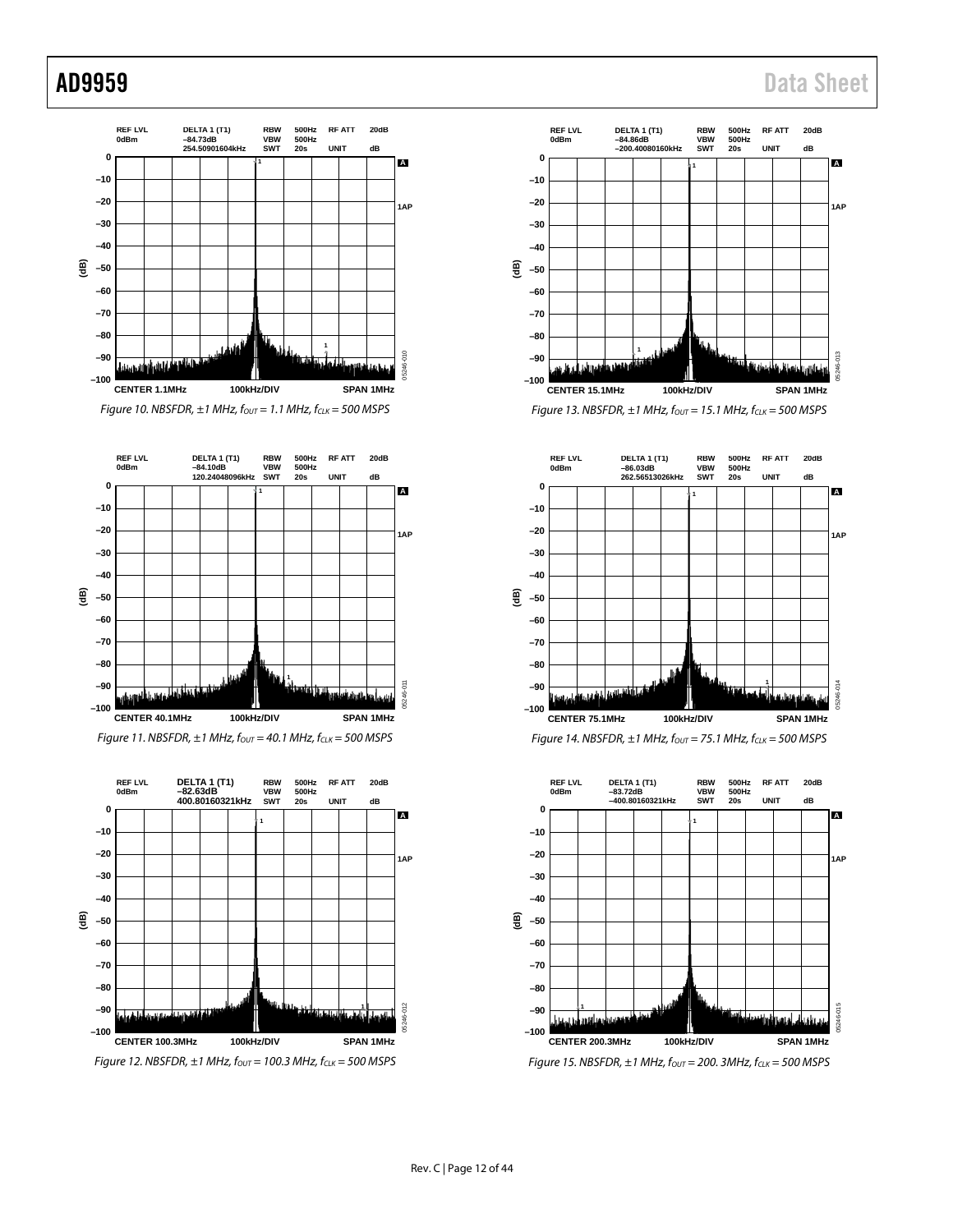

















*Figure 15. NBSFDR, ±1 MHz, fout* = 200. 3MHz, fcLK = 500 MSPS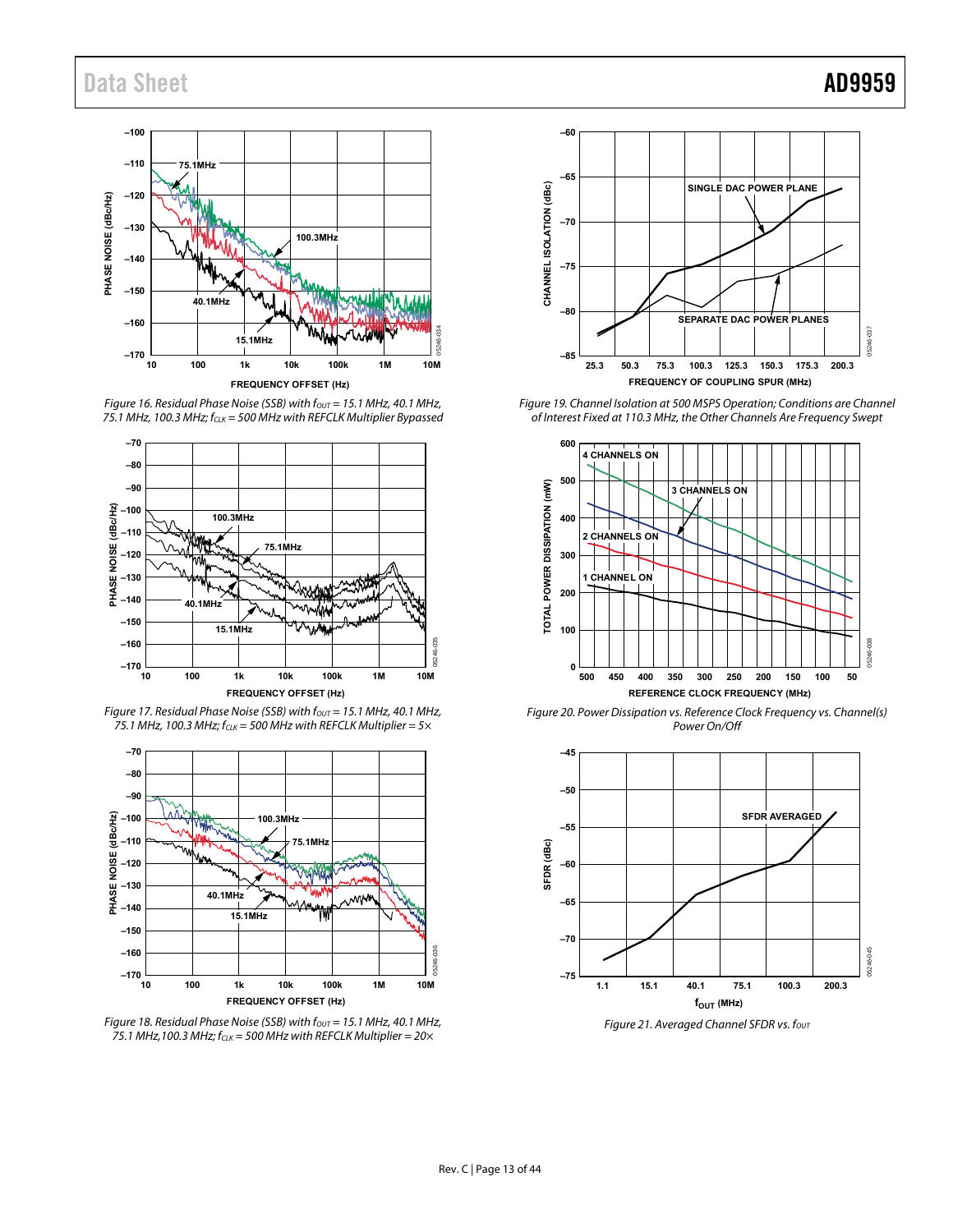

Figure 16. Residual Phase Noise (SSB) with  $f_{\text{OUT}} = 15.1$  MHz, 40.1 MHz, 75.1 MHz, 100.3 MHz;  $f_{CLK} = 500$  MHz with REFCLK Multiplier Bypassed



<span id="page-12-1"></span>Figure 17. Residual Phase Noise (SSB) with  $f_{\text{OUT}}$  = 15.1 MHz, 40.1 MHz, 75.1 MHz, 100.3 MHz;  $f_{CLK} = 500$  MHz with REFCLK Multiplier =  $5 \times$ 



<span id="page-12-2"></span>Figure 18. Residual Phase Noise (SSB) with  $f_{\text{OUT}} = 15.1$  MHz, 40.1 MHz, 75.1 MHz,100.3 MHz;  $f_{CLK} = 500$  MHz with REFCLK Multiplier =  $20 \times$ 



<span id="page-12-0"></span>Figure 19. Channel Isolation at 500 MSPS Operation; Conditions are Channel of Interest Fixed at 110.3 MHz, the Other Channels Are Frequency Swept



Figure 20. Power Dissipation vs. Reference Clock Frequency vs. Channel(s) Power On/Off

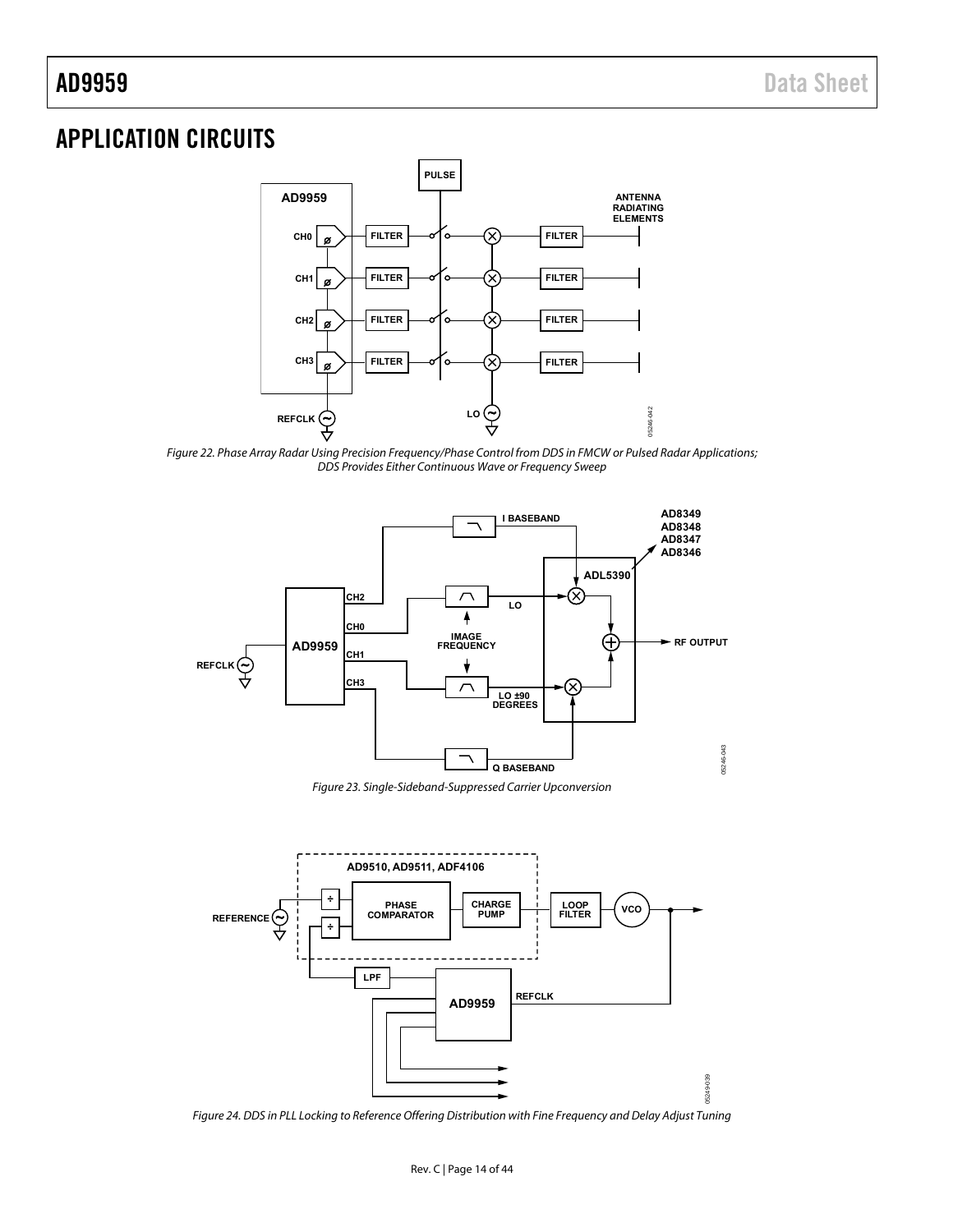# <span id="page-13-1"></span><span id="page-13-0"></span>APPLICATION CIRCUITS



Figure 22. Phase Array Radar Using Precision Frequency/Phase Control from DDS in FMCW or Pulsed Radar Applications; DDS Provides Either Continuous Wave or Frequency Sweep



Figure 23. Single-Sideband-Suppressed Carrier Upconversion



Figure 24. DDS in PLL Locking to Reference Offering Distribution with Fine Frequency and Delay Adjust Tuning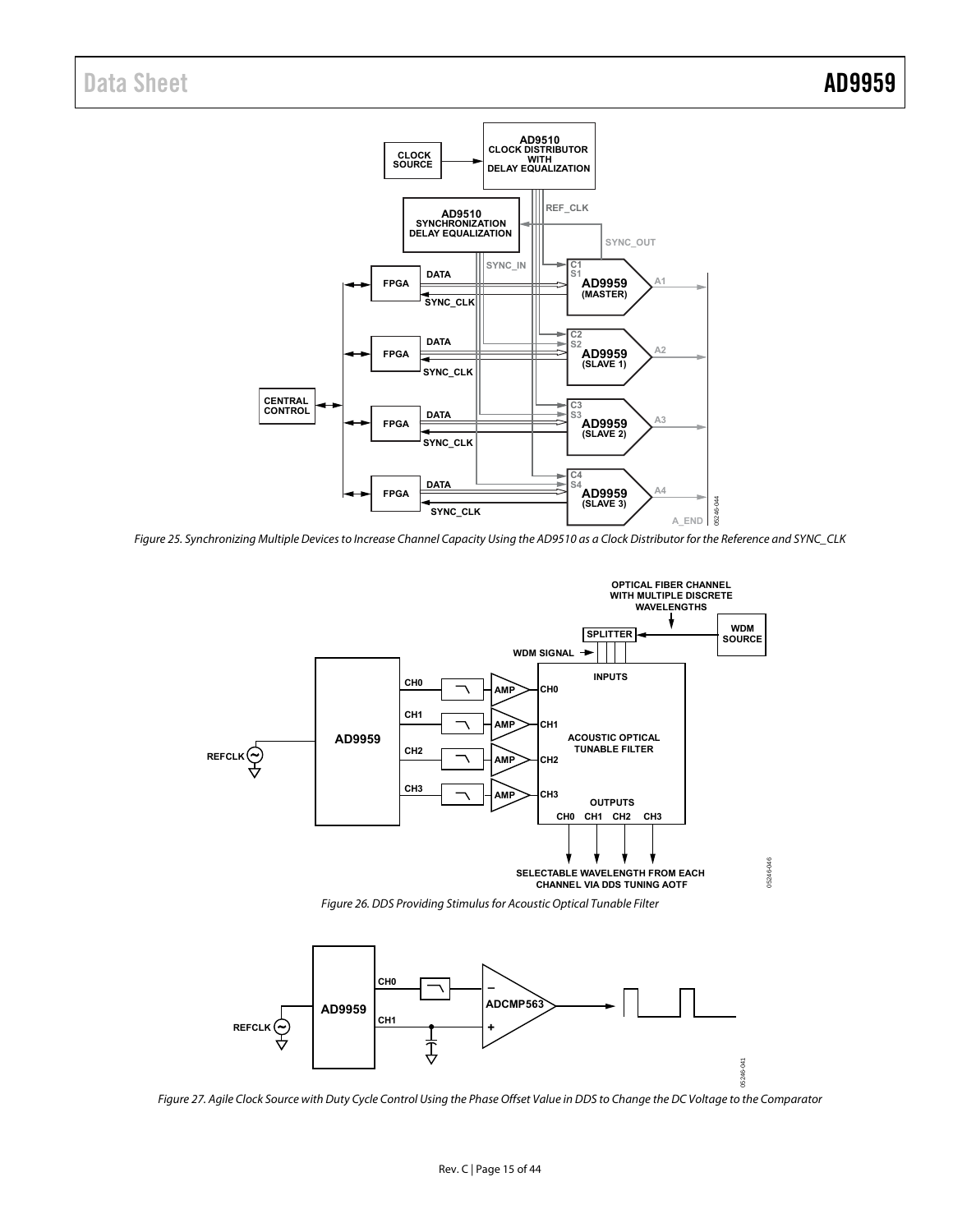

Figure 25. Synchronizing Multiple Devices to Increase Channel Capacity Using the AD9510 as a Clock Distributor for the Reference and SYNC\_CLK





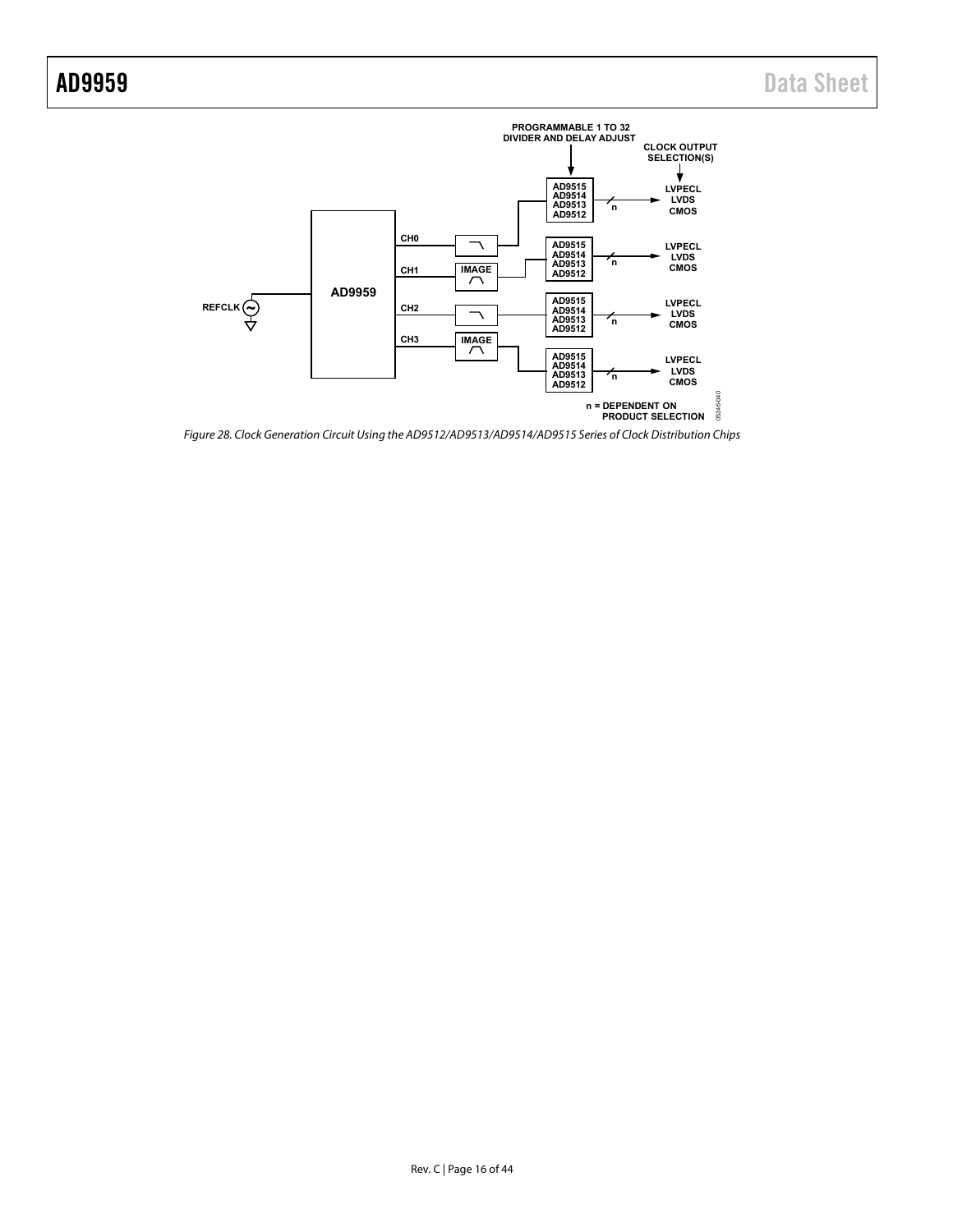

Figure 28. Clock Generation Circuit Using the AD9512/AD9513/AD9514/AD9515 Series of Clock Distribution Chips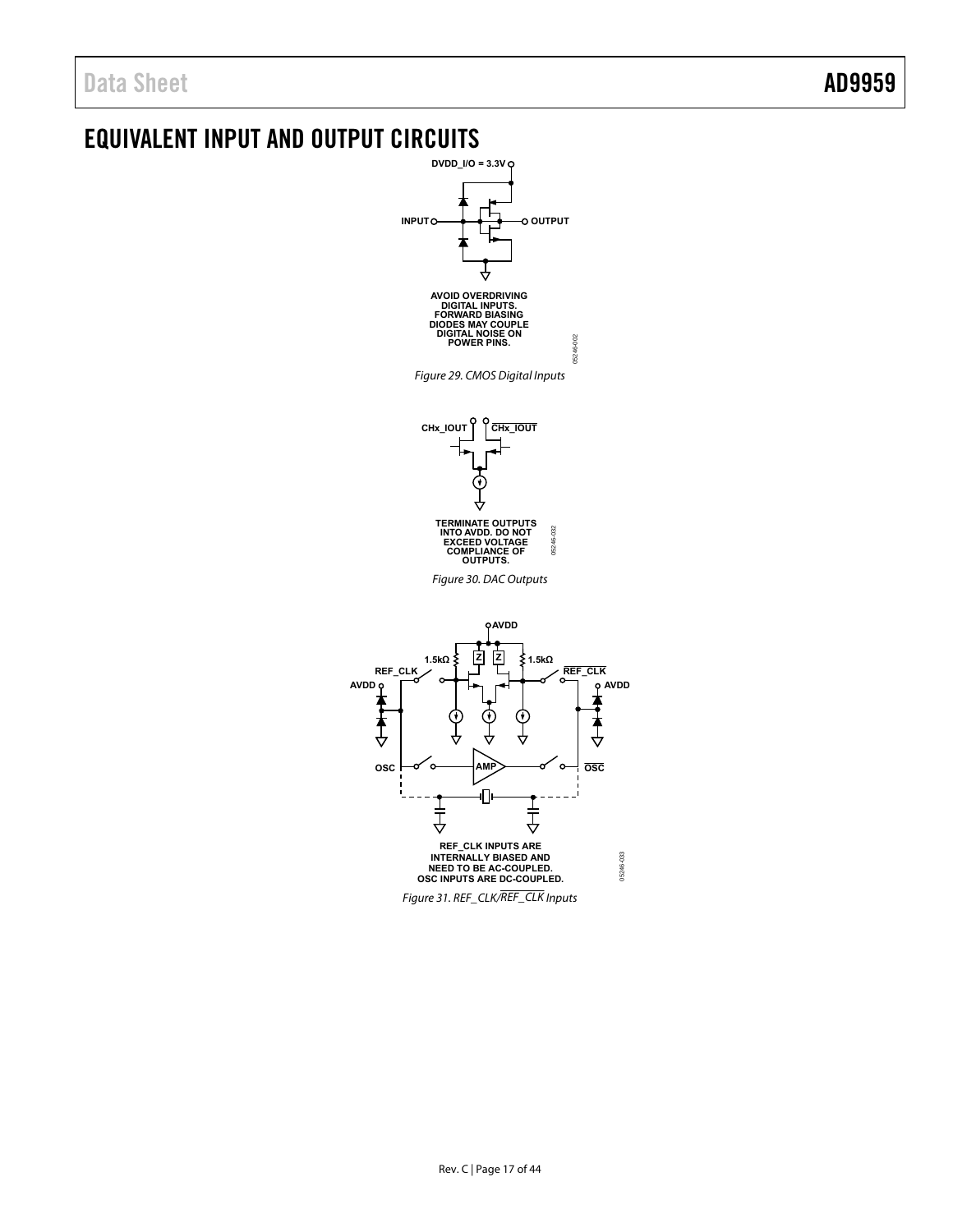<span id="page-16-0"></span>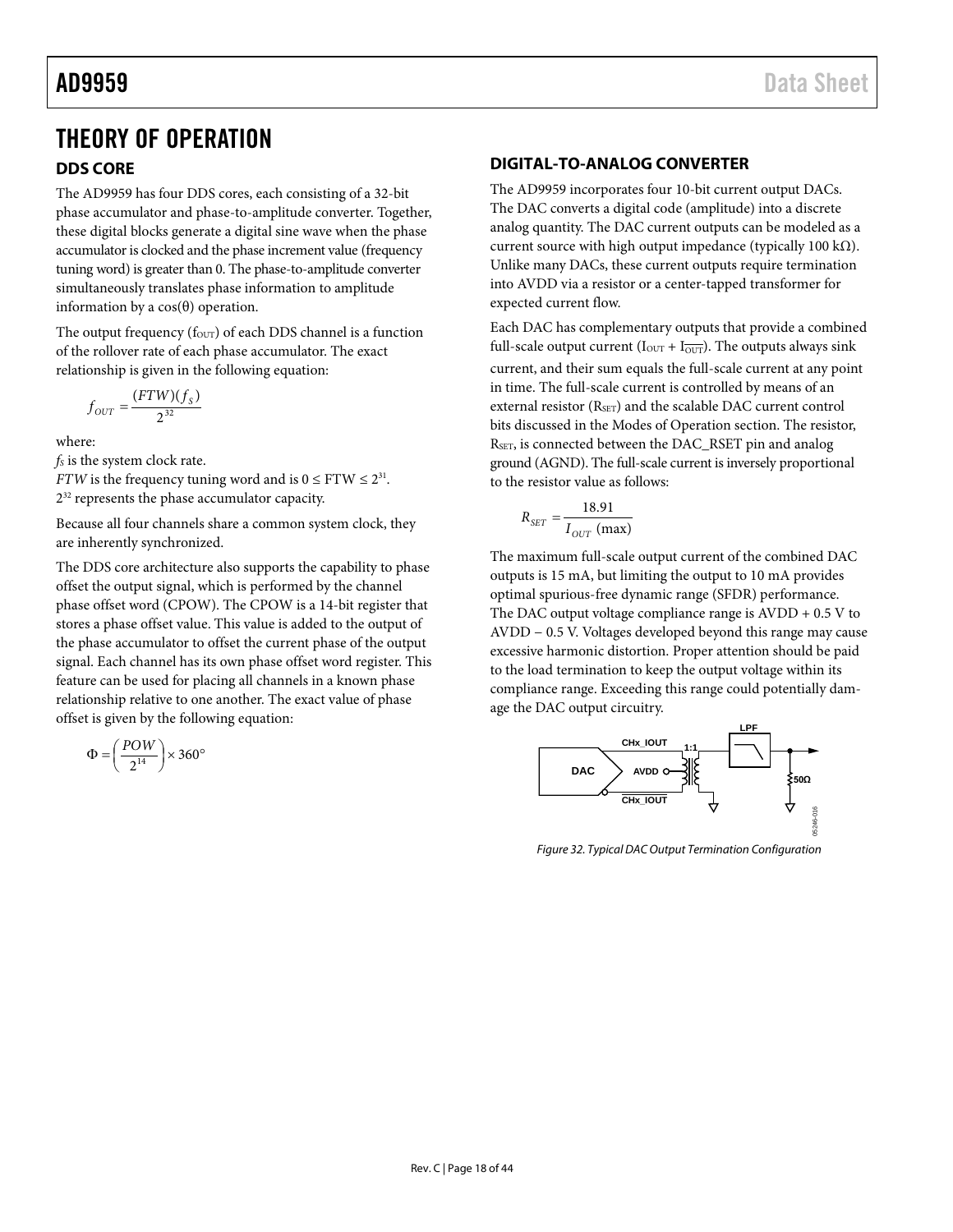# <span id="page-17-0"></span>THEORY OF OPERATION

# **DDS CORE**

The AD9959 has four DDS cores, each consisting of a 32-bit phase accumulator and phase-to-amplitude converter. Together, these digital blocks generate a digital sine wave when the phase accumulator is clocked and the phase increment value (frequency tuning word) is greater than 0. The phase-to-amplitude converter simultaneously translates phase information to amplitude information by a cos(θ) operation.

The output frequency ( $f_{\text{OUT}}$ ) of each DDS channel is a function of the rollover rate of each phase accumulator. The exact relationship is given in the following equation:

$$
f_{OUT} = \frac{(FTW)(f_s)}{2^{32}}
$$

where:

*fs* is the system clock rate.

*FTW* is the frequency tuning word and is  $0 \leq FTW \leq 2^{31}$ .  $2^{32}$  represents the phase accumulator capacity.

Because all four channels share a common system clock, they are inherently synchronized.

The DDS core architecture also supports the capability to phase offset the output signal, which is performed by the channel phase offset word (CPOW). The CPOW is a 14-bit register that stores a phase offset value. This value is added to the output of the phase accumulator to offset the current phase of the output signal. Each channel has its own phase offset word register. This feature can be used for placing all channels in a known phase relationship relative to one another. The exact value of phase offset is given by the following equation:

$$
\Phi = \left(\frac{POW}{2^{14}}\right) \times 360^{\circ}
$$

# **DIGITAL-TO-ANALOG CONVERTER**

The AD9959 incorporates four 10-bit current output DACs. The DAC converts a digital code (amplitude) into a discrete analog quantity. The DAC current outputs can be modeled as a current source with high output impedance (typically 100 kΩ). Unlike many DACs, these current outputs require termination into AVDD via a resistor or a center-tapped transformer for expected current flow.

Each DAC has complementary outputs that provide a combined full-scale output current ( $I_{\text{OUT}} + I_{\overline{\text{OUT}}}$ ). The outputs always sink current, and their sum equals the full-scale current at any point in time. The full-scale current is controlled by means of an external resistor (R<sub>SET</sub>) and the scalable DAC current control bits discussed in th[e Modes of Operation](#page-18-1) section. The resistor, RSET, is connected between the DAC\_RSET pin and analog ground (AGND). The full-scale current is inversely proportional to the resistor value as follows:

$$
R_{SET} = \frac{18.91}{I_{OUT} \text{ (max)}}
$$

The maximum full-scale output current of the combined DAC outputs is 15 mA, but limiting the output to 10 mA provides optimal spurious-free dynamic range (SFDR) performance. The DAC output voltage compliance range is  $AVDD + 0.5 V$  to AVDD − 0.5 V. Voltages developed beyond this range may cause excessive harmonic distortion. Proper attention should be paid to the load termination to keep the output voltage within its compliance range. Exceeding this range could potentially damage the DAC output circuitry.



*Figure 32. Typical DAC Output Termination Configuration*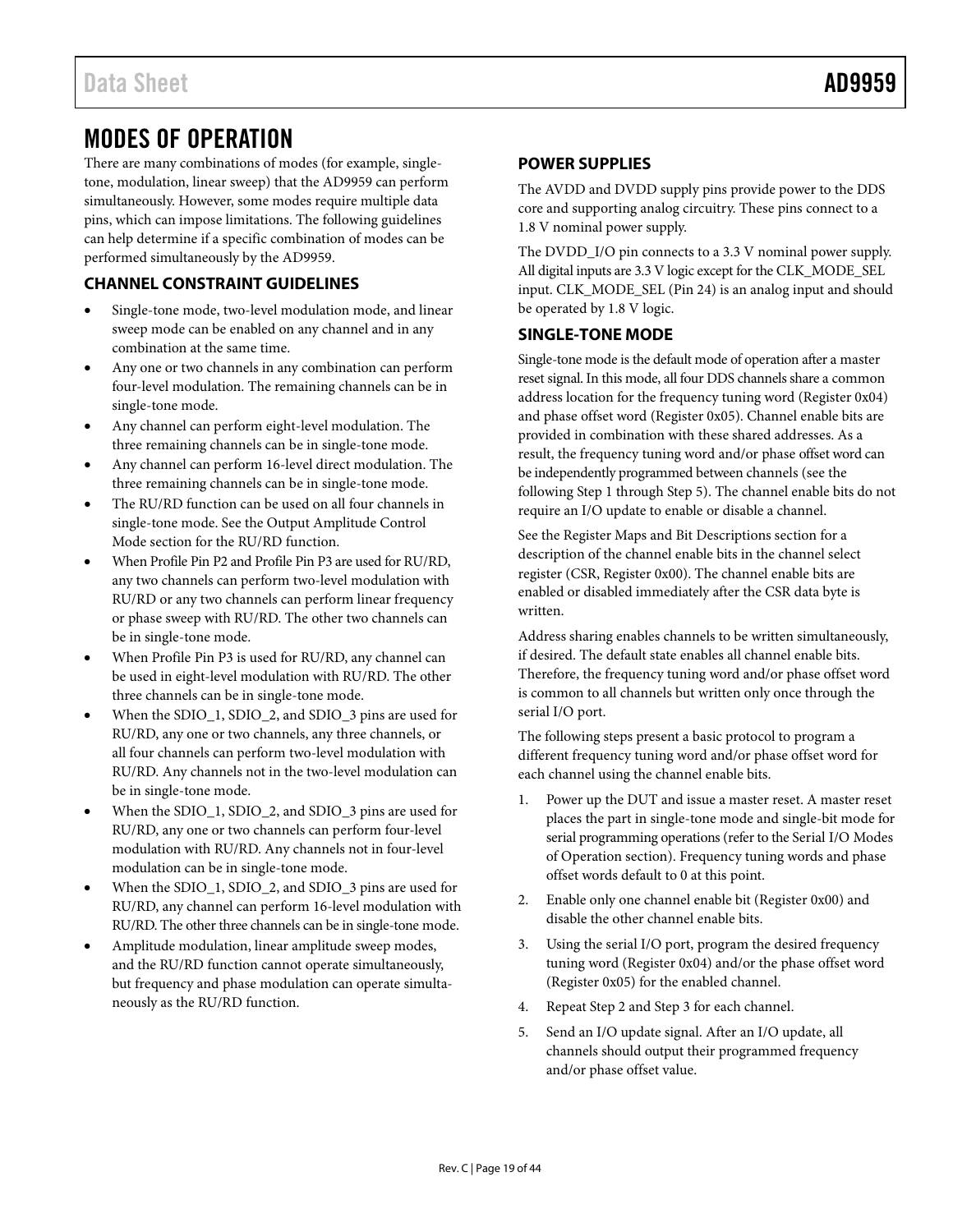# <span id="page-18-1"></span><span id="page-18-0"></span>MODES OF OPERATION

There are many combinations of modes (for example, singletone, modulation, linear sweep) that the AD9959 can perform simultaneously. However, some modes require multiple data pins, which can impose limitations. The following guidelines can help determine if a specific combination of modes can be performed simultaneously by the AD9959.

# **CHANNEL CONSTRAINT GUIDELINES**

- Single-tone mode, two-level modulation mode, and linear sweep mode can be enabled on any channel and in any combination at the same time.
- Any one or two channels in any combination can perform four-level modulation. The remaining channels can be in single-tone mode.
- Any channel can perform eight-level modulation. The three remaining channels can be in single-tone mode.
- Any channel can perform 16-level direct modulation. The three remaining channels can be in single-tone mode.
- The RU/RD function can be used on all four channels in single-tone mode. See th[e Output Amplitude Control](#page-27-1)  [Mode](#page-27-1) section for the RU/RD function.
- When Profile Pin P2 and Profile Pin P3 are used for RU/RD, any two channels can perform two-level modulation with RU/RD or any two channels can perform linear frequency or phase sweep with RU/RD. The other two channels can be in single-tone mode.
- When Profile Pin P3 is used for RU/RD, any channel can be used in eight-level modulation with RU/RD. The other three channels can be in single-tone mode.
- When the SDIO\_1, SDIO\_2, and SDIO\_3 pins are used for RU/RD, any one or two channels, any three channels, or all four channels can perform two-level modulation with RU/RD. Any channels not in the two-level modulation can be in single-tone mode.
- When the SDIO\_1, SDIO\_2, and SDIO\_3 pins are used for RU/RD, any one or two channels can perform four-level modulation with RU/RD. Any channels not in four-level modulation can be in single-tone mode.
- When the SDIO\_1, SDIO\_2, and SDIO\_3 pins are used for RU/RD, any channel can perform 16-level modulation with RU/RD. The other three channels can be in single-tone mode.
- Amplitude modulation, linear amplitude sweep modes, and the RU/RD function cannot operate simultaneously, but frequency and phase modulation can operate simultaneously as the RU/RD function.

# **POWER SUPPLIES**

The AVDD and DVDD supply pins provide power to the DDS core and supporting analog circuitry. These pins connect to a 1.8 V nominal power supply.

The DVDD\_I/O pin connects to a 3.3 V nominal power supply. All digital inputs are 3.3 V logic except for the CLK\_MODE\_SEL input. CLK\_MODE\_SEL (Pin 24) is an analog input and should be operated by 1.8 V logic.

## **SINGLE-TONE MODE**

Single-tone mode is the default mode of operation after a master reset signal. In this mode, all four DDS channels share a common address location for the frequency tuning word (Register 0x04) and phase offset word (Register 0x05). Channel enable bits are provided in combination with these shared addresses. As a result, the frequency tuning word and/or phase offset word can be independently programmed between channels (see the following Step 1 through Step 5). The channel enable bits do not require an I/O update to enable or disable a channel.

See the [Register Maps and Bit Descriptions](#page-35-1) section for a description of the channel enable bits in the channel select register (CSR, Register 0x00). The channel enable bits are enabled or disabled immediately after the CSR data byte is written.

Address sharing enables channels to be written simultaneously, if desired. The default state enables all channel enable bits. Therefore, the frequency tuning word and/or phase offset word is common to all channels but written only once through the serial I/O port.

The following steps present a basic protocol to program a different frequency tuning word and/or phase offset word for each channel using the channel enable bits.

- 1. Power up the DUT and issue a master reset. A master reset places the part in single-tone mode and single-bit mode for serial programming operations (refer to th[e Serial I/O Modes](#page-32-1)  [of Operation](#page-32-1) section). Frequency tuning words and phase offset words default to 0 at this point.
- 2. Enable only one channel enable bit (Register 0x00) and disable the other channel enable bits.
- 3. Using the serial I/O port, program the desired frequency tuning word (Register 0x04) and/or the phase offset word (Register 0x05) for the enabled channel.
- 4. Repeat Step 2 and Step 3 for each channel.
- 5. Send an I/O update signal. After an I/O update, all channels should output their programmed frequency and/or phase offset value.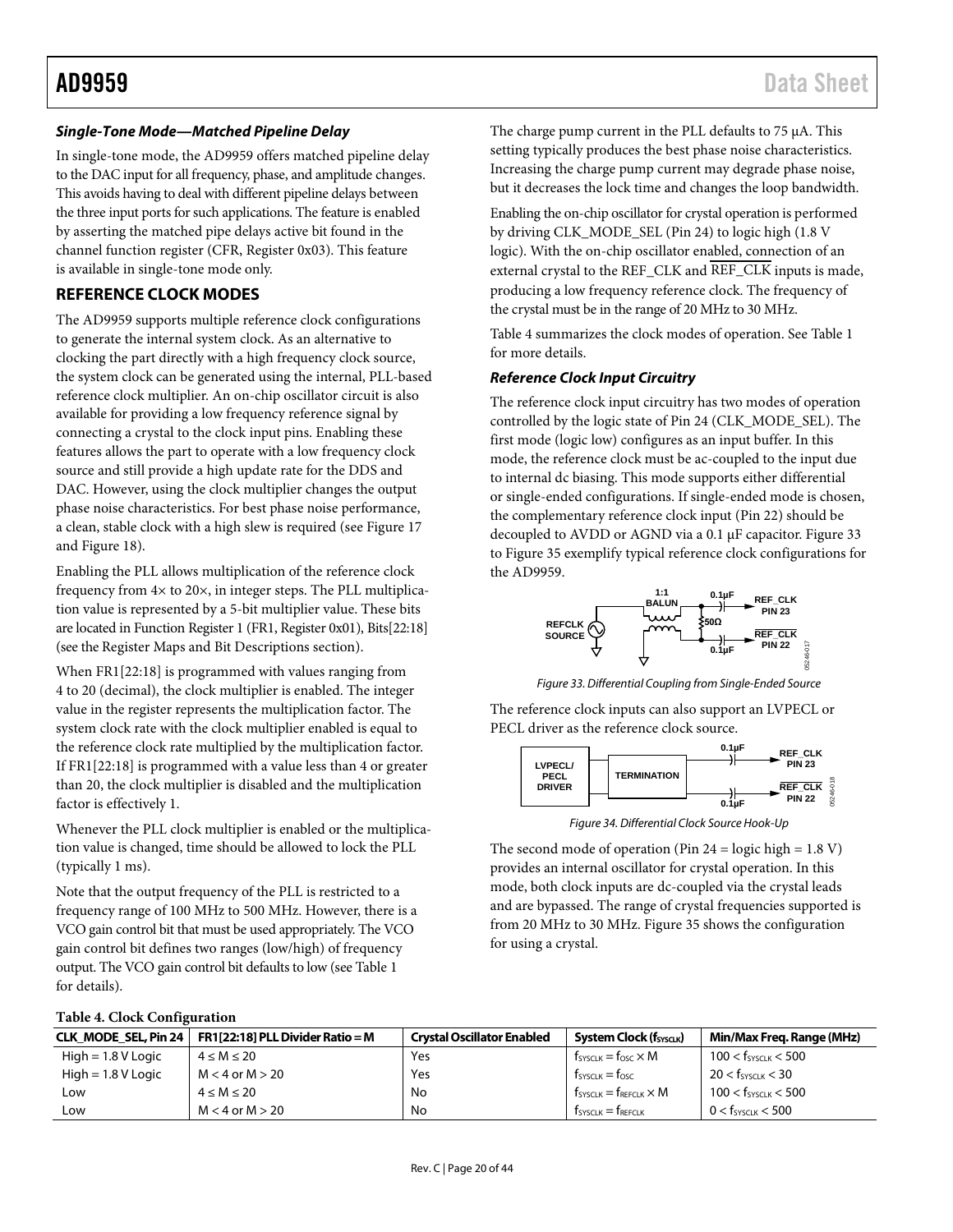#### <span id="page-19-4"></span><span id="page-19-0"></span>*Single-Tone Mode—Matched Pipeline Delay*

In single-tone mode, the AD9959 offers matched pipeline delay to the DAC input for all frequency, phase, and amplitude changes. This avoids having to deal with different pipeline delays between the three input ports for such applications. The feature is enabled by asserting the matched pipe delays active bit found in the channel function register (CFR, Register 0x03). This feature is available in single-tone mode only.

#### **REFERENCE CLOCK MODES**

The AD9959 supports multiple reference clock configurations to generate the internal system clock. As an alternative to clocking the part directly with a high frequency clock source, the system clock can be generated using the internal, PLL-based reference clock multiplier. An on-chip oscillator circuit is also available for providing a low frequency reference signal by connecting a crystal to the clock input pins. Enabling these features allows the part to operate with a low frequency clock source and still provide a high update rate for the DDS and DAC. However, using the clock multiplier changes the output phase noise characteristics. For best phase noise performance, a clean, stable clock with a high slew is required (see [Figure 17](#page-12-1) an[d Figure 18\)](#page-12-2).

Enabling the PLL allows multiplication of the reference clock frequency from 4× to 20×, in integer steps. The PLL multiplication value is represented by a 5-bit multiplier value. These bits are located in Function Register 1 (FR1, Register 0x01), Bits[22:18] (see th[e Register Maps and Bit Descriptions](#page-35-1) section).

When FR1[22:18] is programmed with values ranging from 4 to 20 (decimal), the clock multiplier is enabled. The integer value in the register represents the multiplication factor. The system clock rate with the clock multiplier enabled is equal to the reference clock rate multiplied by the multiplication factor. If FR1[22:18] is programmed with a value less than 4 or greater than 20, the clock multiplier is disabled and the multiplication factor is effectively 1.

Whenever the PLL clock multiplier is enabled or the multiplication value is changed, time should be allowed to lock the PLL (typically 1 ms).

Note that the output frequency of the PLL is restricted to a frequency range of 100 MHz to 500 MHz. However, there is a VCO gain control bit that must be used appropriately. The VCO gain control bit defines two ranges (low/high) of frequency output. The VCO gain control bit defaults to low (see [Table 1](#page-3-1) for details).

The charge pump current in the PLL defaults to 75 µA. This setting typically produces the best phase noise characteristics. Increasing the charge pump current may degrade phase noise, but it decreases the lock time and changes the loop bandwidth.

Enabling the on-chip oscillator for crystal operation is performed by driving CLK\_MODE\_SEL (Pin 24) to logic high (1.8 V logic). With the on-chip oscillator enabled, connection of an external crystal to the REF\_CLK and REF\_CLK inputs is made, producing a low frequency reference clock. The frequency of the crystal must be in the range of 20 MHz to 30 MHz.

[Table 4](#page-19-2) summarizes the clock modes of operation. Se[e Table 1](#page-3-1) for more details.

#### *Reference Clock Input Circuitry*

The reference clock input circuitry has two modes of operation controlled by the logic state of Pin 24 (CLK\_MODE\_SEL). The first mode (logic low) configures as an input buffer. In this mode, the reference clock must be ac-coupled to the input due to internal dc biasing. This mode supports either differential or single-ended configurations. If single-ended mode is chosen, the complementary reference clock input (Pin 22) should be decoupled to AVDD or AGND via a 0.1 µF capacitor. [Figure 33](#page-19-3) to [Figure 35](#page-20-1) exemplify typical reference clock configurations for the AD9959.



*Figure 33. Differential Coupling from Single-Ended Source*

<span id="page-19-3"></span>The reference clock inputs can also support an LVPECL or PECL driver as the reference clock source.



*Figure 34. Differential Clock Source Hook-Up*

<span id="page-19-1"></span>The second mode of operation (Pin  $24 = \text{logic high} = 1.8 \text{ V}$ ) provides an internal oscillator for crystal operation. In this mode, both clock inputs are dc-coupled via the crystal leads and are bypassed. The range of crystal frequencies supported is from 20 MHz to 30 MHz. [Figure 35](#page-20-1) shows the configuration for using a crystal.

#### <span id="page-19-2"></span>**Table 4. Clock Configuration**

|                      | CLK MODE SEL, Pin 24   FR1[22:18] PLL Divider Ratio = M | <b>Crystal Oscillator Enabled</b> | System Clock (fsyscuk)                           | Min/Max Freg. Range (MHz)       |
|----------------------|---------------------------------------------------------|-----------------------------------|--------------------------------------------------|---------------------------------|
| $High = 1.8 V Logic$ | $4 \le M \le 20$                                        | Yes                               | $f_{\text{SYSCLK}} = f_{\text{OSC}} \times M$    | $100 < f_{\text{SYSCLK}} < 500$ |
| $High = 1.8 V Logic$ | $M < 4$ or $M > 20$                                     | Yes                               | $f_{\text{SYSCLK}} = f_{\text{OSC}}$             | $20 < f_{\text{SYSCLK}} < 30$   |
| Low                  | $4 \le M \le 20$                                        | No                                | $f_{\text{SYSCLK}} = f_{\text{REFCLK}} \times M$ | $100 < f_{\text{SYSCLK}} < 500$ |
| Low                  | $M < 4$ or $M > 20$                                     | No                                | $f_{\text{SYSCLK}} = f_{\text{REFCLK}}$          | $0 < f_{\text{SYSCLK}} < 500$   |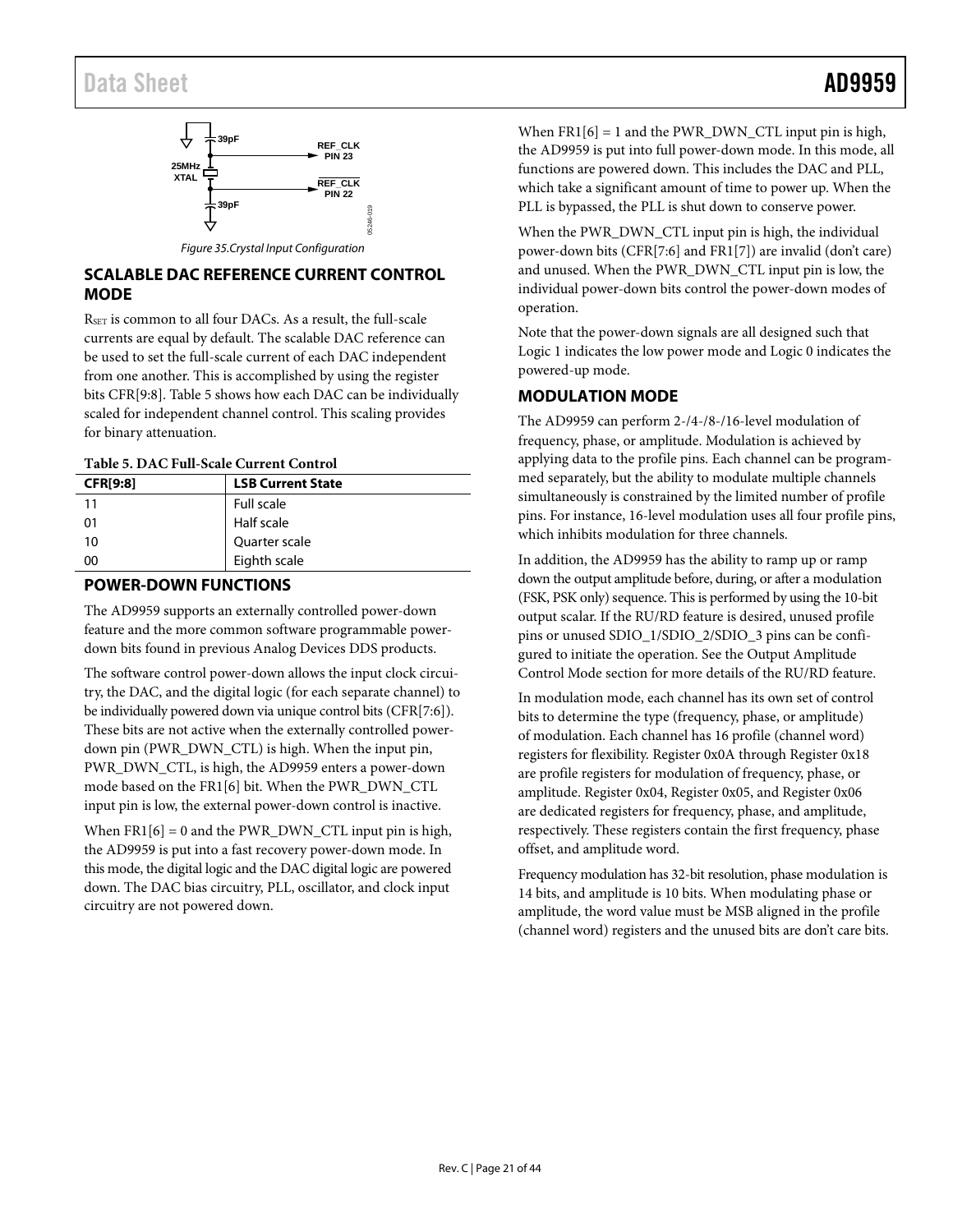# <span id="page-20-0"></span>Data Sheet **AD9959**



## <span id="page-20-1"></span>**SCALABLE DAC REFERENCE CURRENT CONTROL MODE**

RSET is common to all four DACs. As a result, the full-scale currents are equal by default. The scalable DAC reference can be used to set the full-scale current of each DAC independent from one another. This is accomplished by using the register bits CFR[9:8]. [Table 5](#page-20-2) shows how each DAC can be individually scaled for independent channel control. This scaling provides for binary attenuation.

#### <span id="page-20-2"></span>**Table 5. DAC Full-Scale Current Control**

| <b>CFR[9:8]</b> | <b>LSB Current State</b> |
|-----------------|--------------------------|
| 11              | <b>Full scale</b>        |
| 01              | Half scale               |
| 10              | Quarter scale            |
| 00              | Eighth scale             |

#### **POWER-DOWN FUNCTIONS**

The AD9959 supports an externally controlled power-down feature and the more common software programmable powerdown bits found in previous Analog Devices DDS products.

The software control power-down allows the input clock circuitry, the DAC, and the digital logic (for each separate channel) to be individually powered down via unique control bits (CFR[7:6]). These bits are not active when the externally controlled powerdown pin (PWR\_DWN\_CTL) is high. When the input pin, PWR\_DWN\_CTL, is high, the AD9959 enters a power-down mode based on the FR1[6] bit. When the PWR\_DWN\_CTL input pin is low, the external power-down control is inactive.

When  $FR1[6] = 0$  and the PWR\_DWN\_CTL input pin is high, the AD9959 is put into a fast recovery power-down mode. In this mode, the digital logic and the DAC digital logic are powered down. The DAC bias circuitry, PLL, oscillator, and clock input circuitry are not powered down.

When  $FR1[6] = 1$  and the PWR\_DWN\_CTL input pin is high, the AD9959 is put into full power-down mode. In this mode, all functions are powered down. This includes the DAC and PLL, which take a significant amount of time to power up. When the PLL is bypassed, the PLL is shut down to conserve power.

When the PWR\_DWN\_CTL input pin is high, the individual power-down bits (CFR[7:6] and FR1[7]) are invalid (don't care) and unused. When the PWR\_DWN\_CTL input pin is low, the individual power-down bits control the power-down modes of operation.

Note that the power-down signals are all designed such that Logic 1 indicates the low power mode and Logic 0 indicates the powered-up mode.

## <span id="page-20-3"></span>**MODULATION MODE**

The AD9959 can perform 2-/4-/8-/16-level modulation of frequency, phase, or amplitude. Modulation is achieved by applying data to the profile pins. Each channel can be programmed separately, but the ability to modulate multiple channels simultaneously is constrained by the limited number of profile pins. For instance, 16-level modulation uses all four profile pins, which inhibits modulation for three channels.

In addition, the AD9959 has the ability to ramp up or ramp down the output amplitude before, during, or after a modulation (FSK, PSK only) sequence. This is performed by using the 10-bit output scalar. If the RU/RD feature is desired, unused profile pins or unused SDIO\_1/SDIO\_2/SDIO\_3 pins can be configured to initiate the operation. See the [Output Amplitude](#page-27-1)  [Control Mode](#page-27-1) section for more details of the RU/RD feature.

In modulation mode, each channel has its own set of control bits to determine the type (frequency, phase, or amplitude) of modulation. Each channel has 16 profile (channel word) registers for flexibility. Register 0x0A through Register 0x18 are profile registers for modulation of frequency, phase, or amplitude. Register 0x04, Register 0x05, and Register 0x06 are dedicated registers for frequency, phase, and amplitude, respectively. These registers contain the first frequency, phase offset, and amplitude word.

Frequency modulation has 32-bit resolution, phase modulation is 14 bits, and amplitude is 10 bits. When modulating phase or amplitude, the word value must be MSB aligned in the profile (channel word) registers and the unused bits are don't care bits.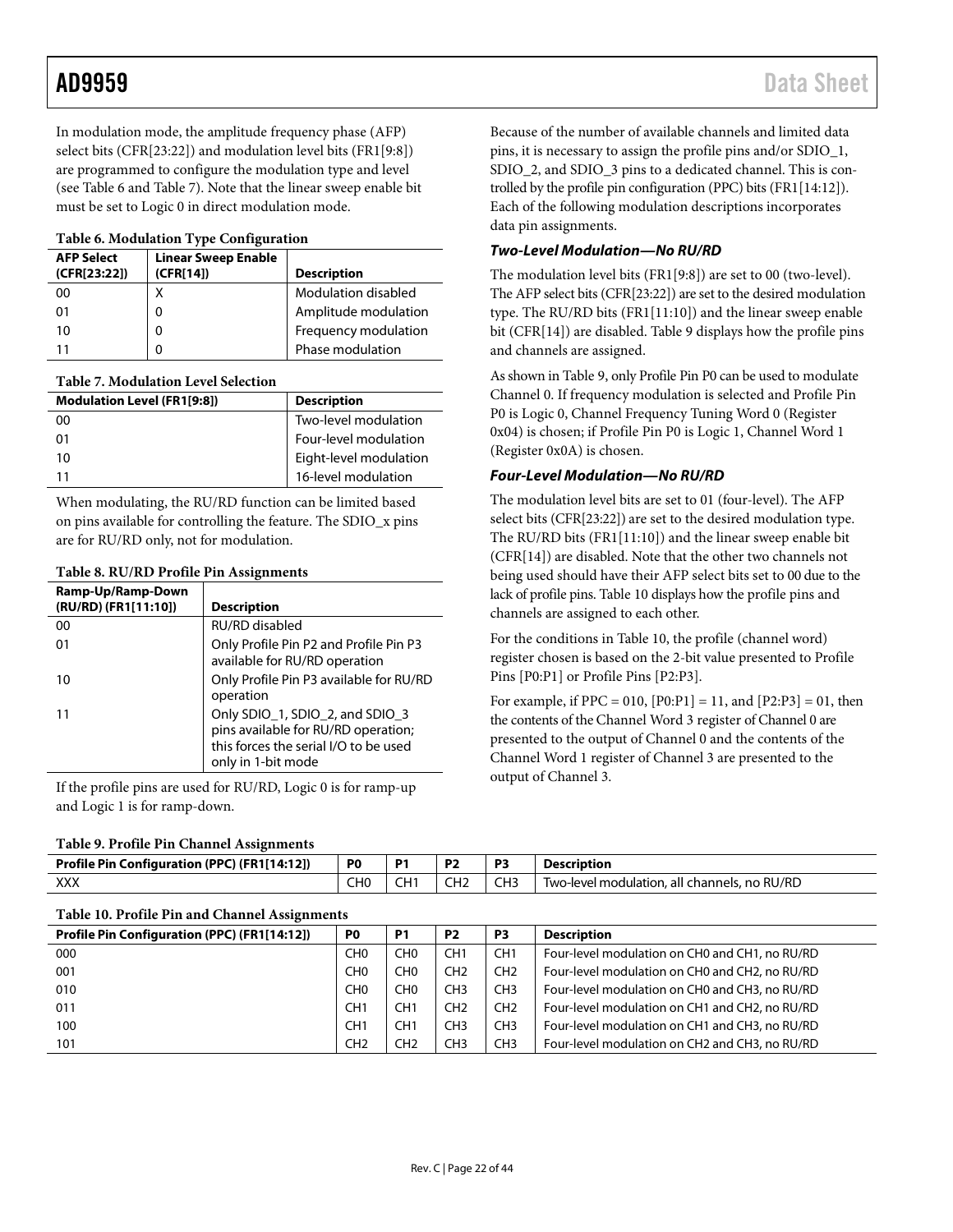In modulation mode, the amplitude frequency phase (AFP) select bits (CFR[23:22]) and modulation level bits (FR1[9:8]) are programmed to configure the modulation type and level (see [Table 6](#page-21-0) an[d Table 7\)](#page-21-1). Note that the linear sweep enable bit must be set to Logic 0 in direct modulation mode.

#### <span id="page-21-0"></span>**Table 6. Modulation Type Configuration**

| <b>AFP Select</b><br>(CFR[23:22]) | <b>Linear Sweep Enable</b><br>(CFR[14]) | <b>Description</b>   |
|-----------------------------------|-----------------------------------------|----------------------|
| 00                                | Χ                                       | Modulation disabled  |
| 01                                | 0                                       | Amplitude modulation |
| 10                                |                                         | Frequency modulation |
| 11                                |                                         | Phase modulation     |

#### <span id="page-21-1"></span>**Table 7. Modulation Level Selection**

| <b>Modulation Level (FR1[9:8])</b> | <b>Description</b>     |
|------------------------------------|------------------------|
| 00                                 | Two-level modulation   |
| 01                                 | Four-level modulation  |
| 10                                 | Eight-level modulation |
| 11                                 | 16-level modulation    |

When modulating, the RU/RD function can be limited based on pins available for controlling the feature. The SDIO\_x pins are for RU/RD only, not for modulation.

| Table 8. RU/RD Profile Pin Assignments |  |  |
|----------------------------------------|--|--|
|----------------------------------------|--|--|

| Ramp-Up/Ramp-Down<br>(RU/RD) (FR1[11:10]) | <b>Description</b>                                                                                                                    |
|-------------------------------------------|---------------------------------------------------------------------------------------------------------------------------------------|
| 00                                        | RU/RD disabled                                                                                                                        |
| 01                                        | Only Profile Pin P2 and Profile Pin P3<br>available for RU/RD operation                                                               |
| 10                                        | Only Profile Pin P3 available for RU/RD<br>operation                                                                                  |
| 11                                        | Only SDIO_1, SDIO_2, and SDIO_3<br>pins available for RU/RD operation;<br>this forces the serial I/O to be used<br>only in 1-bit mode |

If the profile pins are used for RU/RD, Logic 0 is for ramp-up and Logic 1 is for ramp-down.

### <span id="page-21-2"></span>**Table 9. Profile Pin Channel Assignments**

| Table 9. Frome Fill Channel Assignments      |                |     |           |                 |                                              |  |
|----------------------------------------------|----------------|-----|-----------|-----------------|----------------------------------------------|--|
| Profile Pin Configuration (PPC) (FR1[14:12]) | P <sub>0</sub> |     | <b>P2</b> | DЗ              | <b>Description</b>                           |  |
| XXX                                          |                | CH1 | CH2       | CH <sub>3</sub> | Two-level modulation, all channels, no RU/RD |  |

#### <span id="page-21-3"></span>**Table 10. Profile Pin and Channel Assignments**

Because of the number of available channels and limited data pins, it is necessary to assign the profile pins and/or SDIO\_1, SDIO\_2, and SDIO\_3 pins to a dedicated channel. This is controlled by the profile pin configuration (PPC) bits (FR1[14:12]). Each of the following modulation descriptions incorporates data pin assignments.

### *Two-Level Modulation—No RU/RD*

The modulation level bits (FR1[9:8]) are set to 00 (two-level). The AFP select bits (CFR[23:22]) are set to the desired modulation type. The RU/RD bits (FR1[11:10]) and the linear sweep enable bit (CFR[14]) are disabled. [Table 9](#page-21-2) displays how the profile pins and channels are assigned.

As shown in [Table 9,](#page-21-2) only Profile Pin P0 can be used to modulate Channel 0. If frequency modulation is selected and Profile Pin P0 is Logic 0, Channel Frequency Tuning Word 0 (Register 0x04) is chosen; if Profile Pin P0 is Logic 1, Channel Word 1 (Register 0x0A) is chosen.

#### *Four-Level Modulation—No RU/RD*

The modulation level bits are set to 01 (four-level). The AFP select bits (CFR[23:22]) are set to the desired modulation type. The RU/RD bits (FR1[11:10]) and the linear sweep enable bit (CFR[14]) are disabled. Note that the other two channels not being used should have their AFP select bits set to 00 due to the lack of profile pins[. Table 10](#page-21-3) displays how the profile pins and channels are assigned to each other.

For the conditions i[n Table 10,](#page-21-3) the profile (channel word) register chosen is based on the 2-bit value presented to Profile Pins [P0:P1] or Profile Pins [P2:P3].

For example, if  $PPC = 010$ ,  $[PO:PI] = 11$ , and  $[P2:PI] = 01$ , then the contents of the Channel Word 3 register of Channel 0 are presented to the output of Channel 0 and the contents of the Channel Word 1 register of Channel 3 are presented to the output of Channel 3.

| Profile Pin Configuration (PPC) (FR1[14:12]) | P <sub>0</sub>  | P1  | P <sub>2</sub>  | P3              | <b>Description</b>                             |
|----------------------------------------------|-----------------|-----|-----------------|-----------------|------------------------------------------------|
| 000                                          | CH0             | CH0 | CH <sub>1</sub> | CH <sub>1</sub> | Four-level modulation on CH0 and CH1, no RU/RD |
| 001                                          | CH <sub>0</sub> | CHO | CH <sub>2</sub> | CH <sub>2</sub> | Four-level modulation on CH0 and CH2, no RU/RD |
| 010                                          | CH <sub>0</sub> | CHO | CH <sub>3</sub> | CH <sub>3</sub> | Four-level modulation on CH0 and CH3, no RU/RD |
| 011                                          | CH <sub>1</sub> | CH1 | CH <sub>2</sub> | CH <sub>2</sub> | Four-level modulation on CH1 and CH2, no RU/RD |
| 100                                          | CH <sub>1</sub> | CH1 | CH <sub>3</sub> | CH <sub>3</sub> | Four-level modulation on CH1 and CH3, no RU/RD |
| 101                                          | CH2             | CH2 | CH <sub>3</sub> | CH <sub>3</sub> | Four-level modulation on CH2 and CH3, no RU/RD |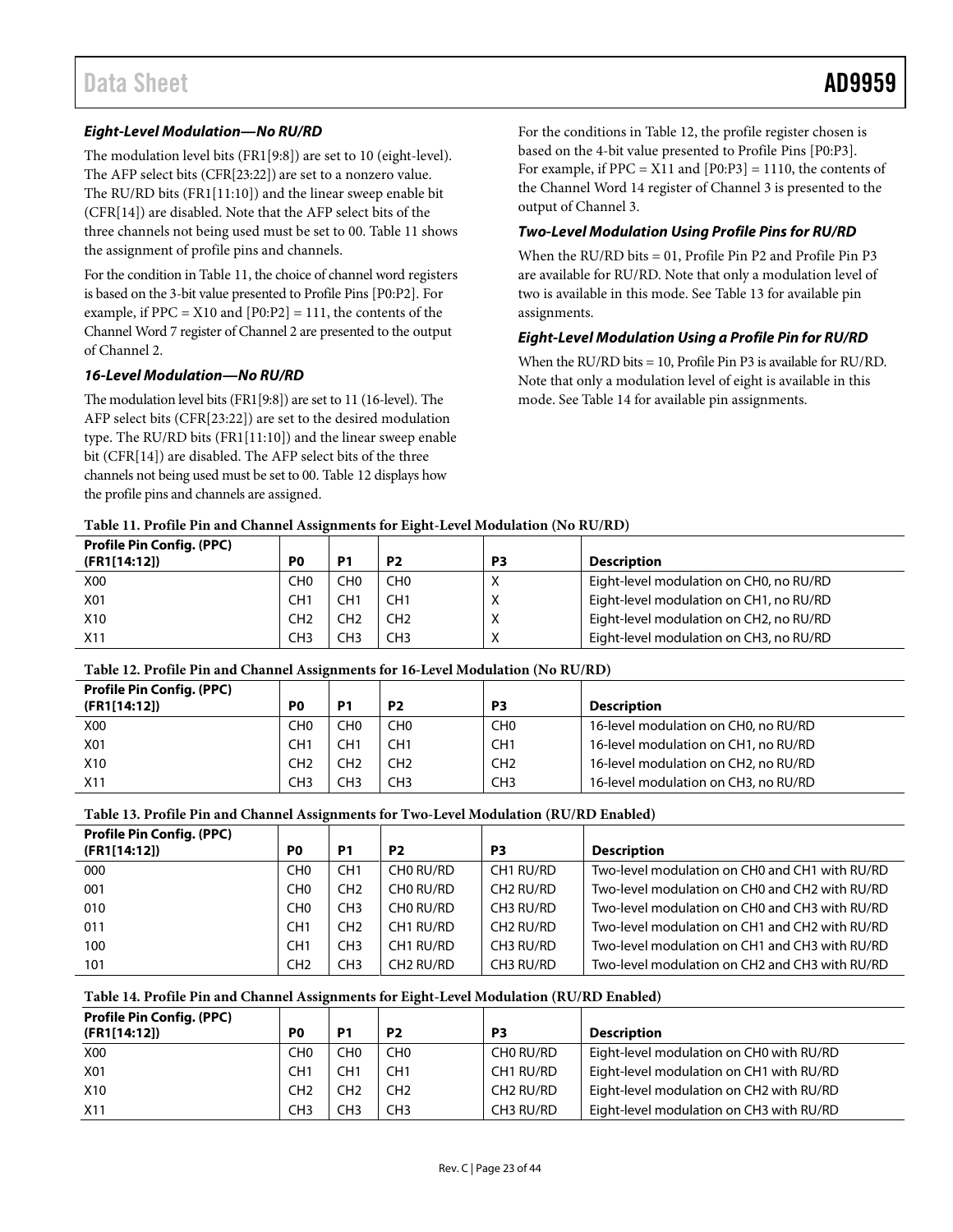### *Eight-Level Modulation—No RU/RD*

The modulation level bits (FR1[9:8]) are set to 10 (eight-level). The AFP select bits (CFR[23:22]) are set to a nonzero value. The RU/RD bits (FR1[11:10]) and the linear sweep enable bit (CFR[14]) are disabled. Note that the AFP select bits of the three channels not being used must be set to 00[. Table 11](#page-22-0) shows the assignment of profile pins and channels.

For the condition i[n Table 11,](#page-22-0) the choice of channel word registers is based on the 3-bit value presented to Profile Pins [P0:P2]. For example, if  $PPC = X10$  and  $[P0:P2] = 111$ , the contents of the Channel Word 7 register of Channel 2 are presented to the output of Channel 2.

#### *16-Level Modulation—No RU/RD*

The modulation level bits (FR1[9:8]) are set to 11 (16-level). The AFP select bits (CFR[23:22]) are set to the desired modulation type. The RU/RD bits (FR1[11:10]) and the linear sweep enable bit (CFR[14]) are disabled. The AFP select bits of the three channels not being used must be set to 00. [Table 12](#page-22-1) displays how the profile pins and channels are assigned.

For the conditions i[n Table 12,](#page-22-1) the profile register chosen is based on the 4-bit value presented to Profile Pins [P0:P3]. For example, if  $PPC = X11$  and  $[P0:P3] = 1110$ , the contents of the Channel Word 14 register of Channel 3 is presented to the output of Channel 3.

#### *Two-Level Modulation Using Profile Pins for RU/RD*

When the RU/RD bits = 01, Profile Pin P2 and Profile Pin P3 are available for RU/RD. Note that only a modulation level of two is available in this mode. Se[e Table 13](#page-22-2) for available pin assignments.

#### *Eight-Level Modulation Using a Profile Pin for RU/RD*

When the RU/RD bits = 10, Profile Pin P3 is available for RU/RD. Note that only a modulation level of eight is available in this mode. See [Table 14](#page-22-3) for available pin assignments.

#### <span id="page-22-0"></span>**Table 11. Profile Pin and Channel Assignments for Eight-Level Modulation (No RU/RD)**

| <b>Profile Pin Config. (PPC)</b><br>(FR1[14:12]) | P <sub>0</sub>  | P <sub>1</sub>  | P <sub>2</sub>  | P3           | <b>Description</b>                      |
|--------------------------------------------------|-----------------|-----------------|-----------------|--------------|-----------------------------------------|
| X00                                              | CH <sub>0</sub> | CH <sub>0</sub> | CH <sub>0</sub> |              | Eight-level modulation on CH0, no RU/RD |
| X01                                              | CH <sub>1</sub> | CH <sub>1</sub> | CH <sub>1</sub> |              | Eight-level modulation on CH1, no RU/RD |
| X10                                              | CH <sub>2</sub> | CH <sub>2</sub> | CH <sub>2</sub> | v            | Eight-level modulation on CH2, no RU/RD |
| X <sub>11</sub>                                  | CH <sub>3</sub> | CH <sub>3</sub> | CH <sub>3</sub> | $\checkmark$ | Eight-level modulation on CH3, no RU/RD |

#### <span id="page-22-1"></span>**Table 12. Profile Pin and Channel Assignments for 16-Level Modulation (No RU/RD)**

| <b>Profile Pin Config. (PPC)</b><br>(FR1[14:12]) | P <sub>0</sub>  | P1              | P <sub>2</sub>  | P3              | <b>Description</b>                   |
|--------------------------------------------------|-----------------|-----------------|-----------------|-----------------|--------------------------------------|
| X <sub>00</sub>                                  | CHO             | CH <sub>0</sub> | CH <sub>0</sub> | CH0             | 16-level modulation on CH0, no RU/RD |
| X01                                              | CH <sub>1</sub> | CH <sub>1</sub> | CH <sub>1</sub> | CH <sub>1</sub> | 16-level modulation on CH1, no RU/RD |
| X10                                              | CH <sub>2</sub> | CH2             | CH2             | CH <sub>2</sub> | 16-level modulation on CH2, no RU/RD |
| X <sub>11</sub>                                  | CH3             | CH <sub>3</sub> | CH <sub>3</sub> | CH <sub>3</sub> | 16-level modulation on CH3, no RU/RD |

#### <span id="page-22-2"></span>**Table 13. Profile Pin and Channel Assignments for Two-Level Modulation (RU/RD Enabled)**

| <b>Profile Pin Config. (PPC)</b> |                  |                 |                       |                       |                                                |
|----------------------------------|------------------|-----------------|-----------------------|-----------------------|------------------------------------------------|
| (FR1[14:12])                     | P <sub>0</sub>   | P <sub>1</sub>  | P <sub>2</sub>        | P <sub>3</sub>        | <b>Description</b>                             |
| 000                              | CH <sub>0</sub>  | CH <sub>1</sub> | CHO RU/RD             | CH1 RU/RD             | Two-level modulation on CH0 and CH1 with RU/RD |
| 001                              | C <sub>H</sub> O | CH <sub>2</sub> | CHO RU/RD             | CH <sub>2</sub> RU/RD | Two-level modulation on CH0 and CH2 with RU/RD |
| 010                              | C <sub>H</sub> O | CH <sub>3</sub> | CHO RU/RD             | CH3 RU/RD             | Two-level modulation on CH0 and CH3 with RU/RD |
| 011                              | CH <sub>1</sub>  | CH <sub>2</sub> | CH1 RU/RD             | CH <sub>2</sub> RU/RD | Two-level modulation on CH1 and CH2 with RU/RD |
| 100                              | CH <sub>1</sub>  | CH <sub>3</sub> | CH1 RU/RD             | CH3 RU/RD             | Two-level modulation on CH1 and CH3 with RU/RD |
| 101                              | CH <sub>2</sub>  | CH <sub>3</sub> | CH <sub>2</sub> RU/RD | CH3 RU/RD             | Two-level modulation on CH2 and CH3 with RU/RD |

#### <span id="page-22-3"></span>**Table 14. Profile Pin and Channel Assignments for Eight-Level Modulation (RU/RD Enabled)**

| <b>Profile Pin Config. (PPC)</b><br>(FR1[14:12]) | P <sub>0</sub>  | P1              | P <sub>2</sub>  | P3                    | Description                              |
|--------------------------------------------------|-----------------|-----------------|-----------------|-----------------------|------------------------------------------|
| <b>X00</b>                                       | CH0             | CH <sub>0</sub> | CH <sub>0</sub> | CHO RU/RD             | Eight-level modulation on CH0 with RU/RD |
| X01                                              | CH1             | CH <sub>1</sub> | CH <sub>1</sub> | CH1 RU/RD             | Eight-level modulation on CH1 with RU/RD |
| X10                                              | CH <sub>2</sub> | CH <sub>2</sub> | CH <sub>2</sub> | CH <sub>2</sub> RU/RD | Eight-level modulation on CH2 with RU/RD |
| X11                                              | CH <sub>3</sub> | CH <sub>3</sub> | CH <sub>3</sub> | CH3 RU/RD             | Eight-level modulation on CH3 with RU/RD |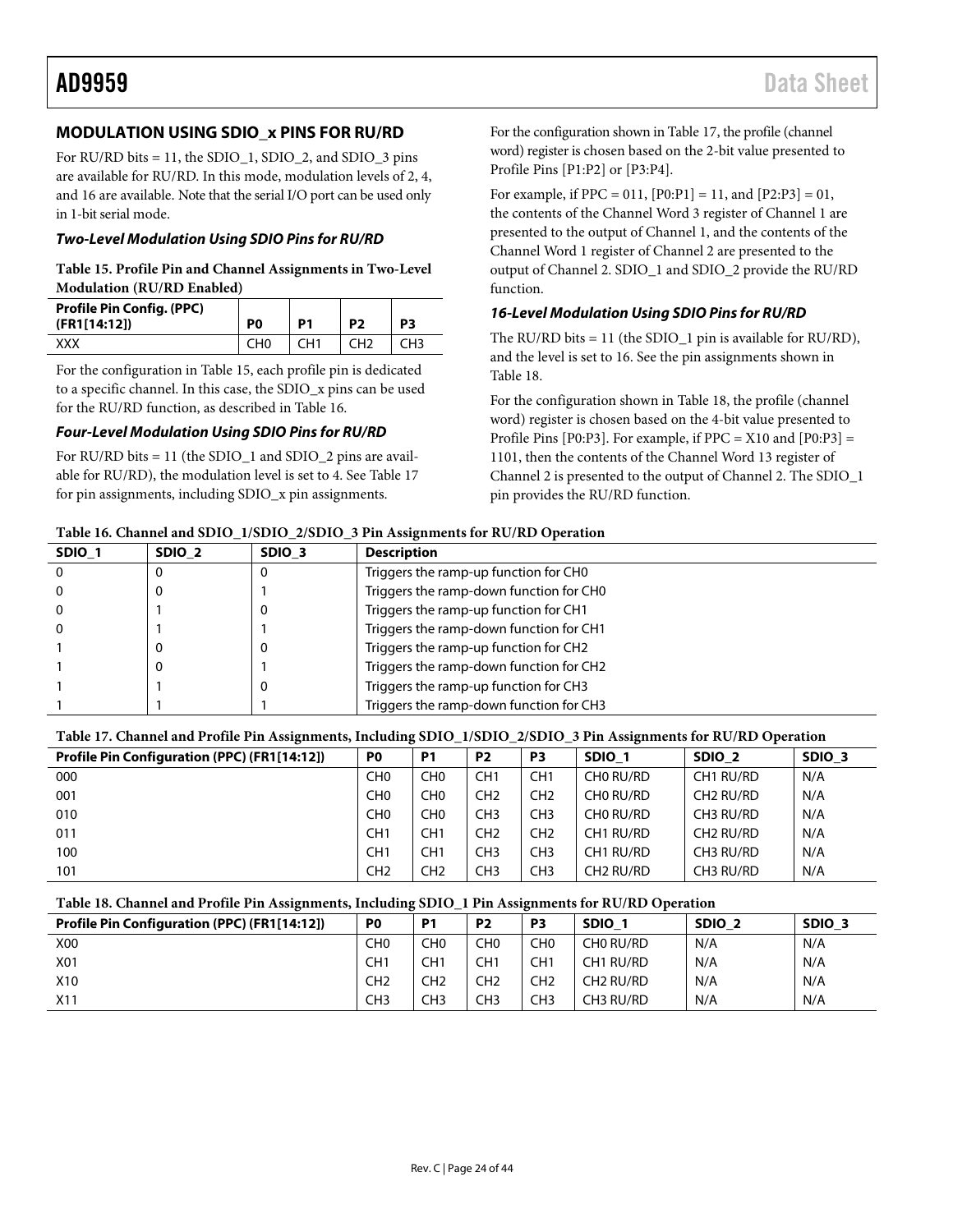# <span id="page-23-0"></span>**MODULATION USING SDIO\_x PINS FOR RU/RD**

For RU/RD bits = 11, the SDIO\_1, SDIO\_2, and SDIO\_3 pins are available for RU/RD. In this mode, modulation levels of 2, 4, and 16 are available. Note that the serial I/O port can be used only in 1-bit serial mode.

#### *Two-Level Modulation Using SDIO Pins for RU/RD*

#### <span id="page-23-1"></span>**Table 15. Profile Pin and Channel Assignments in Two-Level Modulation (RU/RD Enabled)**

| <b>Profile Pin Config. (PPC)</b><br>(FR1[14:12]) | P <sub>0</sub>  | P <sub>1</sub>  | P <sub>2</sub>  | P3  |
|--------------------------------------------------|-----------------|-----------------|-----------------|-----|
| xxx                                              | CH <sub>0</sub> | CH <sub>1</sub> | CH <sub>2</sub> | CH3 |

For the configuration in [Table 15,](#page-23-1) each profile pin is dedicated to a specific channel. In this case, the SDIO\_x pins can be used for the RU/RD function, as described in [Table 16.](#page-23-2)

#### *Four-Level Modulation Using SDIO Pins for RU/RD*

For RU/RD bits  $= 11$  (the SDIO 1 and SDIO 2 pins are available for RU/RD), the modulation level is set to 4. Se[e Table 17](#page-23-3) for pin assignments, including SDIO\_x pin assignments.

For the configuration shown i[n Table 17,](#page-23-3) the profile (channel word) register is chosen based on the 2-bit value presented to Profile Pins [P1:P2] or [P3:P4].

For example, if PPC = 011, [P0:P1] = 11, and [P2:P3] = 01, the contents of the Channel Word 3 register of Channel 1 are presented to the output of Channel 1, and the contents of the Channel Word 1 register of Channel 2 are presented to the output of Channel 2. SDIO\_1 and SDIO\_2 provide the RU/RD function.

#### *16-Level Modulation Using SDIO Pins for RU/RD*

The RU/RD bits = 11 (the SDIO\_1 pin is available for RU/RD), and the level is set to 16. See the pin assignments shown in [Table 18.](#page-23-4)

For the configuration shown i[n Table 18,](#page-23-4) the profile (channel word) register is chosen based on the 4-bit value presented to Profile Pins [P0:P3]. For example, if  $PPC = X10$  and  $[P0:P3] =$ 1101, then the contents of the Channel Word 13 register of Channel 2 is presented to the output of Channel 2. The SDIO\_1 pin provides the RU/RD function.

#### <span id="page-23-2"></span>**Table 16. Channel and SDIO\_1/SDIO\_2/SDIO\_3 Pin Assignments for RU/RD Operation**

| SDIO <sub>1</sub> | SDIO <sub>2</sub> | SDIO <sub>3</sub> | <b>Description</b>                      |
|-------------------|-------------------|-------------------|-----------------------------------------|
| $\Omega$          |                   |                   | Triggers the ramp-up function for CHO   |
| $\Omega$          |                   |                   | Triggers the ramp-down function for CH0 |
| 0                 |                   | U                 | Triggers the ramp-up function for CH1   |
| 0                 |                   |                   | Triggers the ramp-down function for CH1 |
|                   |                   |                   | Triggers the ramp-up function for CH2   |
|                   |                   |                   | Triggers the ramp-down function for CH2 |
|                   |                   |                   | Triggers the ramp-up function for CH3   |
|                   |                   |                   | Triggers the ramp-down function for CH3 |

# <span id="page-23-3"></span>**Table 17. Channel and Profile Pin Assignments, Including SDIO\_1/SDIO\_2/SDIO\_3 Pin Assignments for RU/RD Operation**

| Profile Pin Configuration (PPC) (FR1[14:12]) | P <sub>0</sub>  | P1              | P <sub>2</sub>  | P <sub>3</sub>  | SDIO 1                | SDIO <sub>2</sub>     | SDIO <sub>3</sub> |
|----------------------------------------------|-----------------|-----------------|-----------------|-----------------|-----------------------|-----------------------|-------------------|
| 000                                          | CH <sub>0</sub> | CH0             | CH1             | CH <sub>1</sub> | CHO RU/RD             | CH1 RU/RD             | N/A               |
| 001                                          | CH <sub>0</sub> | CH0             | CH <sub>2</sub> | CH <sub>2</sub> | CHO RU/RD             | CH <sub>2</sub> RU/RD | N/A               |
| 010                                          | CH <sub>0</sub> | CH <sub>0</sub> | CH3             | CH <sub>3</sub> | CHO RU/RD             | CH3 RU/RD             | N/A               |
| 011                                          | CH <sub>1</sub> | CH <sub>1</sub> | CH <sub>2</sub> | CH <sub>2</sub> | CH1 RU/RD             | CH <sub>2</sub> RU/RD | N/A               |
| 100                                          | CH <sub>1</sub> | CH1             | CH3             | CH <sub>3</sub> | CH1 RU/RD             | CH3 RU/RD             | N/A               |
| 101                                          | CH <sub>2</sub> | CH <sub>2</sub> | CH3             | CH <sub>3</sub> | CH <sub>2</sub> RU/RD | CH3 RU/RD             | N/A               |

#### <span id="page-23-4"></span>**Table 18. Channel and Profile Pin Assignments, Including SDIO\_1 Pin Assignments for RU/RD Operation**

| .,<br><b>Profile Pin Configuration (PPC) (FR1[14:12])</b> | P <sub>0</sub> | P <sub>1</sub>  | P <sub>2</sub>  | P <sub>3</sub>  | <b>SDIO</b>           | SDIO <sub>2</sub> | SDIO <sub>3</sub> |
|-----------------------------------------------------------|----------------|-----------------|-----------------|-----------------|-----------------------|-------------------|-------------------|
| <b>X00</b>                                                | CHO            | CH <sub>0</sub> | CHO             | CH <sub>0</sub> | CHO RU/RD             | N/A               | N/A               |
| X01                                                       | CH1            | CH <sub>1</sub> | CH1             | CH1             | CH1 RU/RD             | N/A               | N/A               |
| X <sub>10</sub>                                           | CH2            | CH <sub>2</sub> | CH <sub>2</sub> | CH <sub>2</sub> | CH <sub>2</sub> RU/RD | N/A               | N/A               |
| X11                                                       | CH3            | CH <sub>3</sub> | CH3             | CH <sub>3</sub> | CH3 RU/RD             | N/A               | N/A               |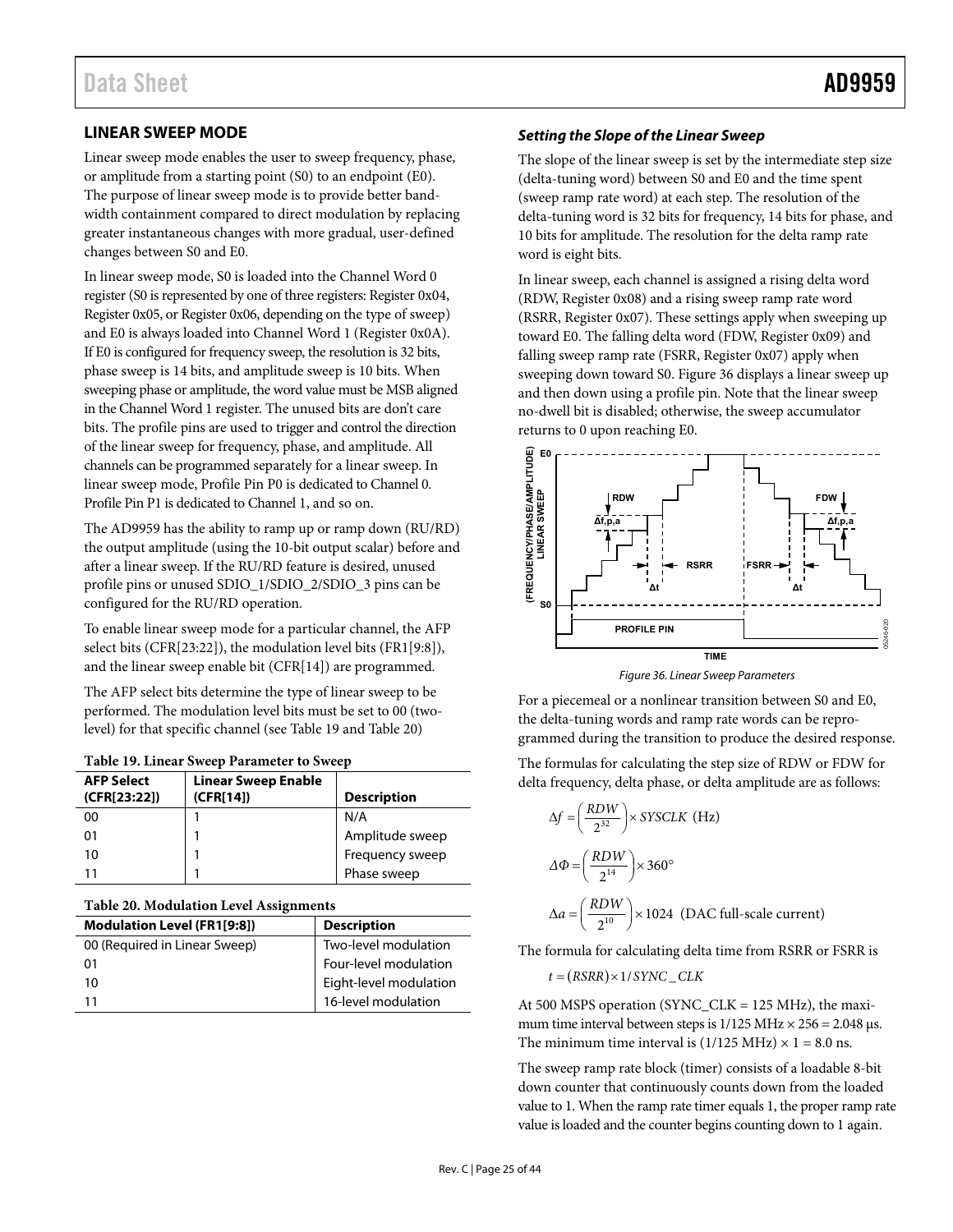# <span id="page-24-4"></span><span id="page-24-0"></span>**LINEAR SWEEP MODE**

Linear sweep mode enables the user to sweep frequency, phase, or amplitude from a starting point (S0) to an endpoint (E0). The purpose of linear sweep mode is to provide better bandwidth containment compared to direct modulation by replacing greater instantaneous changes with more gradual, user-defined changes between S0 and E0.

In linear sweep mode, S0 is loaded into the Channel Word 0 register (S0 is represented by one of three registers: Register 0x04, Register 0x05, or Register 0x06, depending on the type of sweep) and E0 is always loaded into Channel Word 1 (Register 0x0A). If E0 is configured for frequency sweep, the resolution is 32 bits, phase sweep is 14 bits, and amplitude sweep is 10 bits. When sweeping phase or amplitude, the word value must be MSB aligned in the Channel Word 1 register. The unused bits are don't care bits. The profile pins are used to trigger and control the direction of the linear sweep for frequency, phase, and amplitude. All channels can be programmed separately for a linear sweep. In linear sweep mode, Profile Pin P0 is dedicated to Channel 0. Profile Pin P1 is dedicated to Channel 1, and so on.

The AD9959 has the ability to ramp up or ramp down (RU/RD) the output amplitude (using the 10-bit output scalar) before and after a linear sweep. If the RU/RD feature is desired, unused profile pins or unused SDIO\_1/SDIO\_2/SDIO\_3 pins can be configured for the RU/RD operation.

To enable linear sweep mode for a particular channel, the AFP select bits (CFR[23:22]), the modulation level bits (FR1[9:8]), and the linear sweep enable bit (CFR[14]) are programmed.

The AFP select bits determine the type of linear sweep to be performed. The modulation level bits must be set to 00 (twolevel) for that specific channel (se[e Table 19 a](#page-24-1)nd [Table 20\)](#page-24-2)

| <b>AFP Select</b><br>(CFR[23:22]) | <b>Linear Sweep Enable</b><br>(CFR[14]) | <b>Description</b> |
|-----------------------------------|-----------------------------------------|--------------------|
| 00                                |                                         | N/A                |
| 01                                |                                         | Amplitude sweep    |
| 10                                |                                         | Frequency sweep    |
| 11                                |                                         | Phase sweep        |

<span id="page-24-1"></span>

| Table 19. Linear Sweep Parameter to Sweep |  |
|-------------------------------------------|--|
|-------------------------------------------|--|

<span id="page-24-2"></span>

| <b>Description</b>     |
|------------------------|
| Two-level modulation   |
| Four-level modulation  |
| Eight-level modulation |
| 16-level modulation    |
|                        |

## **Setting the Slope of the Linear Sweep**

The slope of the linear sweep is set by the intermediate step size (delta-tuning word) between S0 and E0 and the time spent (sweep ramp rate word) at each step. The resolution of the delta-tuning word is 32 bits for frequency, 14 bits for phase, and 10 bits for amplitude. The resolution for the delta ramp rate word is eight bits.

In linear sweep, each channel is assigned a rising delta word (RDW, Register 0x08) and a rising sweep ramp rate word (RSRR, Register 0x07). These settings apply when sweeping up toward E0. The falling delta word (FDW, Register 0x09) and falling sweep ramp rate (FSRR, Register 0x07) apply when sweeping down toward S0. [Figure 36 d](#page-24-3)isplays a linear sweep up and then down using a profile pin. Note that the linear sweep no-dwell bit is disabled; otherwise, the sweep accumulator returns to 0 upon reaching E0.



Figure 36. Linear Sweep Parameters

<span id="page-24-3"></span>For a piecemeal or a nonlinear transition between S0 and E0, the delta-tuning words and ramp rate words can be reprogrammed during the transition to produce the desired response.

The formulas for calculating the step size of RDW or FDW for delta frequency, delta phase, or delta amplitude are as follows:

$$
\Delta f = \left(\frac{RDW}{2^{32}}\right) \times SYSCLK \text{ (Hz)}
$$
\n
$$
\Delta \Phi = \left(\frac{RDW}{2^{14}}\right) \times 360^{\circ}
$$
\n
$$
\Delta a = \left(\frac{RDW}{2^{10}}\right) \times 1024 \text{ (DAC full-scale current)}
$$

The formula for calculating delta time from RSRR or FSRR is

 $t = (RSRR) \times 1 / SYNC \_CLK$ 

At 500 MSPS operation (SYNC\_CLK = 125 MHz), the maximum time interval between steps is  $1/125$  MHz  $\times$  256 = 2.048 μs. The minimum time interval is  $(1/125 \text{ MHz}) \times 1 = 8.0 \text{ ns}.$ 

The sweep ramp rate block (timer) consists of a loadable 8-bit down counter that continuously counts down from the loaded value to 1. When the ramp rate timer equals 1, the proper ramp rate value is loaded and the counter begins counting down to 1 again.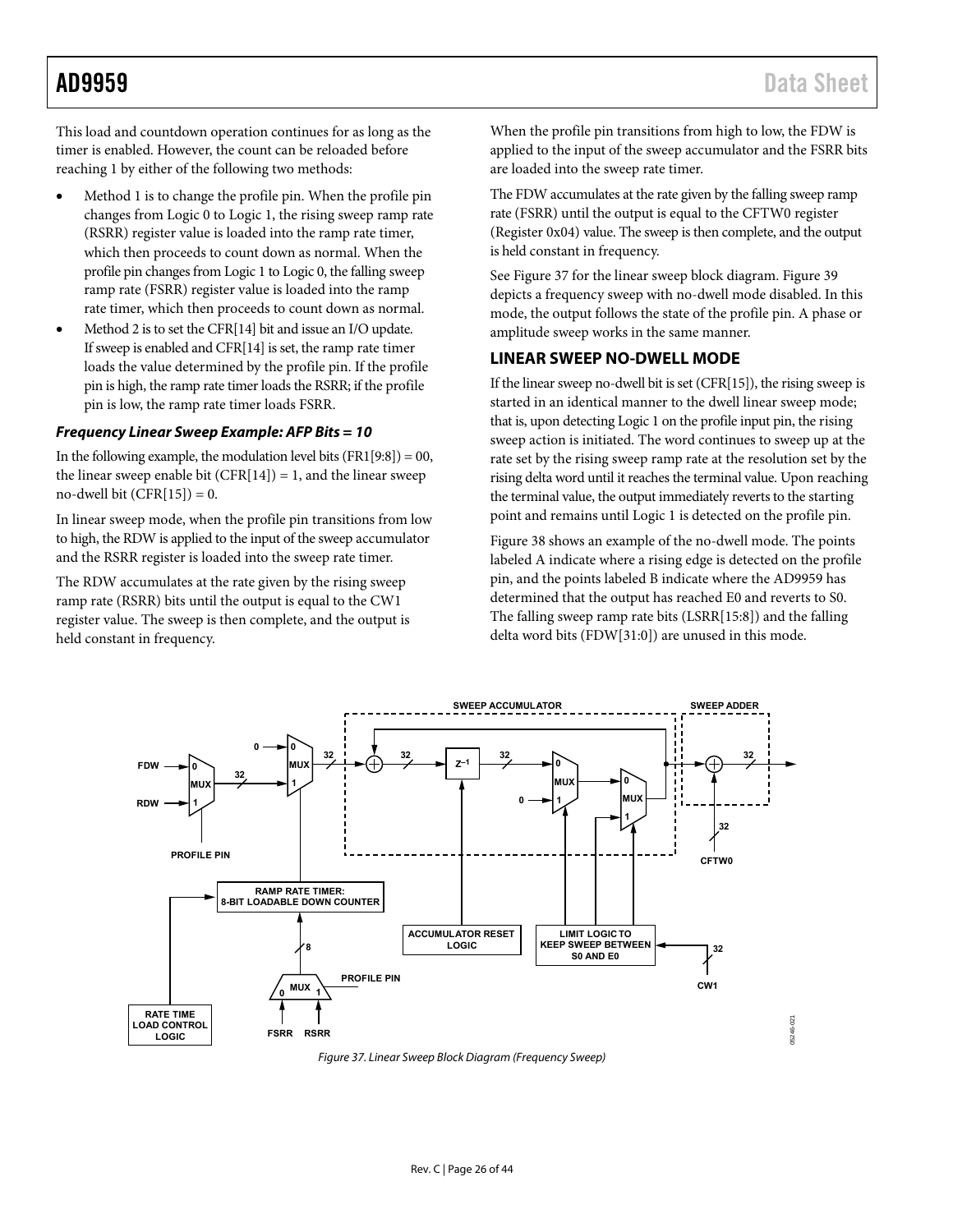<span id="page-25-0"></span>This load and countdown operation continues for as long as the timer is enabled. However, the count can be reloaded before reaching 1 by either of the following two methods:

- Method 1 is to change the profile pin. When the profile pin changes from Logic 0 to Logic 1, the rising sweep ramp rate (RSRR) register value is loaded into the ramp rate timer, which then proceeds to count down as normal. When the profile pin changes from Logic 1 to Logic 0, the falling sweep ramp rate (FSRR) register value is loaded into the ramp rate timer, which then proceeds to count down as normal.
- Method 2 is to set the CFR[14] bit and issue an I/O update. If sweep is enabled and CFR[14] is set, the ramp rate timer loads the value determined by the profile pin. If the profile pin is high, the ramp rate timer loads the RSRR; if the profile pin is low, the ramp rate timer loads FSRR.

### **Frequency Linear Sweep Example: AFP Bits = 10**

In the following example, the modulation level bits  $(FRI[9:8]) = 00$ , the linear sweep enable bit  $(CFR[14]) = 1$ , and the linear sweep no-dwell bit  $(CFR[15]) = 0$ .

In linear sweep mode, when the profile pin transitions from low to high, the RDW is applied to the input of the sweep accumulator and the RSRR register is loaded into the sweep rate timer.

The RDW accumulates at the rate given by the rising sweep ramp rate (RSRR) bits until the output is equal to the CW1 register value. The sweep is then complete, and the output is held constant in frequency.

When the profile pin transitions from high to low, the FDW is applied to the input of the sweep accumulator and the FSRR bits are loaded into the sweep rate timer.

The FDW accumulates at the rate given by the falling sweep ramp rate (FSRR) until the output is equal to the CFTW0 register (Register 0x04) value. The sweep is then complete, and the output is held constant in frequency.

See [Figure 37 f](#page-25-1)or the linear sweep block diagram. [Figure 39](#page-26-1)  depicts a frequency sweep with no-dwell mode disabled. In this mode, the output follows the state of the profile pin. A phase or amplitude sweep works in the same manner.

# **LINEAR SWEEP NO-DWELL MODE**

If the linear sweep no-dwell bit is set (CFR[15]), the rising sweep is started in an identical manner to the dwell linear sweep mode; that is, upon detecting Logic 1 on the profile input pin, the rising sweep action is initiated. The word continues to sweep up at the rate set by the rising sweep ramp rate at the resolution set by the rising delta word until it reaches the terminal value. Upon reaching the terminal value, the output immediately reverts to the starting point and remains until Logic 1 is detected on the profile pin.

[Figure 38 s](#page-26-2)hows an example of the no-dwell mode. The points labeled A indicate where a rising edge is detected on the profile pin, and the points labeled B indicate where the AD9959 has determined that the output has reached E0 and reverts to S0. The falling sweep ramp rate bits (LSRR[15:8]) and the falling delta word bits (FDW[31:0]) are unused in this mode.



<span id="page-25-1"></span>Figure 37. Linear Sweep Block Diagram (Frequency Sweep)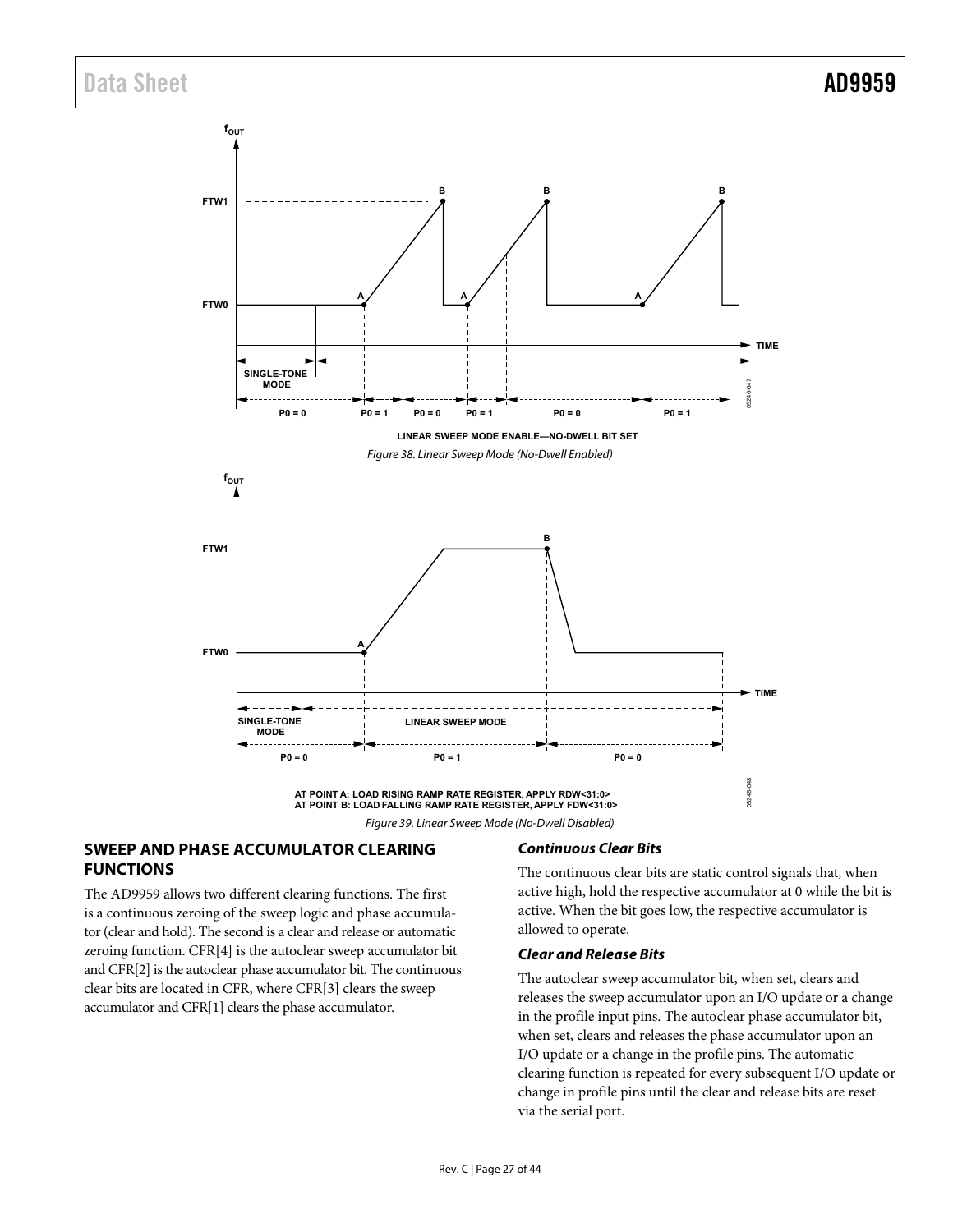<span id="page-26-2"></span><span id="page-26-0"></span>

#### <span id="page-26-1"></span>**SWEEP AND PHASE ACCUMULATOR CLEARING FUNCTIONS**

The AD9959 allows two different clearing functions. The first is a continuous zeroing of the sweep logic and phase accumulator (clear and hold). The second is a clear and release or automatic zeroing function. CFR[4] is the autoclear sweep accumulator bit and CFR[2] is the autoclear phase accumulator bit. The continuous clear bits are located in CFR, where CFR[3] clears the sweep accumulator and CFR[1] clears the phase accumulator.

#### **Continuous Clear Bits**

The continuous clear bits are static control signals that, when active high, hold the respective accumulator at 0 while the bit is active. When the bit goes low, the respective accumulator is allowed to operate.

#### **Clear and Release Bits**

The autoclear sweep accumulator bit, when set, clears and releases the sweep accumulator upon an I/O update or a change in the profile input pins. The autoclear phase accumulator bit, when set, clears and releases the phase accumulator upon an I/O update or a change in the profile pins. The automatic clearing function is repeated for every subsequent I/O update or change in profile pins until the clear and release bits are reset via the serial port.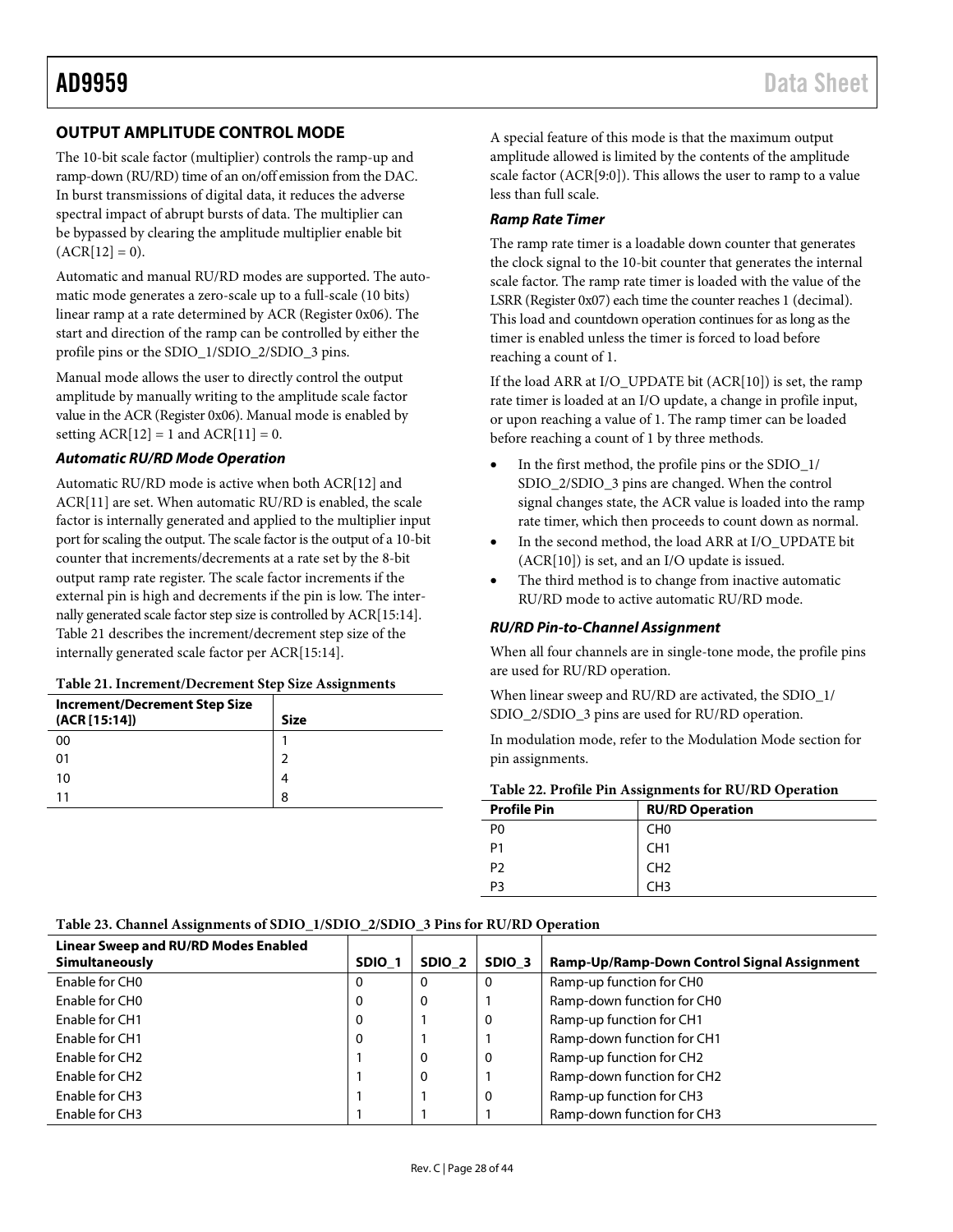# <span id="page-27-0"></span>AD9959 Data Sheet

# <span id="page-27-1"></span>**OUTPUT AMPLITUDE CONTROL MODE**

The 10-bit scale factor (multiplier) controls the ramp-up and ramp-down (RU/RD) time of an on/off emission from the DAC. In burst transmissions of digital data, it reduces the adverse spectral impact of abrupt bursts of data. The multiplier can be bypassed by clearing the amplitude multiplier enable bit  $(ACR[12] = 0).$ 

Automatic and manual RU/RD modes are supported. The automatic mode generates a zero-scale up to a full-scale (10 bits) linear ramp at a rate determined by ACR (Register 0x06). The start and direction of the ramp can be controlled by either the profile pins or the SDIO\_1/SDIO\_2/SDIO\_3 pins.

Manual mode allows the user to directly control the output amplitude by manually writing to the amplitude scale factor value in the ACR (Register 0x06). Manual mode is enabled by setting  $ACR[12] = 1$  and  $ACR[11] = 0$ .

#### *Automatic RU/RD Mode Operation*

Automatic RU/RD mode is active when both ACR[12] and ACR[11] are set. When automatic RU/RD is enabled, the scale factor is internally generated and applied to the multiplier input port for scaling the output. The scale factor is the output of a 10-bit counter that increments/decrements at a rate set by the 8-bit output ramp rate register. The scale factor increments if the external pin is high and decrements if the pin is low. The internally generated scale factor step size is controlled by ACR[15:14]. [Table 21](#page-27-2) describes the increment/decrement step size of the internally generated scale factor per ACR[15:14].

#### <span id="page-27-2"></span>**Table 21. Increment/Decrement Step Size Assignments**

| <b>Increment/Decrement Step Size</b><br>(ACR [15:14]) | <b>Size</b> |
|-------------------------------------------------------|-------------|
| 00                                                    |             |
| 01                                                    | ີ           |
| 10                                                    |             |
|                                                       | 8           |

A special feature of this mode is that the maximum output amplitude allowed is limited by the contents of the amplitude scale factor (ACR[9:0]). This allows the user to ramp to a value less than full scale.

#### *Ramp Rate Timer*

The ramp rate timer is a loadable down counter that generates the clock signal to the 10-bit counter that generates the internal scale factor. The ramp rate timer is loaded with the value of the LSRR (Register 0x07) each time the counter reaches 1 (decimal). This load and countdown operation continues for as long as the timer is enabled unless the timer is forced to load before reaching a count of 1.

If the load ARR at I/O\_UPDATE bit (ACR[10]) is set, the ramp rate timer is loaded at an I/O update, a change in profile input, or upon reaching a value of 1. The ramp timer can be loaded before reaching a count of 1 by three methods.

- In the first method, the profile pins or the SDIO\_1/ SDIO\_2/SDIO\_3 pins are changed. When the control signal changes state, the ACR value is loaded into the ramp rate timer, which then proceeds to count down as normal.
- In the second method, the load ARR at I/O\_UPDATE bit (ACR[10]) is set, and an I/O update is issued.
- The third method is to change from inactive automatic RU/RD mode to active automatic RU/RD mode.

#### *RU/RD Pin-to-Channel Assignment*

When all four channels are in single-tone mode, the profile pins are used for RU/RD operation.

When linear sweep and RU/RD are activated, the SDIO  $1/$ SDIO\_2/SDIO\_3 pins are used for RU/RD operation.

In modulation mode, refer to the [Modulation Mode](#page-20-3) section for pin assignments.

| Table 22. Profile Pin Assignments for RU/RD Operation |  |  |
|-------------------------------------------------------|--|--|
|-------------------------------------------------------|--|--|

| <b>Profile Pin</b> | <b>RU/RD Operation</b> |
|--------------------|------------------------|
| P <sub>0</sub>     | CH <sub>0</sub>        |
| P1                 | CH <sub>1</sub>        |
| P <sub>2</sub>     | CH2                    |
| P3                 | CH <sub>3</sub>        |

#### **Table 23. Channel Assignments of SDIO\_1/SDIO\_2/SDIO\_3 Pins for RU/RD Operation**

| Linear Sweep and RU/RD Modes Enabled<br><b>Simultaneously</b> | SDIO <sub>1</sub> | SDIO <sub>2</sub> | SDIO <sub>3</sub> | Ramp-Up/Ramp-Down Control Signal Assignment |
|---------------------------------------------------------------|-------------------|-------------------|-------------------|---------------------------------------------|
| Enable for CHO                                                | 0                 | 0                 | 0                 | Ramp-up function for CH0                    |
| Enable for CHO                                                | 0                 | 0                 |                   | Ramp-down function for CH0                  |
| Enable for CH1                                                | 0                 |                   | 0                 | Ramp-up function for CH1                    |
| Enable for CH1                                                | 0                 |                   |                   | Ramp-down function for CH1                  |
| Enable for CH <sub>2</sub>                                    |                   | $\mathbf{0}$      | 0                 | Ramp-up function for CH2                    |
| Enable for CH <sub>2</sub>                                    |                   | $\mathbf{0}$      |                   | Ramp-down function for CH2                  |
| Enable for CH3                                                |                   |                   | 0                 | Ramp-up function for CH3                    |
| Enable for CH3                                                |                   |                   |                   | Ramp-down function for CH3                  |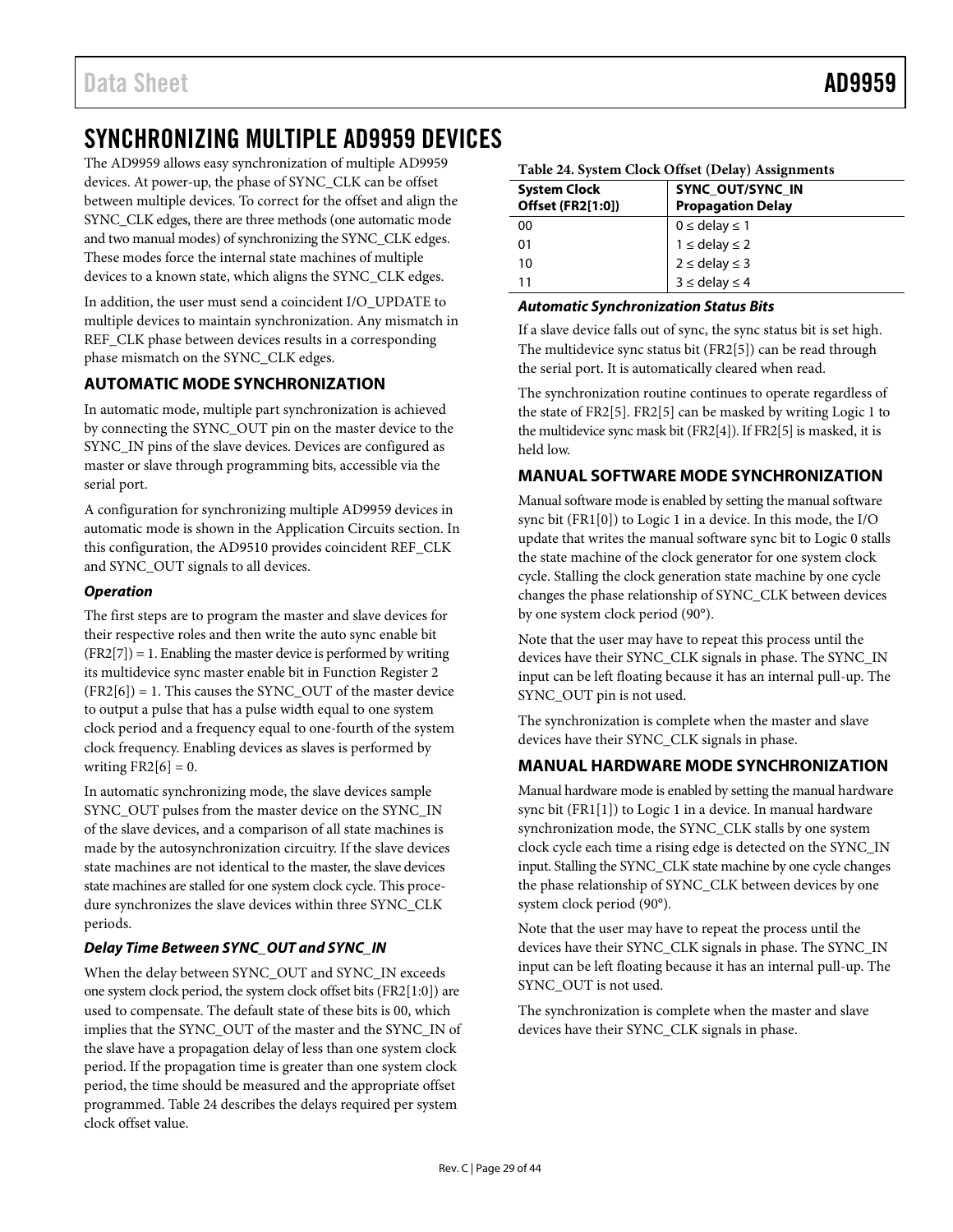# <span id="page-28-2"></span><span id="page-28-0"></span>SYNCHRONIZING MULTIPLE AD9959 DEVICES

The AD9959 allows easy synchronization of multiple AD9959 devices. At power-up, the phase of SYNC\_CLK can be offset between multiple devices. To correct for the offset and align the SYNC\_CLK edges, there are three methods (one automatic mode and two manual modes) of synchronizing the SYNC\_CLK edges. These modes force the internal state machines of multiple devices to a known state, which aligns the SYNC\_CLK edges.

In addition, the user must send a coincident I/O\_UPDATE to multiple devices to maintain synchronization. Any mismatch in REF\_CLK phase between devices results in a corresponding phase mismatch on the SYNC\_CLK edges.

# **AUTOMATIC MODE SYNCHRONIZATION**

In automatic mode, multiple part synchronization is achieved by connecting the SYNC\_OUT pin on the master device to the SYNC\_IN pins of the slave devices. Devices are configured as master or slave through programming bits, accessible via the serial port.

A configuration for synchronizing multiple AD9959 devices in automatic mode is shown in the [Application Circuits](#page-13-1) section. In this configuration, the AD9510 provides coincident REF\_CLK and SYNC\_OUT signals to all devices.

### *Operation*

The first steps are to program the master and slave devices for their respective roles and then write the auto sync enable bit  $(FR2[7]) = 1$ . Enabling the master device is performed by writing its multidevice sync master enable bit in Function Register 2  $(FR2[6]) = 1$ . This causes the SYNC\_OUT of the master device to output a pulse that has a pulse width equal to one system clock period and a frequency equal to one-fourth of the system clock frequency. Enabling devices as slaves is performed by writing  $FR2[6] = 0$ .

In automatic synchronizing mode, the slave devices sample SYNC\_OUT pulses from the master device on the SYNC\_IN of the slave devices, and a comparison of all state machines is made by the autosynchronization circuitry. If the slave devices state machines are not identical to the master, the slave devices state machines are stalled for one system clock cycle. This procedure synchronizes the slave devices within three SYNC\_CLK periods.

## *Delay Time Between SYNC\_OUT and SYNC\_IN*

When the delay between SYNC\_OUT and SYNC\_IN exceeds one system clock period, the system clock offset bits (FR2[1:0]) are used to compensate. The default state of these bits is 00, which implies that the SYNC\_OUT of the master and the SYNC\_IN of the slave have a propagation delay of less than one system clock period. If the propagation time is greater than one system clock period, the time should be measured and the appropriate offset programmed. [Table 24](#page-28-1) describes the delays required per system clock offset value.

<span id="page-28-1"></span>

|  |  |  | Table 24. System Clock Offset (Delay) Assignments |
|--|--|--|---------------------------------------------------|
|  |  |  |                                                   |

| <b>System Clock</b><br><b>Offset (FR2[1:0])</b> | <b>SYNC OUT/SYNC IN</b><br><b>Propagation Delay</b> |
|-------------------------------------------------|-----------------------------------------------------|
| 00                                              | $0 \leq$ delay $\leq 1$                             |
| 01                                              | $1 \le$ delay $\le$ 2                               |
| 10                                              | $2 \le$ delay $\le$ 3                               |
|                                                 | $3 \leq$ delay $\leq 4$                             |

#### *Automatic Synchronization Status Bits*

If a slave device falls out of sync, the sync status bit is set high. The multidevice sync status bit (FR2[5]) can be read through the serial port. It is automatically cleared when read.

The synchronization routine continues to operate regardless of the state of FR2[5]. FR2[5] can be masked by writing Logic 1 to the multidevice sync mask bit (FR2[4]). If FR2[5] is masked, it is held low.

## **MANUAL SOFTWARE MODE SYNCHRONIZATION**

Manual software mode is enabled by setting the manual software sync bit (FR1[0]) to Logic 1 in a device. In this mode, the I/O update that writes the manual software sync bit to Logic 0 stalls the state machine of the clock generator for one system clock cycle. Stalling the clock generation state machine by one cycle changes the phase relationship of SYNC\_CLK between devices by one system clock period (90°).

Note that the user may have to repeat this process until the devices have their SYNC\_CLK signals in phase. The SYNC\_IN input can be left floating because it has an internal pull-up. The SYNC\_OUT pin is not used.

The synchronization is complete when the master and slave devices have their SYNC\_CLK signals in phase.

## **MANUAL HARDWARE MODE SYNCHRONIZATION**

Manual hardware mode is enabled by setting the manual hardware sync bit (FR1[1]) to Logic 1 in a device. In manual hardware synchronization mode, the SYNC\_CLK stalls by one system clock cycle each time a rising edge is detected on the SYNC\_IN input. Stalling the SYNC\_CLK state machine by one cycle changes the phase relationship of SYNC\_CLK between devices by one system clock period (90°).

Note that the user may have to repeat the process until the devices have their SYNC\_CLK signals in phase. The SYNC\_IN input can be left floating because it has an internal pull-up. The SYNC\_OUT is not used.

The synchronization is complete when the master and slave devices have their SYNC\_CLK signals in phase.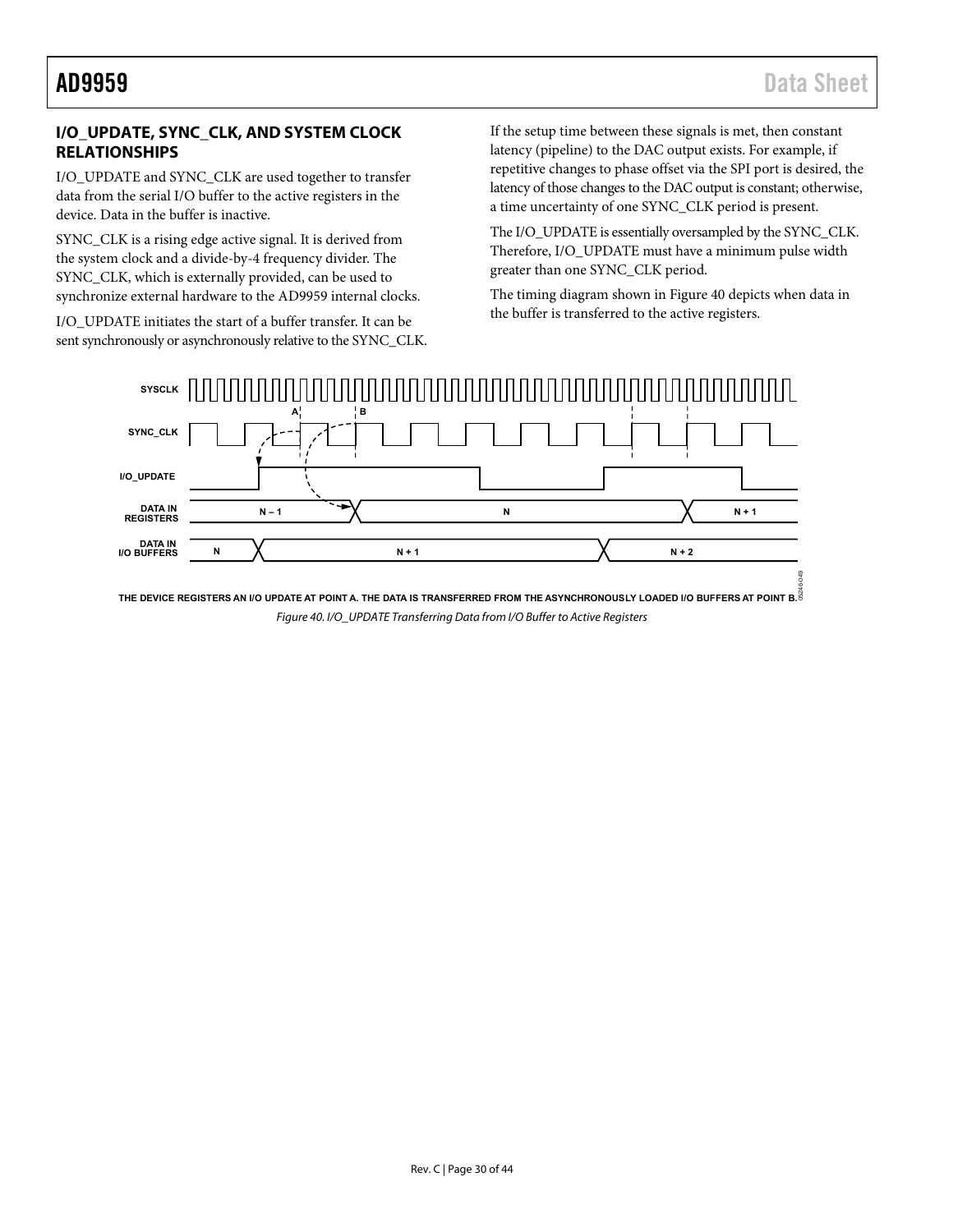# <span id="page-29-0"></span>**I/O\_UPDATE, SYNC\_CLK, AND SYSTEM CLOCK RELATIONSHIPS**

I/O\_UPDATE and SYNC\_CLK are used together to transfer data from the serial I/O buffer to the active registers in the device. Data in the buffer is inactive.

SYNC\_CLK is a rising edge active signal. It is derived from the system clock and a divide-by-4 frequency divider. The SYNC\_CLK, which is externally provided, can be used to synchronize external hardware to the AD9959 internal clocks.

I/O\_UPDATE initiates the start of a buffer transfer. It can be sent synchronously or asynchronously relative to the SYNC\_CLK. If the setup time between these signals is met, then constant latency (pipeline) to the DAC output exists. For example, if repetitive changes to phase offset via the SPI port is desired, the latency of those changes to the DAC output is constant; otherwise, a time uncertainty of one SYNC\_CLK period is present.

The I/O\_UPDATE is essentially oversampled by the SYNC\_CLK. Therefore, I/O\_UPDATE must have a minimum pulse width greater than one SYNC\_CLK period.

The timing diagram shown i[n Figure 40](#page-29-1) depicts when data in the buffer is transferred to the active registers.



<span id="page-29-1"></span>Figure 40. I/O\_UPDATE Transferring Data from I/O Buffer to Active Registers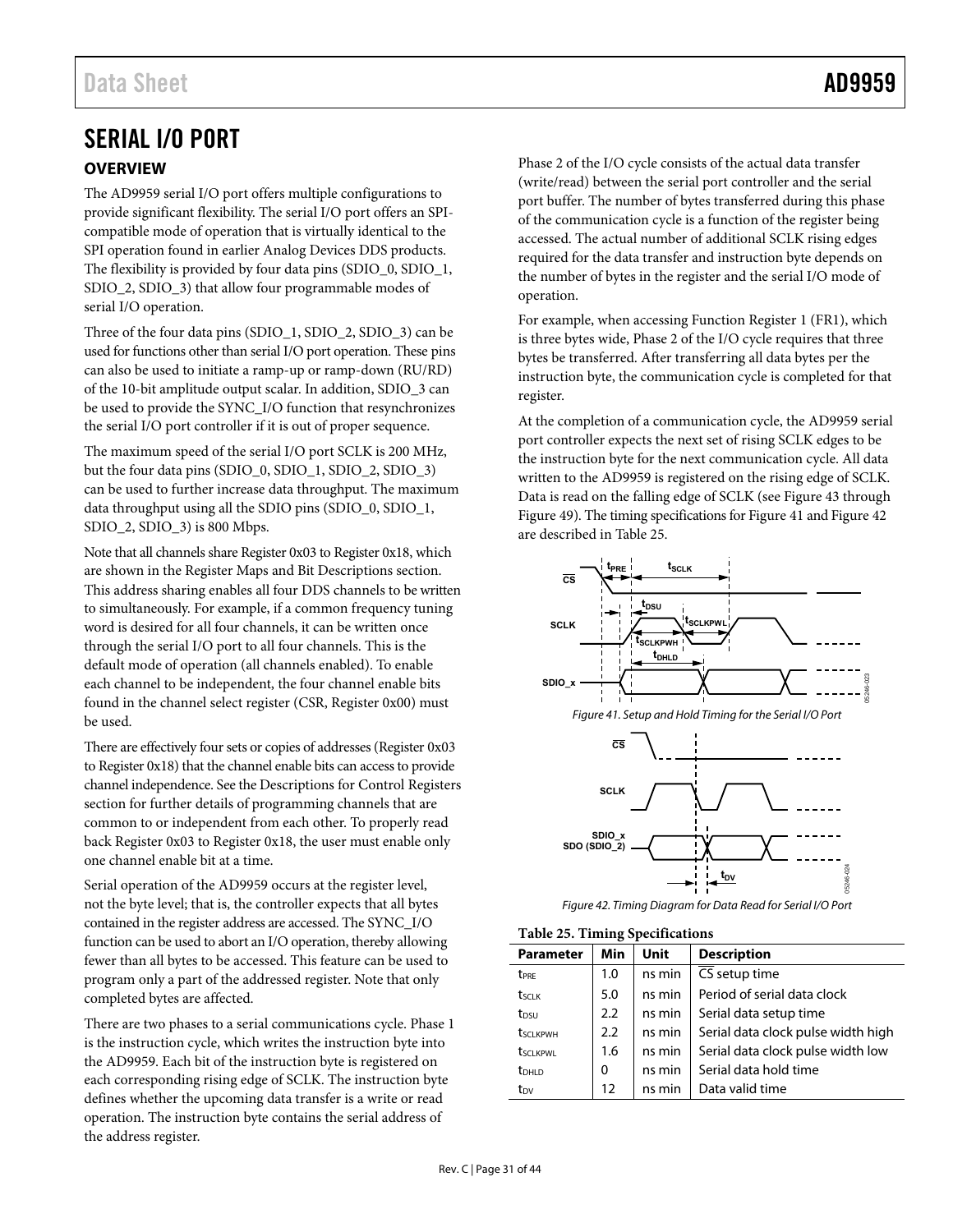# <span id="page-30-0"></span>SERIAL I/O PORT

## **OVERVIEW**

The AD9959 serial I/O port offers multiple configurations to provide significant flexibility. The serial I/O port offers an SPIcompatible mode of operation that is virtually identical to the SPI operation found in earlier Analog Devices DDS products. The flexibility is provided by four data pins (SDIO\_0, SDIO\_1, SDIO\_2, SDIO\_3) that allow four programmable modes of serial I/O operation.

Three of the four data pins (SDIO\_1, SDIO\_2, SDIO\_3) can be used for functions other than serial I/O port operation. These pins can also be used to initiate a ramp-up or ramp-down (RU/RD) of the 10-bit amplitude output scalar. In addition, SDIO\_3 can be used to provide the SYNC\_I/O function that resynchronizes the serial I/O port controller if it is out of proper sequence.

The maximum speed of the serial I/O port SCLK is 200 MHz, but the four data pins (SDIO\_0, SDIO\_1, SDIO\_2, SDIO\_3) can be used to further increase data throughput. The maximum data throughput using all the SDIO pins (SDIO\_0, SDIO\_1, SDIO\_2, SDIO\_3) is 800 Mbps.

Note that all channels share Register 0x03 to Register 0x18, which are shown in the [Register Maps and Bit Descriptions s](#page-35-1)ection. This address sharing enables all four DDS channels to be written to simultaneously. For example, if a common frequency tuning word is desired for all four channels, it can be written once through the serial I/O port to all four channels. This is the default mode of operation (all channels enabled). To enable each channel to be independent, the four channel enable bits found in the channel select register (CSR, Register 0x00) must be used.

There are effectively four sets or copies of addresses (Register 0x03 to Register 0x18) that the channel enable bits can access to provide channel independence. See th[e Descriptions for Control Registers](#page-38-1)  section for further details of programming channels that are common to or independent from each other. To properly read back Register 0x03 to Register 0x18, the user must enable only one channel enable bit at a time.

Serial operation of the AD9959 occurs at the register level, not the byte level; that is, the controller expects that all bytes contained in the register address are accessed. The SYNC\_I/O function can be used to abort an I/O operation, thereby allowing fewer than all bytes to be accessed. This feature can be used to program only a part of the addressed register. Note that only completed bytes are affected.

There are two phases to a serial communications cycle. Phase 1 is the instruction cycle, which writes the instruction byte into the AD9959. Each bit of the instruction byte is registered on each corresponding rising edge of SCLK. The instruction byte defines whether the upcoming data transfer is a write or read operation. The instruction byte contains the serial address of the address register.

Phase 2 of the I/O cycle consists of the actual data transfer (write/read) between the serial port controller and the serial port buffer. The number of bytes transferred during this phase of the communication cycle is a function of the register being accessed. The actual number of additional SCLK rising edges required for the data transfer and instruction byte depends on the number of bytes in the register and the serial I/O mode of operation.

For example, when accessing Function Register 1 (FR1), which is three bytes wide, Phase 2 of the I/O cycle requires that three bytes be transferred. After transferring all data bytes per the instruction byte, the communication cycle is completed for that register.

At the completion of a communication cycle, the AD9959 serial port controller expects the next set of rising SCLK edges to be the instruction byte for the next communication cycle. All data written to the AD9959 is registered on the rising edge of SCLK. Data is read on the falling edge of SCLK (se[e Figure 43 t](#page-33-0)hrough [Figure 49\)](#page-34-0). The timing specifications fo[r Figure 41 a](#page-30-1)n[d Figure 42](#page-30-2)  are described i[n Table 25.](#page-30-3)

<span id="page-30-1"></span>

Figure 42. Timing Diagram for Data Read for Serial I/O Port

<span id="page-30-3"></span><span id="page-30-2"></span>

| <b>Parameter</b>  | Min | Unit   |                                    |
|-------------------|-----|--------|------------------------------------|
|                   |     |        | <b>Description</b>                 |
| t <sub>PRE</sub>  | 1.0 | ns min | CS setup time                      |
| t <sub>SCLK</sub> | 5.0 | ns min | Period of serial data clock        |
| t <sub>DSU</sub>  | 2.2 | ns min | Serial data setup time             |
| tsclkpwh          | 2.2 | ns min | Serial data clock pulse width high |
| <b>t</b> sclkpwl  | 1.6 | ns min | Serial data clock pulse width low  |
| $t_{DHLD}$        | 0   | ns min | Serial data hold time              |
| t <sub>DV</sub>   | 12  | ns min | Data valid time                    |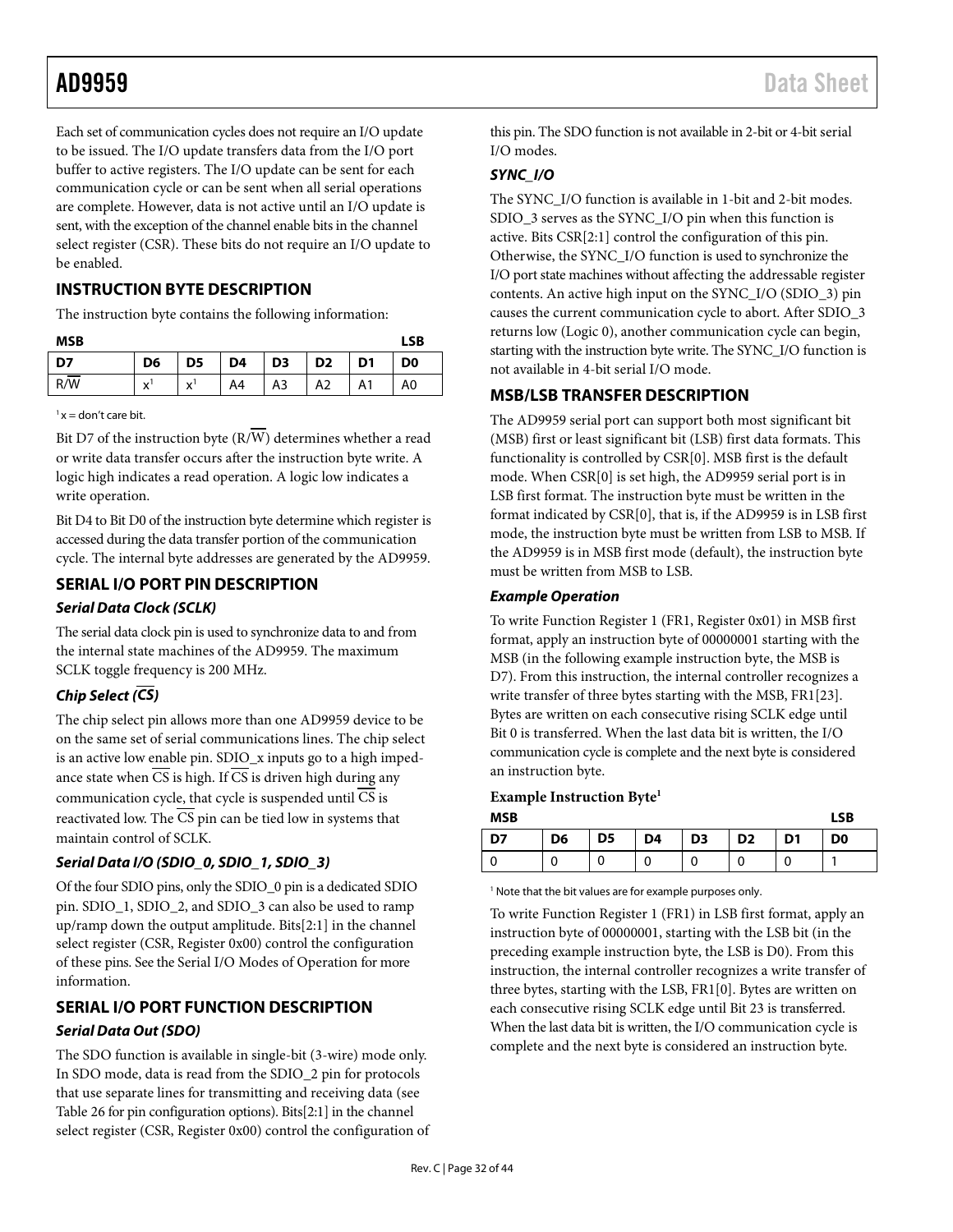<span id="page-31-0"></span>Each set of communication cycles does not require an I/O update to be issued. The I/O update transfers data from the I/O port buffer to active registers. The I/O update can be sent for each communication cycle or can be sent when all serial operations are complete. However, data is not active until an I/O update is sent, with the exception of the channel enable bits in the channel select register (CSR). These bits do not require an I/O update to be enabled.

## **INSTRUCTION BYTE DESCRIPTION**

The instruction byte contains the following information:

| <b>MSB</b> |                   |                   |    |                |                |                |                |  |
|------------|-------------------|-------------------|----|----------------|----------------|----------------|----------------|--|
| D7         | D6                | D <sub>5</sub>    | D4 | D <sub>3</sub> | D <sub>2</sub> | D <sub>1</sub> | D <sub>0</sub> |  |
| R/W        | $\checkmark$<br>ᄉ | $\mathbf{v}$<br>́ | A4 | A3             | A2             | A1             | A0             |  |

 $x =$  don't care bit.

Bit D7 of the instruction byte  $(R/\overline{W})$  determines whether a read or write data transfer occurs after the instruction byte write. A logic high indicates a read operation. A logic low indicates a write operation.

Bit D4 to Bit D0 of the instruction byte determine which register is accessed during the data transfer portion of the communication cycle. The internal byte addresses are generated by the AD9959.

# **SERIAL I/O PORT PIN DESCRIPTION** *Serial Data Clock (SCLK)*

The serial data clock pin is used to synchronize data to and from the internal state machines of the AD9959. The maximum SCLK toggle frequency is 200 MHz.

# *Chip Select (CS)*

The chip select pin allows more than one AD9959 device to be on the same set of serial communications lines. The chip select is an active low enable pin. SDIO\_x inputs go to a high impedance state when CS is high. If CS is driven high during any communication cycle, that cycle is suspended until  $\overline{CS}$  is reactivated low. The CS pin can be tied low in systems that maintain control of SCLK.

## *Serial Data I/O (SDIO\_0, SDIO\_1, SDIO\_3)*

Of the four SDIO pins, only the SDIO\_0 pin is a dedicated SDIO pin. SDIO\_1, SDIO\_2, and SDIO\_3 can also be used to ramp up/ramp down the output amplitude. Bits[2:1] in the channel select register (CSR, Register 0x00) control the configuration of these pins. See th[e Serial I/O Modes of Operation](#page-32-1) for more information.

# **SERIAL I/O PORT FUNCTION DESCRIPTION** *Serial Data Out (SDO)*

The SDO function is available in single-bit (3-wire) mode only. In SDO mode, data is read from the SDIO\_2 pin for protocols that use separate lines for transmitting and receiving data (see [Table 26](#page-32-2) for pin configuration options). Bits[2:1] in the channel select register (CSR, Register 0x00) control the configuration of this pin. The SDO function is not available in 2-bit or 4-bit serial I/O modes.

# *SYNC\_I/O*

The SYNC\_I/O function is available in 1-bit and 2-bit modes. SDIO\_3 serves as the SYNC\_I/O pin when this function is active. Bits CSR[2:1] control the configuration of this pin. Otherwise, the SYNC\_I/O function is used to synchronize the I/O port state machines without affecting the addressable register contents. An active high input on the SYNC\_I/O (SDIO\_3) pin causes the current communication cycle to abort. After SDIO\_3 returns low (Logic 0), another communication cycle can begin, starting with the instruction byte write. The SYNC\_I/O function is not available in 4-bit serial I/O mode.

## **MSB/LSB TRANSFER DESCRIPTION**

The AD9959 serial port can support both most significant bit (MSB) first or least significant bit (LSB) first data formats. This functionality is controlled by CSR[0]. MSB first is the default mode. When CSR[0] is set high, the AD9959 serial port is in LSB first format. The instruction byte must be written in the format indicated by CSR[0], that is, if the AD9959 is in LSB first mode, the instruction byte must be written from LSB to MSB. If the AD9959 is in MSB first mode (default), the instruction byte must be written from MSB to LSB.

## *Example Operation*

To write Function Register 1 (FR1, Register 0x01) in MSB first format, apply an instruction byte of 00000001 starting with the MSB (in the following example instruction byte, the MSB is D7). From this instruction, the internal controller recognizes a write transfer of three bytes starting with the MSB, FR1[23]. Bytes are written on each consecutive rising SCLK edge until Bit 0 is transferred. When the last data bit is written, the I/O communication cycle is complete and the next byte is considered an instruction byte.

## **Example Instruction Byte1**

| <b>MSB</b> |                |                |    |                |                |                | <b>LSB</b>     |
|------------|----------------|----------------|----|----------------|----------------|----------------|----------------|
| D7         | D <sub>6</sub> | D <sub>5</sub> | D4 | D <sub>3</sub> | D <sub>2</sub> | D <sub>1</sub> | D <sub>0</sub> |
|            |                |                |    |                |                |                |                |

<sup>1</sup> Note that the bit values are for example purposes only.

To write Function Register 1 (FR1) in LSB first format, apply an instruction byte of 00000001, starting with the LSB bit (in the preceding example instruction byte, the LSB is D0). From this instruction, the internal controller recognizes a write transfer of three bytes, starting with the LSB, FR1[0]. Bytes are written on each consecutive rising SCLK edge until Bit 23 is transferred. When the last data bit is written, the I/O communication cycle is complete and the next byte is considered an instruction byte.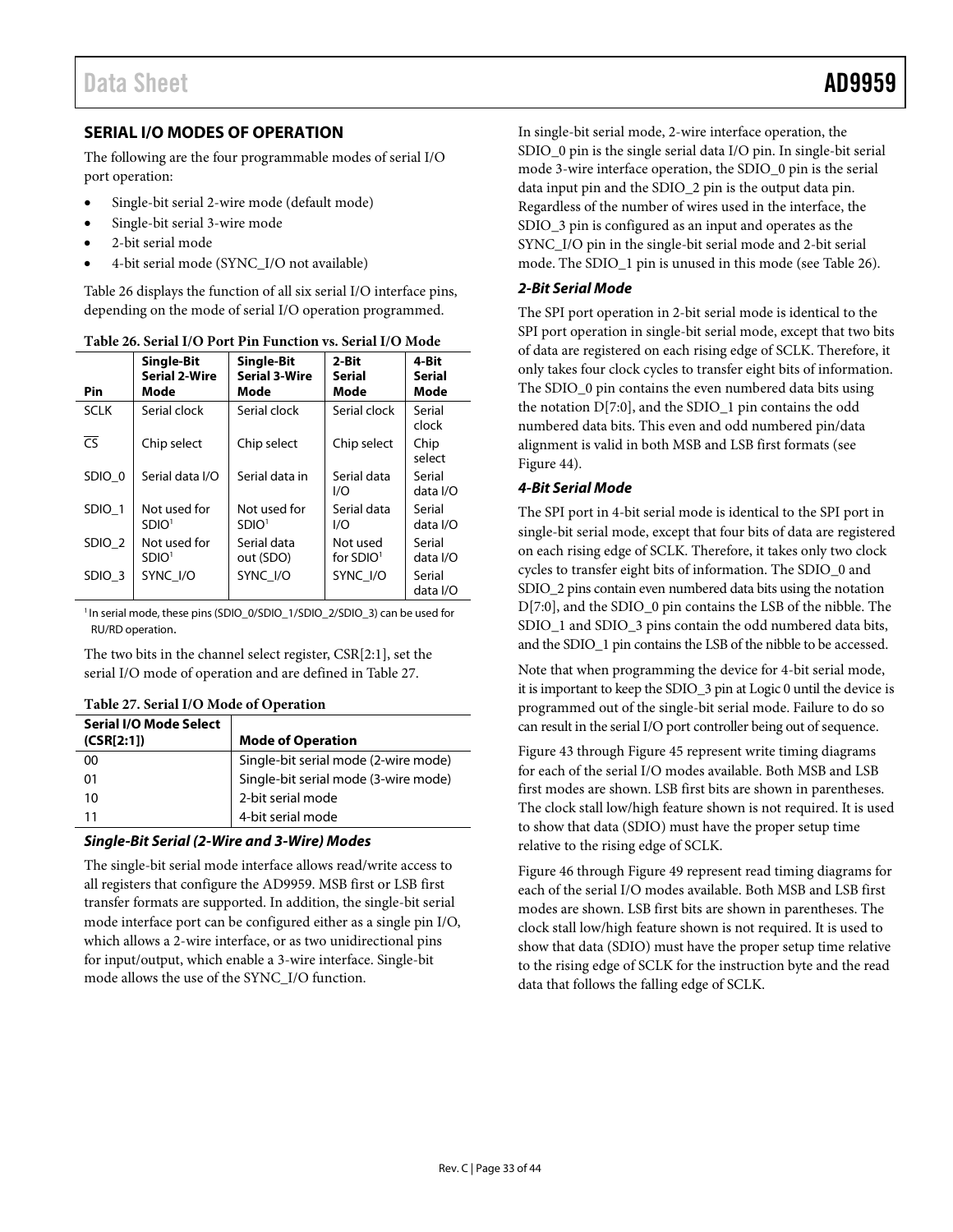# <span id="page-32-1"></span><span id="page-32-0"></span>**SERIAL I/O MODES OF OPERATION**

The following are the four programmable modes of serial I/O port operation:

- Single-bit serial 2-wire mode (default mode)
- Single-bit serial 3-wire mode
- 2-bit serial mode
- 4-bit serial mode (SYNC\_I/O not available)

[Table 26](#page-32-2) displays the function of all six serial I/O interface pins, depending on the mode of serial I/O operation programmed.

| <b>Pin</b>        | <b>Single-Bit</b><br>Serial 2-Wire<br>Mode | <b>Single-Bit</b><br><b>Serial 3-Wire</b><br>Mode | 2-Bit<br><b>Serial</b><br>Mode | 4-Bit<br>Serial<br>Mode |
|-------------------|--------------------------------------------|---------------------------------------------------|--------------------------------|-------------------------|
| <b>SCLK</b>       | Serial clock                               | Serial clock                                      | Serial clock                   | Serial<br>clock         |
| $\overline{c}$    | Chip select                                | Chip select                                       | Chip select                    | Chip<br>select          |
| SDIO 0            | Serial data I/O                            | Serial data in                                    | Serial data<br>1/O             | Serial<br>data I/O      |
| SDIO 1            | Not used for<br>SDIO <sup>1</sup>          | Not used for<br>SDIO <sup>1</sup>                 | Serial data<br>I/O             | Serial<br>data I/O      |
| SDIO <sub>2</sub> | Not used for<br>SDIO <sup>1</sup>          | Serial data<br>out (SDO)                          | Not used<br>for $SDIO1$        | Serial<br>data I/O      |
| SDIO <sub>3</sub> | SYNC I/O                                   | SYNC I/O                                          | SYNC I/O                       | Serial<br>data I/O      |

<span id="page-32-2"></span>**Table 26. Serial I/O Port Pin Function vs. Serial I/O Mode**

<sup>1</sup>In serial mode, these pins (SDIO\_0/SDIO\_1/SDIO\_2/SDIO\_3) can be used for RU/RD operation.

The two bits in the channel select register, CSR[2:1], set the serial I/O mode of operation and are defined in [Table 27.](#page-32-3)

| <b>Serial I/O Mode Select</b><br>(CSR[2:1]) | <b>Mode of Operation</b>             |
|---------------------------------------------|--------------------------------------|
| 00                                          | Single-bit serial mode (2-wire mode) |
| 01                                          | Single-bit serial mode (3-wire mode) |
| 10                                          | 2-bit serial mode                    |
| 11                                          | 4-bit serial mode                    |

### <span id="page-32-3"></span>**Table 27. Serial I/O Mode of Operation**

#### *Single-Bit Serial (2-Wire and 3-Wire) Modes*

The single-bit serial mode interface allows read/write access to all registers that configure the AD9959. MSB first or LSB first transfer formats are supported. In addition, the single-bit serial mode interface port can be configured either as a single pin I/O, which allows a 2-wire interface, or as two unidirectional pins for input/output, which enable a 3-wire interface. Single-bit mode allows the use of the SYNC\_I/O function.

In single-bit serial mode, 2-wire interface operation, the SDIO\_0 pin is the single serial data I/O pin. In single-bit serial mode 3-wire interface operation, the SDIO\_0 pin is the serial data input pin and the SDIO\_2 pin is the output data pin. Regardless of the number of wires used in the interface, the SDIO\_3 pin is configured as an input and operates as the SYNC\_I/O pin in the single-bit serial mode and 2-bit serial mode. The SDIO\_1 pin is unused in this mode (see [Table 26\)](#page-32-2).

## *2-Bit Serial Mode*

The SPI port operation in 2-bit serial mode is identical to the SPI port operation in single-bit serial mode, except that two bits of data are registered on each rising edge of SCLK. Therefore, it only takes four clock cycles to transfer eight bits of information. The SDIO 0 pin contains the even numbered data bits using the notation D[7:0], and the SDIO\_1 pin contains the odd numbered data bits. This even and odd numbered pin/data alignment is valid in both MSB and LSB first formats (see [Figure 44\)](#page-33-1).

## *4-Bit Serial Mode*

The SPI port in 4-bit serial mode is identical to the SPI port in single-bit serial mode, except that four bits of data are registered on each rising edge of SCLK. Therefore, it takes only two clock cycles to transfer eight bits of information. The SDIO\_0 and SDIO\_2 pins contain even numbered data bits using the notation D[7:0], and the SDIO\_0 pin contains the LSB of the nibble. The SDIO\_1 and SDIO\_3 pins contain the odd numbered data bits, and the SDIO\_1 pin contains the LSB of the nibble to be accessed.

Note that when programming the device for 4-bit serial mode, it is important to keep the SDIO\_3 pin at Logic 0 until the device is programmed out of the single-bit serial mode. Failure to do so can result in the serial I/O port controller being out of sequence.

[Figure 43](#page-33-0) throug[h Figure 45](#page-33-2) represent write timing diagrams for each of the serial I/O modes available. Both MSB and LSB first modes are shown. LSB first bits are shown in parentheses. The clock stall low/high feature shown is not required. It is used to show that data (SDIO) must have the proper setup time relative to the rising edge of SCLK.

[Figure 46](#page-34-1) throug[h Figure 49](#page-34-0) represent read timing diagrams for each of the serial I/O modes available. Both MSB and LSB first modes are shown. LSB first bits are shown in parentheses. The clock stall low/high feature shown is not required. It is used to show that data (SDIO) must have the proper setup time relative to the rising edge of SCLK for the instruction byte and the read data that follows the falling edge of SCLK.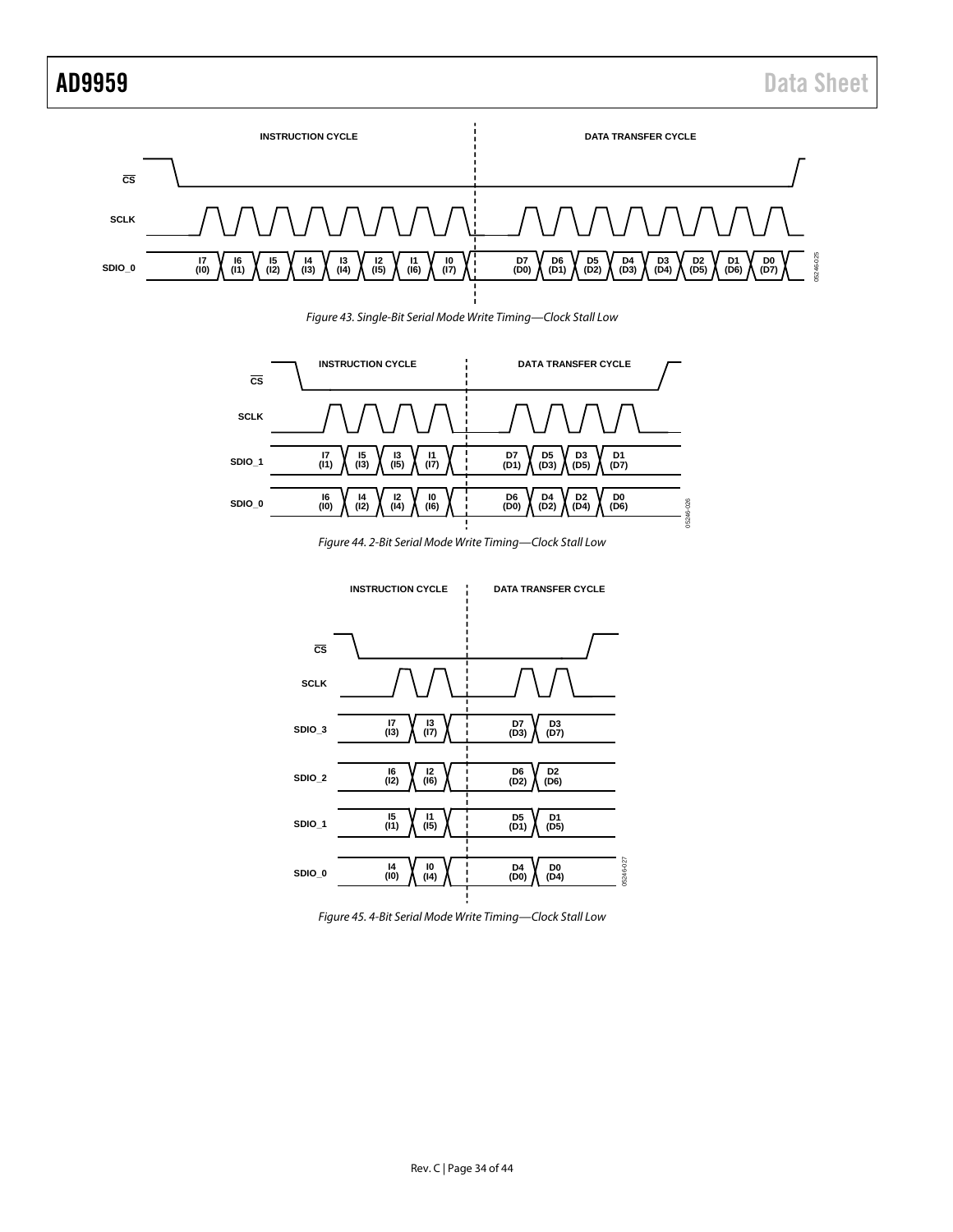

*Figure 43. Single-Bit Serial Mode Write Timing—Clock Stall Low*

<span id="page-33-0"></span>

*Figure 44. 2-Bit Serial Mode Write Timing—Clock Stall Low*

<span id="page-33-1"></span>

<span id="page-33-2"></span>*Figure 45. 4-Bit Serial Mode Write Timing—Clock Stall Low*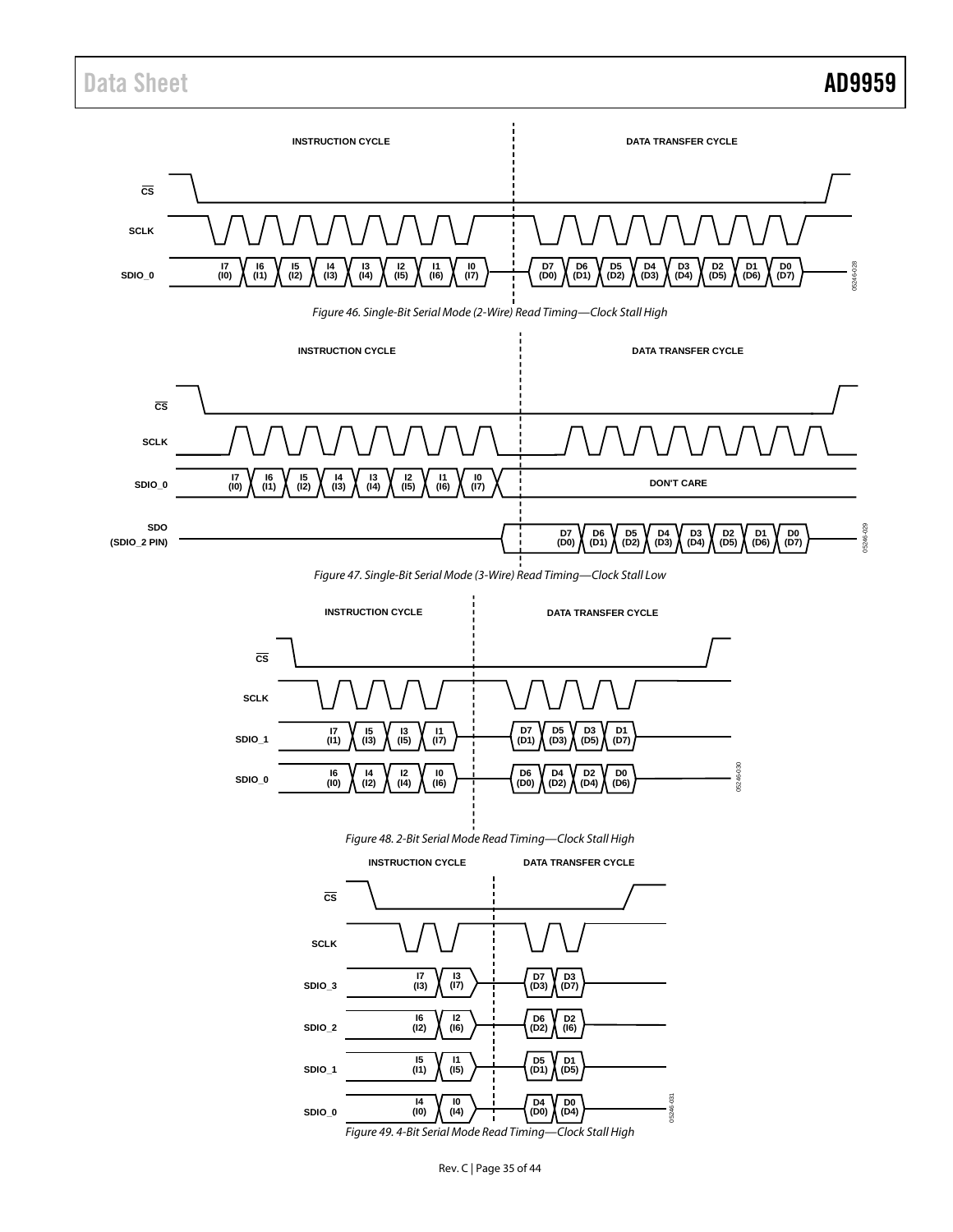# Data Sheet **AD9959**

<span id="page-34-1"></span><span id="page-34-0"></span>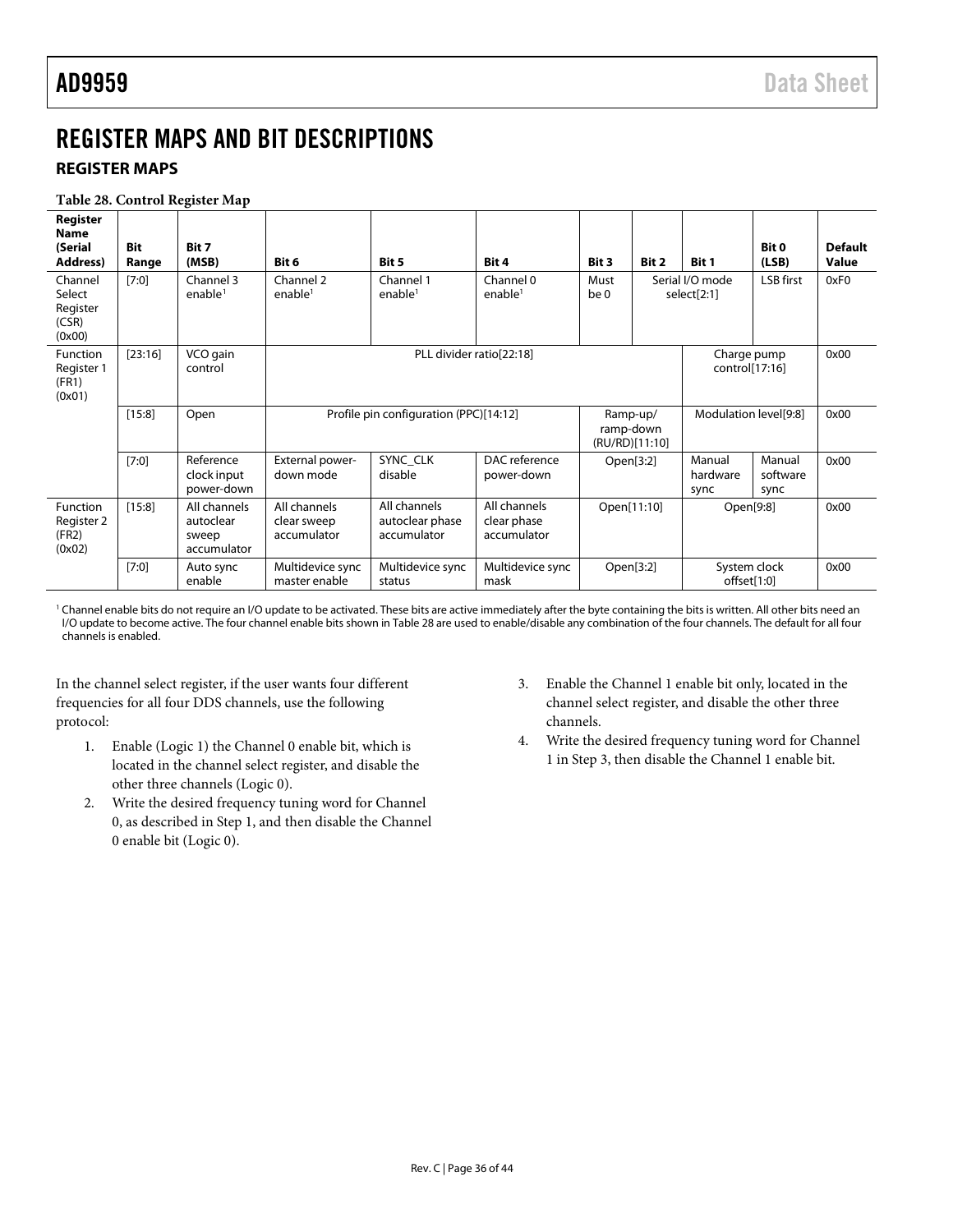# <span id="page-35-1"></span><span id="page-35-0"></span>REGISTER MAPS AND BIT DESCRIPTIONS

## **REGISTER MAPS**

#### <span id="page-35-2"></span>**Table 28. Control Register Map**

| Register<br><b>Name</b><br>(Serial<br>Address)<br>Channel<br>Select | <b>Bit</b><br>Range<br>[7:0] | Bit 7<br>(MSB)<br>Channel 3<br>enable $1$         | Bit 6<br>Channel 2<br>enable <sup>1</sup>  | Bit 5<br>Channel 1<br>enable <sup>1</sup>                 | Bit 4<br>Channel 0<br>enable <sup>1</sup>  | Bit 3<br>Must<br>be <sub>0</sub> | Bit 2       | Bit 1<br>Serial I/O mode<br>select[2:1] | Bit 0<br>(LSB)<br>LSB first | <b>Default</b><br>Value<br>0xF0 |
|---------------------------------------------------------------------|------------------------------|---------------------------------------------------|--------------------------------------------|-----------------------------------------------------------|--------------------------------------------|----------------------------------|-------------|-----------------------------------------|-----------------------------|---------------------------------|
| Register<br>(CSR)<br>(0x00)                                         |                              |                                                   |                                            |                                                           |                                            |                                  |             |                                         |                             |                                 |
| Function<br>Register 1<br>(FR1)<br>(0x01)                           | [23:16]                      | VCO gain<br>control                               |                                            | PLL divider ratio[22:18]<br>Charge pump<br>control[17:16] |                                            |                                  |             |                                         |                             |                                 |
|                                                                     | [15:8]                       | Open                                              |                                            | Profile pin configuration (PPC)[14:12]                    |                                            |                                  |             | Modulation level[9:8]                   |                             | 0x00                            |
|                                                                     | $[7:0]$                      | Reference<br>clock input<br>power-down            | External power-<br>down mode               | SYNC CLK<br>disable                                       | DAC reference<br>power-down                |                                  | Open[3:2]   | Manual<br>hardware<br>sync              | Manual<br>software<br>sync  | 0x00                            |
| Function<br>Register 2<br>(FR2)<br>(0x02)                           | [15:8]                       | All channels<br>autoclear<br>sweep<br>accumulator | All channels<br>clear sweep<br>accumulator | All channels<br>autoclear phase<br>accumulator            | All channels<br>clear phase<br>accumulator |                                  | Open[11:10] | Open[9:8]                               |                             | 0x00                            |
|                                                                     | [7:0]                        | Auto sync<br>enable                               | Multidevice sync<br>master enable          | Multidevice sync<br>status                                | Multidevice sync<br>mask                   |                                  | Open[3:2]   | System clock<br>offset[1:0]             |                             | 0x00                            |

<sup>1</sup> Channel enable bits do not require an I/O update to be activated. These bits are active immediately after the byte containing the bits is written. All other bits need an I/O update to become active. The four channel enable bits shown i[n Table 28](#page-35-2) are used to enable/disable any combination of the four channels. The default for all four channels is enabled.

In the channel select register, if the user wants four different frequencies for all four DDS channels, use the following protocol:

- 1. Enable (Logic 1) the Channel 0 enable bit, which is located in the channel select register, and disable the other three channels (Logic 0).
- 2. Write the desired frequency tuning word for Channel 0, as described in Step 1, and then disable the Channel 0 enable bit (Logic 0).
- 3. Enable the Channel 1 enable bit only, located in the channel select register, and disable the other three channels.
- 4. Write the desired frequency tuning word for Channel 1 in Step 3, then disable the Channel 1 enable bit.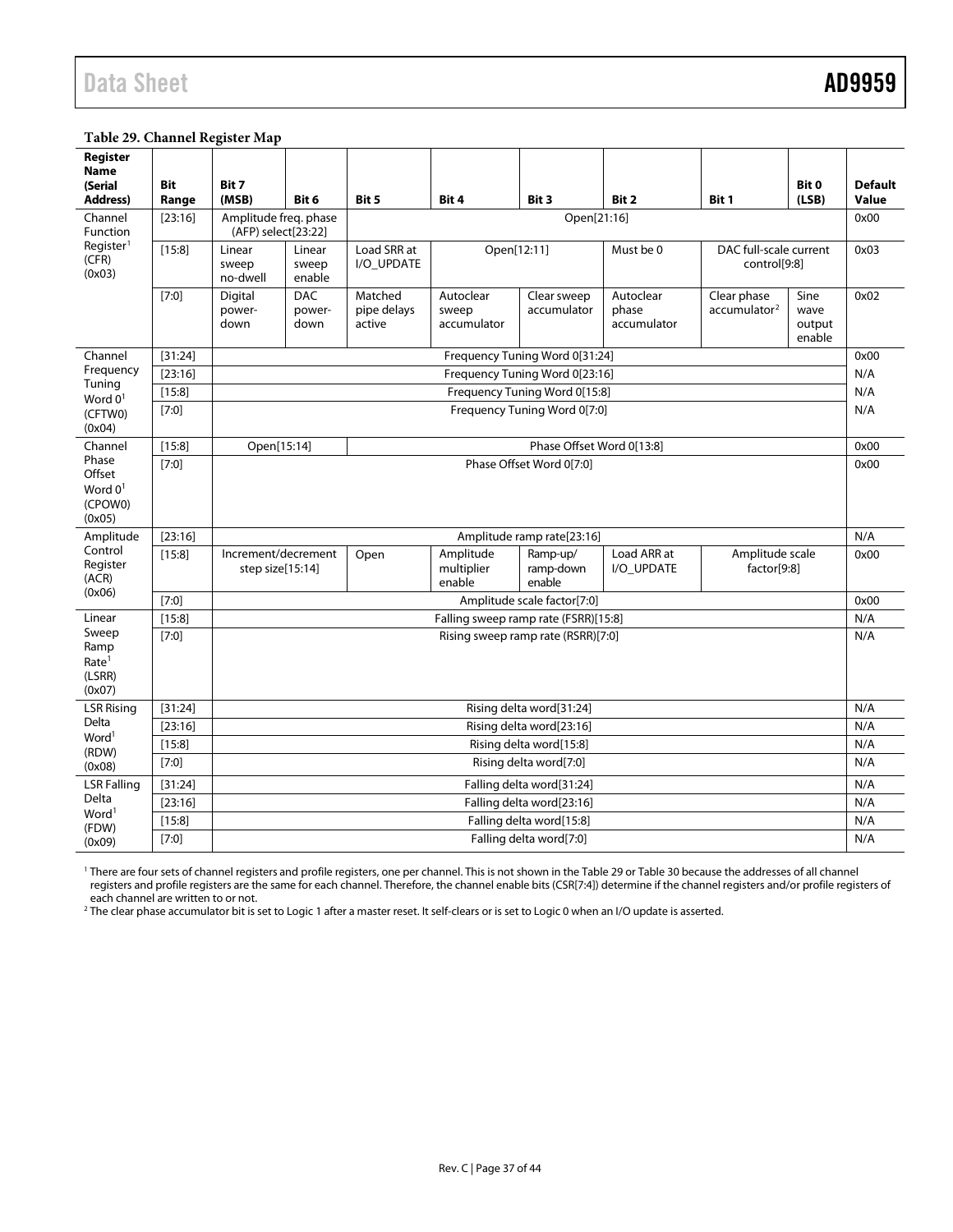# Data Sheet **AD9959**

#### <span id="page-36-0"></span>**Table 29. Channel Register Map**

| Register<br><b>Name</b><br>(Serial<br><b>Address)</b>                                                                                                                                                                                                                                                                                                                                                                                      | <b>Bit</b><br>Range | Bit 7<br>(MSB)                                              | Bit 6                        | Bit 5                            | Bit 4                                                              | Bit 3                                | Bit 2                             | Bit 1                                   | Bit 0<br>(LSB)                   | <b>Default</b><br>Value |
|--------------------------------------------------------------------------------------------------------------------------------------------------------------------------------------------------------------------------------------------------------------------------------------------------------------------------------------------------------------------------------------------------------------------------------------------|---------------------|-------------------------------------------------------------|------------------------------|----------------------------------|--------------------------------------------------------------------|--------------------------------------|-----------------------------------|-----------------------------------------|----------------------------------|-------------------------|
| Channel<br>Function                                                                                                                                                                                                                                                                                                                                                                                                                        | [23:16]             | Amplitude freq. phase<br>Open[21:16]<br>(AFP) select[23:22] |                              |                                  |                                                                    |                                      |                                   | 0x00                                    |                                  |                         |
| Register <sup>1</sup><br>(CFR)<br>(0x03)<br>Channel<br>Frequency<br>Tuning<br>Word $01$<br>(CFTW0)<br>(0x04)<br>Channel<br>Phase<br>Offset<br>Word $01$<br>(CPOW0)<br>(0x05)<br>Amplitude<br>Control<br>Register<br>(ACR)<br>(0x06)<br>Linear<br>Sweep<br>Ramp<br>Rate <sup>1</sup><br>(LSRR)<br>(0x07)<br><b>LSR Rising</b><br>Delta<br>Word <sup>1</sup><br>(RDW)<br>(0x08)<br><b>LSR Falling</b><br>Delta<br>Word <sup>1</sup><br>(FDW) | [15:8]              | Linear<br>sweep<br>no-dwell                                 | Linear<br>sweep<br>enable    | Load SRR at<br>I/O UPDATE        | DAC full-scale current<br>Open[12:11]<br>Must be 0<br>control[9:8] |                                      |                                   |                                         |                                  | 0x03                    |
|                                                                                                                                                                                                                                                                                                                                                                                                                                            | [7:0]               | Digital<br>power-<br>down                                   | <b>DAC</b><br>power-<br>down | Matched<br>pipe delays<br>active | Autoclear<br>sweep<br>accumulator                                  | Clear sweep<br>accumulator           | Autoclear<br>phase<br>accumulator | Clear phase<br>accumulator <sup>2</sup> | Sine<br>wave<br>output<br>enable | 0x02                    |
|                                                                                                                                                                                                                                                                                                                                                                                                                                            | [31:24]             |                                                             |                              |                                  |                                                                    | Frequency Tuning Word 0[31:24]       |                                   |                                         |                                  | 0x00                    |
| [23:16]<br>Frequency Tuning Word 0[23:16]                                                                                                                                                                                                                                                                                                                                                                                                  |                     |                                                             |                              |                                  |                                                                    |                                      |                                   |                                         | N/A                              |                         |
|                                                                                                                                                                                                                                                                                                                                                                                                                                            | [15:8]              |                                                             |                              |                                  |                                                                    | Frequency Tuning Word 0[15:8]        |                                   |                                         |                                  | N/A                     |
|                                                                                                                                                                                                                                                                                                                                                                                                                                            | [7:0]               | Frequency Tuning Word 0[7:0]                                |                              |                                  |                                                                    |                                      |                                   |                                         |                                  |                         |
|                                                                                                                                                                                                                                                                                                                                                                                                                                            | [15:8]              | Open[15:14]                                                 |                              |                                  |                                                                    | Phase Offset Word 0[13:8]            |                                   |                                         |                                  | 0x00                    |
|                                                                                                                                                                                                                                                                                                                                                                                                                                            | [7:0]               | Phase Offset Word 0[7:0]                                    |                              |                                  |                                                                    |                                      |                                   |                                         |                                  | 0x00                    |
|                                                                                                                                                                                                                                                                                                                                                                                                                                            | [23:16]             |                                                             |                              |                                  |                                                                    | Amplitude ramp rate[23:16]           |                                   |                                         |                                  | N/A                     |
|                                                                                                                                                                                                                                                                                                                                                                                                                                            | [15:8]              | Increment/decrement<br>step size[15:14]                     |                              | Open                             | Amplitude<br>multiplier<br>enable                                  | Ramp-up/<br>ramp-down<br>enable      | Load ARR at<br>I/O UPDATE         | Amplitude scale<br>factor[9:8]          |                                  | 0x00                    |
|                                                                                                                                                                                                                                                                                                                                                                                                                                            | [7:0]               |                                                             |                              |                                  |                                                                    | Amplitude scale factor[7:0]          |                                   |                                         |                                  | 0x00                    |
|                                                                                                                                                                                                                                                                                                                                                                                                                                            | [15:8]              |                                                             |                              |                                  |                                                                    | Falling sweep ramp rate (FSRR)[15:8] |                                   |                                         |                                  | N/A                     |
|                                                                                                                                                                                                                                                                                                                                                                                                                                            | $[7:0]$             | Rising sweep ramp rate (RSRR)[7:0]                          |                              |                                  |                                                                    |                                      |                                   |                                         |                                  |                         |
|                                                                                                                                                                                                                                                                                                                                                                                                                                            | [31:24]             |                                                             |                              |                                  |                                                                    | Rising delta word[31:24]             |                                   |                                         |                                  | N/A                     |
|                                                                                                                                                                                                                                                                                                                                                                                                                                            | [23:16]             |                                                             |                              |                                  |                                                                    | Rising delta word[23:16]             |                                   |                                         |                                  | N/A                     |
|                                                                                                                                                                                                                                                                                                                                                                                                                                            | [15:8]              |                                                             |                              |                                  |                                                                    | Rising delta word[15:8]              |                                   |                                         |                                  | N/A                     |
| (0x09)                                                                                                                                                                                                                                                                                                                                                                                                                                     | [7:0]               |                                                             |                              |                                  |                                                                    | Rising delta word[7:0]               |                                   |                                         |                                  | N/A                     |
|                                                                                                                                                                                                                                                                                                                                                                                                                                            | [31:24]             |                                                             |                              |                                  |                                                                    | Falling delta word[31:24]            |                                   |                                         |                                  | N/A                     |
|                                                                                                                                                                                                                                                                                                                                                                                                                                            | [23:16]             |                                                             |                              |                                  |                                                                    | Falling delta word[23:16]            |                                   |                                         |                                  | N/A                     |
|                                                                                                                                                                                                                                                                                                                                                                                                                                            | [15:8]              |                                                             |                              |                                  |                                                                    | Falling delta word[15:8]             |                                   |                                         |                                  | N/A                     |
|                                                                                                                                                                                                                                                                                                                                                                                                                                            | [7:0]               |                                                             |                              |                                  |                                                                    | Falling delta word[7:0]              |                                   |                                         |                                  | N/A                     |

<sup>1</sup> There are four sets of channel registers and profile registers, one per channel. This is not shown in th[e Table 29](#page-36-0) o[r Table 30](#page-37-0) because the addresses of all channel registers and profile registers are the same for each channel. Therefore, the channel enable bits (CSR[7:4]) determine if the channel registers and/or profile registers of each channel are written to or not.

 $^{\rm 2}$  The clear phase accumulator bit is set to Logic 1 after a master reset. It self-clears or is set to Logic 0 when an I/O update is asserted.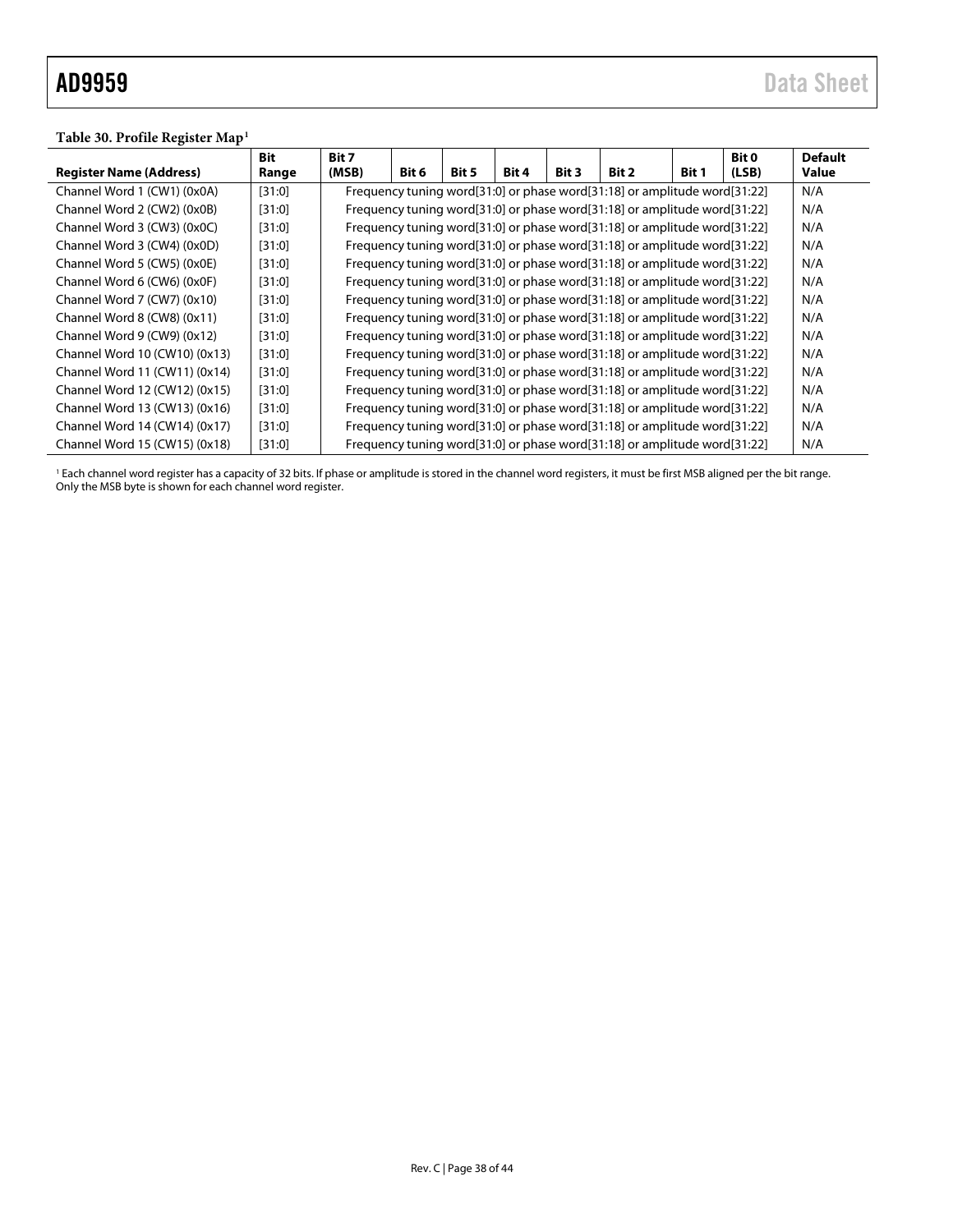#### <span id="page-37-0"></span>**Table 30. Profile Register Map1**

|                                | <b>Bit</b> | Bit 7 |       |       |       |       |                                                                           |              | Bit 0 | <b>Default</b> |
|--------------------------------|------------|-------|-------|-------|-------|-------|---------------------------------------------------------------------------|--------------|-------|----------------|
| <b>Register Name (Address)</b> | Range      | (MSB) | Bit 6 | Bit 5 | Bit 4 | Bit 3 | Bit 2                                                                     | <b>Bit 1</b> | (LSB) | Value          |
| Channel Word 1 (CW1) (0x0A)    | [31:0]     |       |       |       |       |       | Frequency tuning word[31:0] or phase word[31:18] or amplitude word[31:22] |              |       | N/A            |
| Channel Word 2 (CW2) (0x0B)    | [31:0]     |       |       |       |       |       | Frequency tuning word[31:0] or phase word[31:18] or amplitude word[31:22] |              |       | N/A            |
| Channel Word 3 (CW3) (0x0C)    | [31:0]     |       |       |       |       |       | Frequency tuning word[31:0] or phase word[31:18] or amplitude word[31:22] |              |       | N/A            |
| Channel Word 3 (CW4) (0x0D)    | [31:0]     |       |       |       |       |       | Frequency tuning word[31:0] or phase word[31:18] or amplitude word[31:22] |              |       | N/A            |
| Channel Word 5 (CW5) (0x0E)    | [31:0]     |       |       |       |       |       | Frequency tuning word[31:0] or phase word[31:18] or amplitude word[31:22] |              |       | N/A            |
| Channel Word 6 (CW6) (0x0F)    | [31:0]     |       |       |       |       |       | Frequency tuning word[31:0] or phase word[31:18] or amplitude word[31:22] |              |       | N/A            |
| Channel Word 7 (CW7) (0x10)    | [31:0]     |       |       |       |       |       | Frequency tuning word[31:0] or phase word[31:18] or amplitude word[31:22] |              |       | N/A            |
| Channel Word 8 (CW8) (0x11)    | [31:0]     |       |       |       |       |       | Frequency tuning word[31:0] or phase word[31:18] or amplitude word[31:22] |              |       | N/A            |
| Channel Word 9 (CW9) (0x12)    | [31:0]     |       |       |       |       |       | Frequency tuning word[31:0] or phase word[31:18] or amplitude word[31:22] |              |       | N/A            |
| Channel Word 10 (CW10) (0x13)  | [31:0]     |       |       |       |       |       | Frequency tuning word[31:0] or phase word[31:18] or amplitude word[31:22] |              |       | N/A            |
| Channel Word 11 (CW11) (0x14)  | [31:0]     |       |       |       |       |       | Frequency tuning word[31:0] or phase word[31:18] or amplitude word[31:22] |              |       | N/A            |
| Channel Word 12 (CW12) (0x15)  | [31:0]     |       |       |       |       |       | Frequency tuning word[31:0] or phase word[31:18] or amplitude word[31:22] |              |       | N/A            |
| Channel Word 13 (CW13) (0x16)  | [31:0]     |       |       |       |       |       | Frequency tuning word[31:0] or phase word[31:18] or amplitude word[31:22] |              |       | N/A            |
| Channel Word 14 (CW14) (0x17)  | [31:0]     |       |       |       |       |       | Frequency tuning word[31:0] or phase word[31:18] or amplitude word[31:22] |              |       | N/A            |
| Channel Word 15 (CW15) (0x18)  | [31:0]     |       |       |       |       |       | Frequency tuning word[31:0] or phase word[31:18] or amplitude word[31:22] |              |       | N/A            |

<sup>1</sup> Each channel word register has a capacity of 32 bits. If phase or amplitude is stored in the channel word registers, it must be first MSB aligned per the bit range. Only the MSB byte is shown for each channel word register.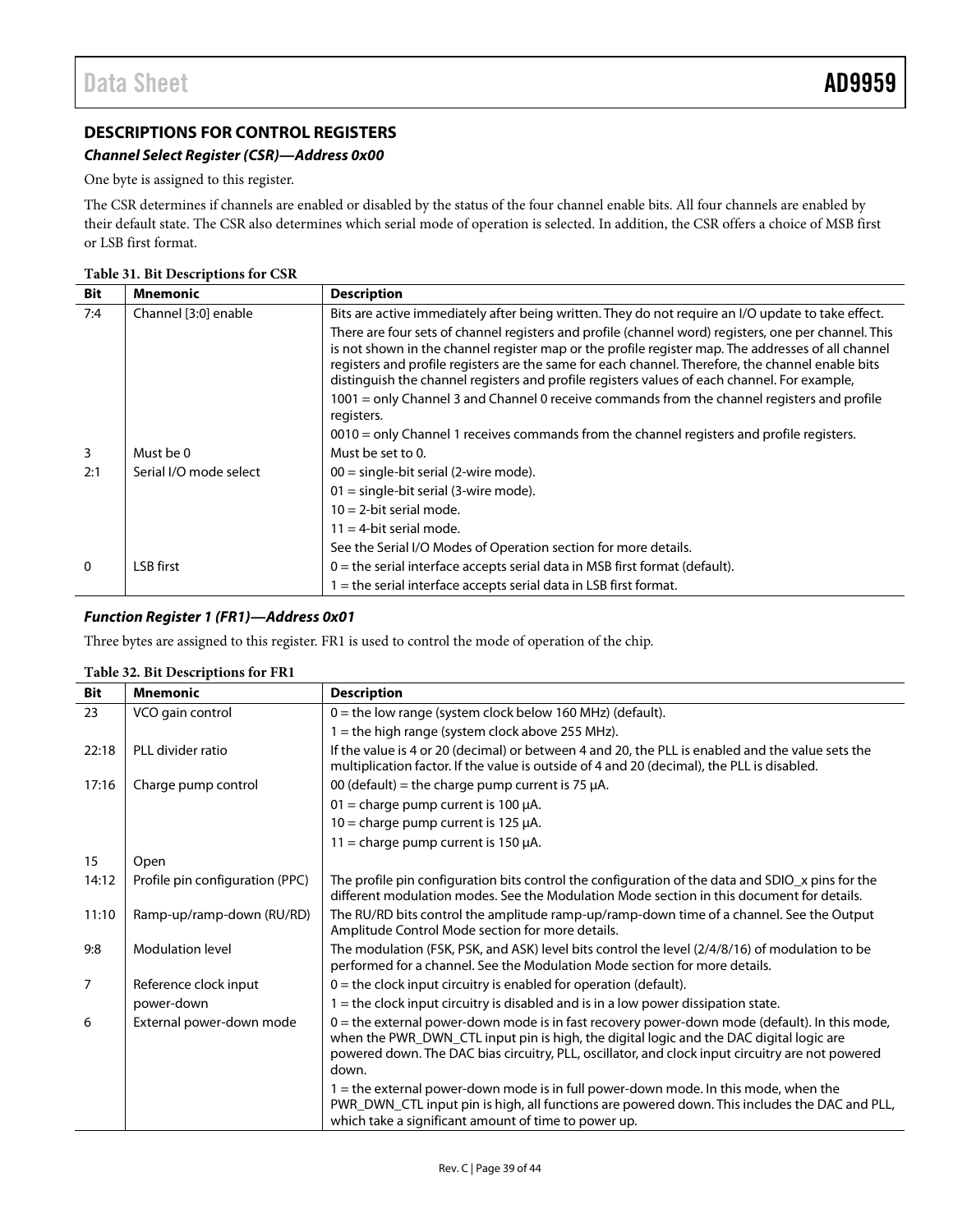# <span id="page-38-1"></span><span id="page-38-0"></span>**DESCRIPTIONS FOR CONTROL REGISTERS**

### *Channel Select Register (CSR)—Address 0x00*

One byte is assigned to this register.

The CSR determines if channels are enabled or disabled by the status of the four channel enable bits. All four channels are enabled by their default state. The CSR also determines which serial mode of operation is selected. In addition, the CSR offers a choice of MSB first or LSB first format.

#### **Table 31. Bit Descriptions for CSR**

| <b>Bit</b>   | <b>Mnemonic</b>        | <b>Description</b>                                                                                                                                                                                                                                                                                                                                                                                              |
|--------------|------------------------|-----------------------------------------------------------------------------------------------------------------------------------------------------------------------------------------------------------------------------------------------------------------------------------------------------------------------------------------------------------------------------------------------------------------|
| 7:4          | Channel [3:0] enable   | Bits are active immediately after being written. They do not require an I/O update to take effect.                                                                                                                                                                                                                                                                                                              |
|              |                        | There are four sets of channel registers and profile (channel word) registers, one per channel. This<br>is not shown in the channel register map or the profile register map. The addresses of all channel<br>registers and profile registers are the same for each channel. Therefore, the channel enable bits<br>distinguish the channel registers and profile registers values of each channel. For example, |
|              |                        | 1001 = only Channel 3 and Channel 0 receive commands from the channel registers and profile<br>registers.                                                                                                                                                                                                                                                                                                       |
|              |                        | 0010 = only Channel 1 receives commands from the channel registers and profile registers.                                                                                                                                                                                                                                                                                                                       |
| 3            | Must be 0              | Must be set to 0.                                                                                                                                                                                                                                                                                                                                                                                               |
| 2:1          | Serial I/O mode select | $00 =$ single-bit serial (2-wire mode).                                                                                                                                                                                                                                                                                                                                                                         |
|              |                        | $01 =$ single-bit serial (3-wire mode).                                                                                                                                                                                                                                                                                                                                                                         |
|              |                        | $10 = 2$ -bit serial mode.                                                                                                                                                                                                                                                                                                                                                                                      |
|              |                        | $11 = 4$ -bit serial mode.                                                                                                                                                                                                                                                                                                                                                                                      |
|              |                        | See the Serial I/O Modes of Operation section for more details.                                                                                                                                                                                                                                                                                                                                                 |
| $\mathbf{0}$ | LSB first              | $0$ = the serial interface accepts serial data in MSB first format (default).                                                                                                                                                                                                                                                                                                                                   |
|              |                        | $1$ = the serial interface accepts serial data in LSB first format.                                                                                                                                                                                                                                                                                                                                             |

### *Function Register 1 (FR1)—Address 0x01*

Three bytes are assigned to this register. FR1 is used to control the mode of operation of the chip.

| <b>Bit</b>     | <b>Mnemonic</b>                 | <b>Description</b>                                                                                                                                                                                                                                                                                      |
|----------------|---------------------------------|---------------------------------------------------------------------------------------------------------------------------------------------------------------------------------------------------------------------------------------------------------------------------------------------------------|
| 23             | VCO gain control                | $0 =$ the low range (system clock below 160 MHz) (default).                                                                                                                                                                                                                                             |
|                |                                 | $1 =$ the high range (system clock above 255 MHz).                                                                                                                                                                                                                                                      |
| 22:18          | PLL divider ratio               | If the value is 4 or 20 (decimal) or between 4 and 20, the PLL is enabled and the value sets the<br>multiplication factor. If the value is outside of 4 and 20 (decimal), the PLL is disabled.                                                                                                          |
| 17:16          | Charge pump control             | 00 (default) = the charge pump current is 75 $\mu$ A.                                                                                                                                                                                                                                                   |
|                |                                 | 01 = charge pump current is 100 $\mu$ A.                                                                                                                                                                                                                                                                |
|                |                                 | 10 = charge pump current is 125 $\mu$ A.                                                                                                                                                                                                                                                                |
|                |                                 | 11 = charge pump current is 150 $\mu$ A.                                                                                                                                                                                                                                                                |
| 15             | Open                            |                                                                                                                                                                                                                                                                                                         |
| 14:12          | Profile pin configuration (PPC) | The profile pin configuration bits control the configuration of the data and SDIO_x pins for the<br>different modulation modes. See the Modulation Mode section in this document for details.                                                                                                           |
| 11:10          | Ramp-up/ramp-down (RU/RD)       | The RU/RD bits control the amplitude ramp-up/ramp-down time of a channel. See the Output<br>Amplitude Control Mode section for more details.                                                                                                                                                            |
| 9:8            | <b>Modulation level</b>         | The modulation (FSK, PSK, and ASK) level bits control the level (2/4/8/16) of modulation to be<br>performed for a channel. See the Modulation Mode section for more details.                                                                                                                            |
| $\overline{7}$ | Reference clock input           | $0 =$ the clock input circuitry is enabled for operation (default).                                                                                                                                                                                                                                     |
|                | power-down                      | $1 =$ the clock input circuitry is disabled and is in a low power dissipation state.                                                                                                                                                                                                                    |
| 6              | External power-down mode        | $0$ = the external power-down mode is in fast recovery power-down mode (default). In this mode,<br>when the PWR_DWN_CTL input pin is high, the digital logic and the DAC digital logic are<br>powered down. The DAC bias circuitry, PLL, oscillator, and clock input circuitry are not powered<br>down. |
|                |                                 | 1 = the external power-down mode is in full power-down mode. In this mode, when the<br>PWR_DWN_CTL input pin is high, all functions are powered down. This includes the DAC and PLL,<br>which take a significant amount of time to power up.                                                            |

#### **Table 32. Bit Descriptions for FR1**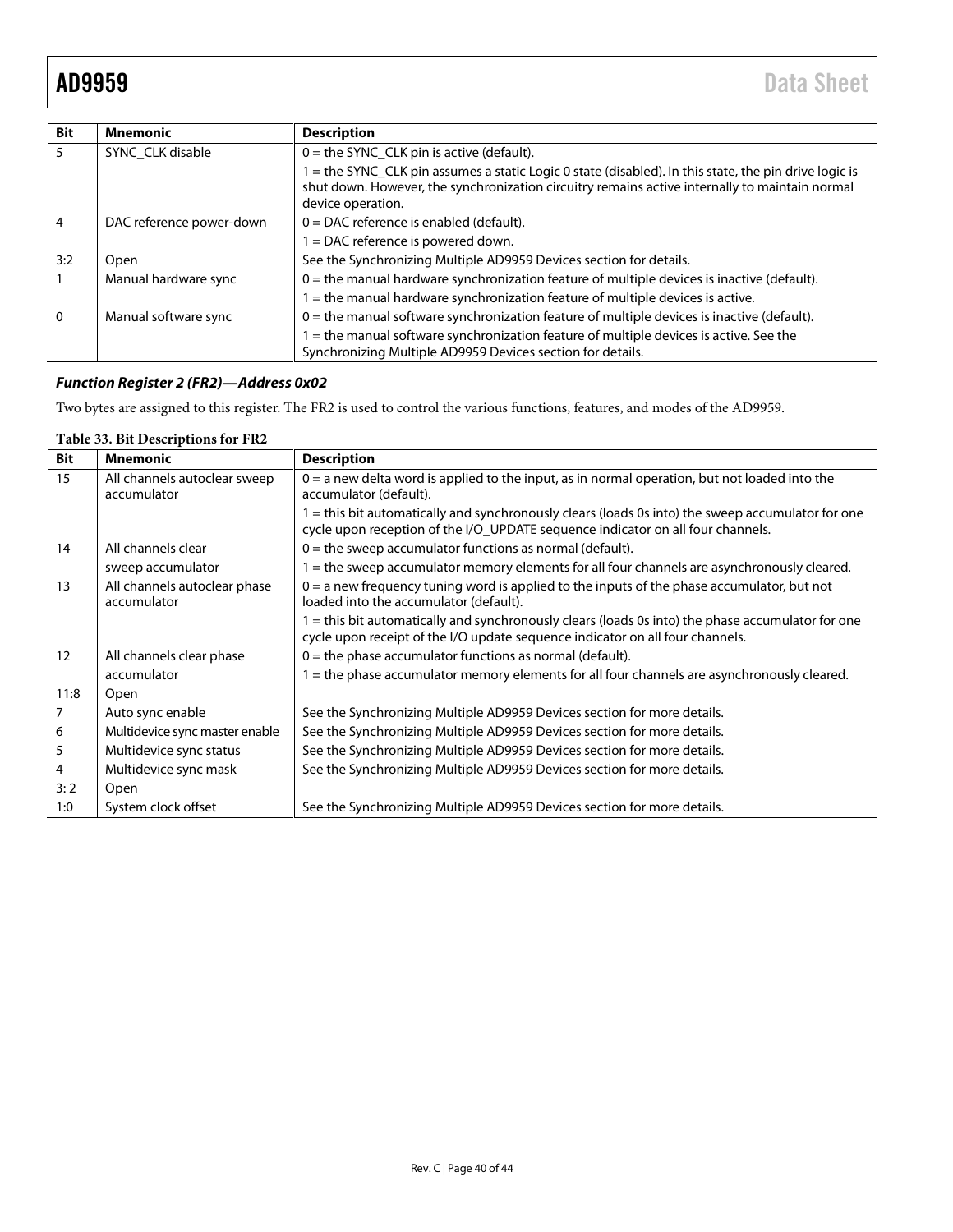| <b>Bit</b>     | <b>Mnemonic</b>          | <b>Description</b>                                                                                                                                                                                                           |  |
|----------------|--------------------------|------------------------------------------------------------------------------------------------------------------------------------------------------------------------------------------------------------------------------|--|
| 5              | SYNC CLK disable         | $0 =$ the SYNC_CLK pin is active (default).                                                                                                                                                                                  |  |
|                |                          | 1 = the SYNC_CLK pin assumes a static Logic 0 state (disabled). In this state, the pin drive logic is<br>shut down. However, the synchronization circuitry remains active internally to maintain normal<br>device operation. |  |
| $\overline{4}$ | DAC reference power-down | $0 = DAC$ reference is enabled (default).                                                                                                                                                                                    |  |
|                |                          | 1 = DAC reference is powered down.                                                                                                                                                                                           |  |
| 3:2            | Open                     | See the Synchronizing Multiple AD9959 Devices section for details.                                                                                                                                                           |  |
|                | Manual hardware sync     | $0$ = the manual hardware synchronization feature of multiple devices is inactive (default).                                                                                                                                 |  |
|                |                          | 1 = the manual hardware synchronization feature of multiple devices is active.                                                                                                                                               |  |
| $\Omega$       | Manual software sync     | $0$ = the manual software synchronization feature of multiple devices is inactive (default).                                                                                                                                 |  |
|                |                          | 1 = the manual software synchronization feature of multiple devices is active. See the<br>Synchronizing Multiple AD9959 Devices section for details.                                                                         |  |

# *Function Register 2 (FR2)—Address 0x02*

Two bytes are assigned to this register. The FR2 is used to control the various functions, features, and modes of the AD9959.

# **Table 33. Bit Descriptions for FR2**

| <b>Bit</b>        | <b>Mnemonic</b>                             | <b>Description</b>                                                                                                                                                                 |
|-------------------|---------------------------------------------|------------------------------------------------------------------------------------------------------------------------------------------------------------------------------------|
| 15                | All channels autoclear sweep<br>accumulator | $0 = a$ new delta word is applied to the input, as in normal operation, but not loaded into the<br>accumulator (default).                                                          |
|                   |                                             | = this bit automatically and synchronously clears (loads 0s into) the sweep accumulator for one<br>cycle upon reception of the I/O_UPDATE sequence indicator on all four channels. |
| 14                | All channels clear                          | $0 =$ the sweep accumulator functions as normal (default).                                                                                                                         |
|                   | sweep accumulator                           | = the sweep accumulator memory elements for all four channels are asynchronously cleared.                                                                                          |
| 13                | All channels autoclear phase<br>accumulator | $0 = a$ new frequency tuning word is applied to the inputs of the phase accumulator, but not<br>loaded into the accumulator (default).                                             |
|                   |                                             | = this bit automatically and synchronously clears (loads 0s into) the phase accumulator for one<br>cycle upon receipt of the I/O update sequence indicator on all four channels.   |
| $12 \overline{ }$ | All channels clear phase                    | $0 =$ the phase accumulator functions as normal (default).                                                                                                                         |
|                   | accumulator                                 | $=$ the phase accumulator memory elements for all four channels are asynchronously cleared.                                                                                        |
| 11:8              | Open                                        |                                                                                                                                                                                    |
| 7                 | Auto sync enable                            | See the Synchronizing Multiple AD9959 Devices section for more details.                                                                                                            |
| 6                 | Multidevice sync master enable              | See the Synchronizing Multiple AD9959 Devices section for more details.                                                                                                            |
| 5                 | Multidevice sync status                     | See the Synchronizing Multiple AD9959 Devices section for more details.                                                                                                            |
| 4                 | Multidevice sync mask                       | See the Synchronizing Multiple AD9959 Devices section for more details.                                                                                                            |
| 3:2               | Open                                        |                                                                                                                                                                                    |
| 1:0               | System clock offset                         | See the Synchronizing Multiple AD9959 Devices section for more details.                                                                                                            |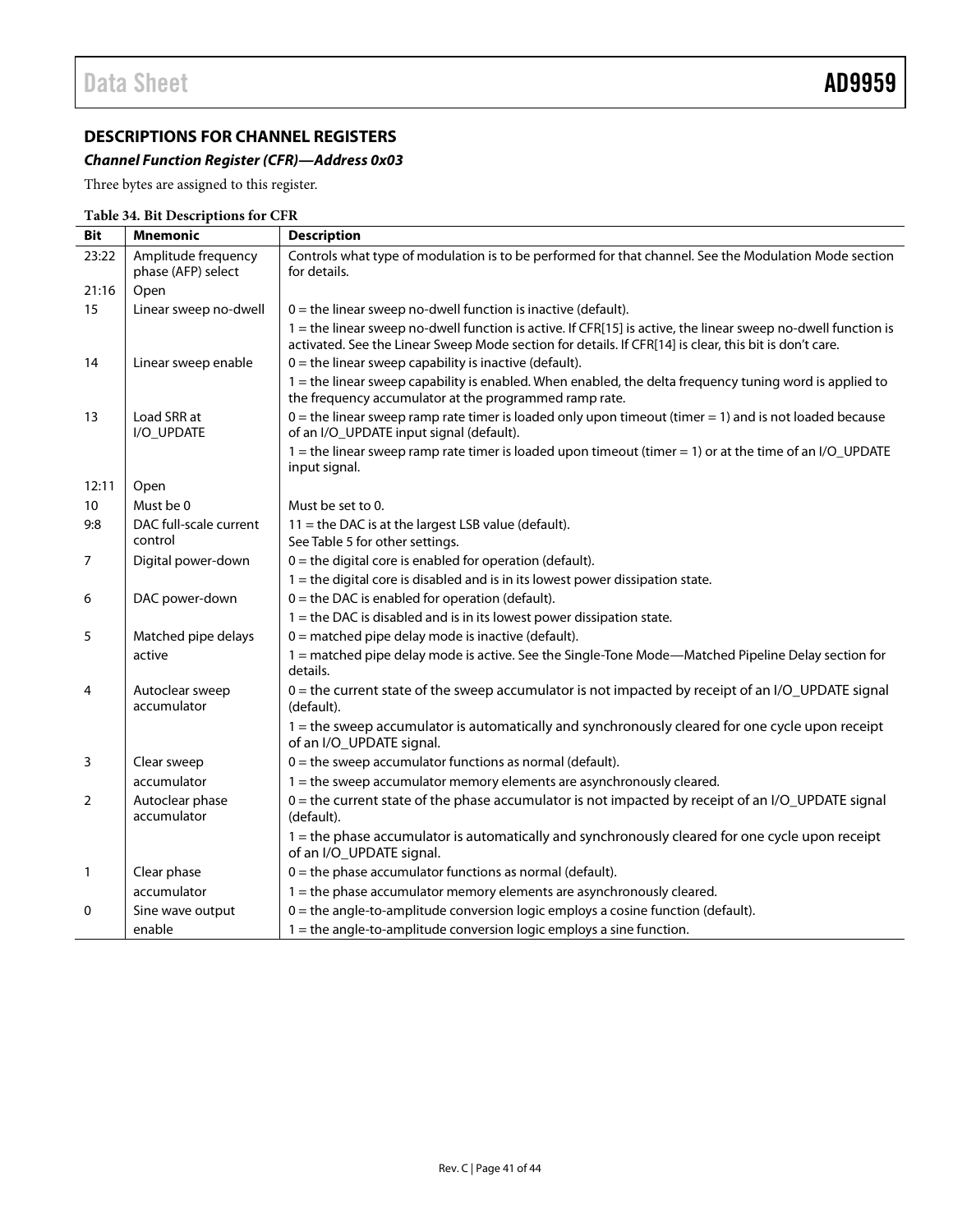# <span id="page-40-0"></span>**DESCRIPTIONS FOR CHANNEL REGISTERS**

# *Channel Function Register (CFR)—Address 0x03*

Three bytes are assigned to this register.

|                 | Table 54. Bit Descriptions for CFR |                                                                                                                                                                                                                         |  |  |
|-----------------|------------------------------------|-------------------------------------------------------------------------------------------------------------------------------------------------------------------------------------------------------------------------|--|--|
| <b>Bit</b>      | <b>Mnemonic</b>                    | <b>Description</b>                                                                                                                                                                                                      |  |  |
| 23:22           | Amplitude frequency                | Controls what type of modulation is to be performed for that channel. See the Modulation Mode section                                                                                                                   |  |  |
|                 | phase (AFP) select                 | for details.                                                                                                                                                                                                            |  |  |
| 21:16           | Open                               |                                                                                                                                                                                                                         |  |  |
| 15              | Linear sweep no-dwell              | $0 =$ the linear sweep no-dwell function is inactive (default).                                                                                                                                                         |  |  |
|                 |                                    | 1 = the linear sweep no-dwell function is active. If CFR[15] is active, the linear sweep no-dwell function is<br>activated. See the Linear Sweep Mode section for details. If CFR[14] is clear, this bit is don't care. |  |  |
| 14              | Linear sweep enable                | $0 =$ the linear sweep capability is inactive (default).                                                                                                                                                                |  |  |
|                 |                                    | 1 = the linear sweep capability is enabled. When enabled, the delta frequency tuning word is applied to<br>the frequency accumulator at the programmed ramp rate.                                                       |  |  |
| 13              | Load SRR at<br>I/O_UPDATE          | $0 =$ the linear sweep ramp rate timer is loaded only upon timeout (timer $= 1$ ) and is not loaded because<br>of an I/O_UPDATE input signal (default).                                                                 |  |  |
|                 |                                    | 1 = the linear sweep ramp rate timer is loaded upon timeout (timer = 1) or at the time of an $I/O$ _UPDATE<br>input signal.                                                                                             |  |  |
| 12:11           | Open                               |                                                                                                                                                                                                                         |  |  |
| 10 <sup>°</sup> | Must be 0                          | Must be set to 0.                                                                                                                                                                                                       |  |  |
| 9:8             | DAC full-scale current             | $11$ = the DAC is at the largest LSB value (default).                                                                                                                                                                   |  |  |
|                 | control                            | See Table 5 for other settings.                                                                                                                                                                                         |  |  |
| $\overline{7}$  | Digital power-down                 | $0 =$ the digital core is enabled for operation (default).                                                                                                                                                              |  |  |
|                 |                                    | $1$ = the digital core is disabled and is in its lowest power dissipation state.                                                                                                                                        |  |  |
| 6               | DAC power-down                     | $0 =$ the DAC is enabled for operation (default).                                                                                                                                                                       |  |  |
|                 |                                    | 1 = the DAC is disabled and is in its lowest power dissipation state.                                                                                                                                                   |  |  |
| 5               | Matched pipe delays                | 0 = matched pipe delay mode is inactive (default).                                                                                                                                                                      |  |  |
|                 | active                             | 1 = matched pipe delay mode is active. See the Single-Tone Mode—Matched Pipeline Delay section for<br>details.                                                                                                          |  |  |
| 4               | Autoclear sweep<br>accumulator     | 0 = the current state of the sweep accumulator is not impacted by receipt of an I/O_UPDATE signal<br>(default).                                                                                                         |  |  |
|                 |                                    | 1 = the sweep accumulator is automatically and synchronously cleared for one cycle upon receipt<br>of an I/O_UPDATE signal.                                                                                             |  |  |
| 3               | Clear sweep                        | $0 =$ the sweep accumulator functions as normal (default).                                                                                                                                                              |  |  |
|                 | accumulator                        | 1 = the sweep accumulator memory elements are asynchronously cleared.                                                                                                                                                   |  |  |
| 2               | Autoclear phase<br>accumulator     | 0 = the current state of the phase accumulator is not impacted by receipt of an I/O_UPDATE signal<br>(default).                                                                                                         |  |  |
|                 |                                    | 1 = the phase accumulator is automatically and synchronously cleared for one cycle upon receipt<br>of an I/O_UPDATE signal.                                                                                             |  |  |
| $\mathbf{1}$    | Clear phase                        | $0 =$ the phase accumulator functions as normal (default).                                                                                                                                                              |  |  |
|                 | accumulator                        | 1 = the phase accumulator memory elements are asynchronously cleared.                                                                                                                                                   |  |  |
| 0               | Sine wave output                   | $0 =$ the angle-to-amplitude conversion logic employs a cosine function (default).                                                                                                                                      |  |  |
|                 | enable                             | $1 =$ the angle-to-amplitude conversion logic employs a sine function.                                                                                                                                                  |  |  |

# **Table 34. Bit Descriptions for CFR**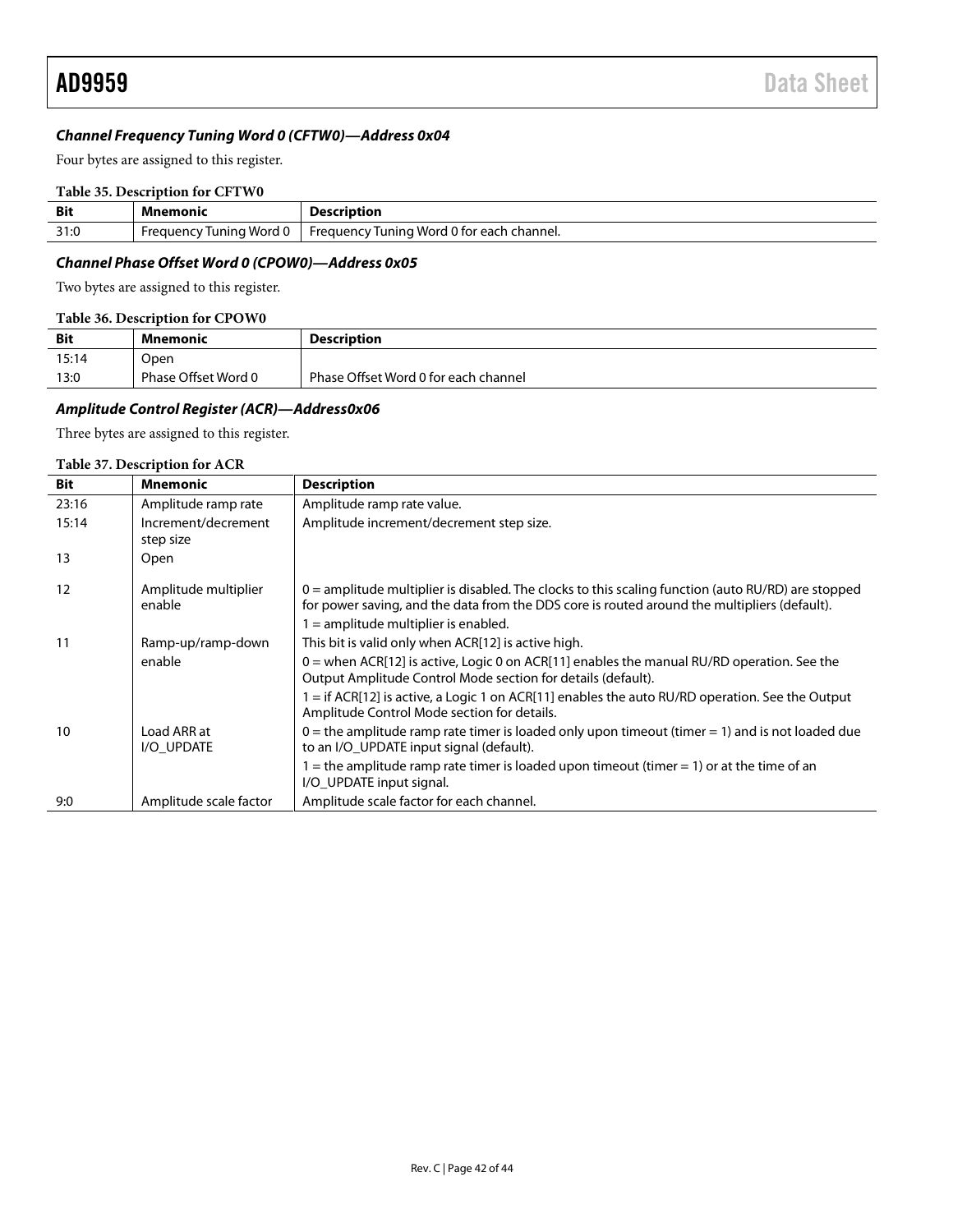#### *Channel Frequency Tuning Word 0 (CFTW0)—Address 0x04*

Four bytes are assigned to this register.

#### **Table 35. Description for CFTW0**

| <b>Bit</b> | Mnemonic                 | <b>Description</b>                                               |
|------------|--------------------------|------------------------------------------------------------------|
| 31:0       | Tuning Word<br>-reauenc\ | <b>Word</b><br>channel.<br>ำ t∩r<br>Frequency<br>unino<br>' each |

### *Channel Phase Offset Word 0 (CPOW0)—Address 0x05*

Two bytes are assigned to this register.

#### **Table 36. Description for CPOW0**

| <b>Bit</b> | Mnemonic            | <b>Description</b>                   |  |  |
|------------|---------------------|--------------------------------------|--|--|
| 15:14      | Open                |                                      |  |  |
| 13:0       | Phase Offset Word 0 | Phase Offset Word 0 for each channel |  |  |
|            |                     |                                      |  |  |

### *Amplitude Control Register (ACR)—Address0x06*

Three bytes are assigned to this register.

#### **Table 37. Description for ACR**

| Bit   | <b>Mnemonic</b>                  | <b>Description</b>                                                                                                                                                                                   |
|-------|----------------------------------|------------------------------------------------------------------------------------------------------------------------------------------------------------------------------------------------------|
| 23:16 | Amplitude ramp rate              | Amplitude ramp rate value.                                                                                                                                                                           |
| 15:14 | Increment/decrement<br>step size | Amplitude increment/decrement step size.                                                                                                                                                             |
| 13    | Open                             |                                                                                                                                                                                                      |
| 12    | Amplitude multiplier<br>enable   | $0 =$ amplitude multiplier is disabled. The clocks to this scaling function (auto RU/RD) are stopped<br>for power saving, and the data from the DDS core is routed around the multipliers (default). |
|       |                                  | 1 = amplitude multiplier is enabled.                                                                                                                                                                 |
| 11    | Ramp-up/ramp-down                | This bit is valid only when ACR[12] is active high.                                                                                                                                                  |
|       | enable                           | $0$ = when ACR[12] is active, Logic 0 on ACR[11] enables the manual RU/RD operation. See the<br>Output Amplitude Control Mode section for details (default).                                         |
|       |                                  | 1 = if ACR[12] is active, a Logic 1 on ACR[11] enables the auto RU/RD operation. See the Output<br>Amplitude Control Mode section for details.                                                       |
| 10    | Load ARR at<br>I/O UPDATE        | $0$ = the amplitude ramp rate timer is loaded only upon timeout (timer = 1) and is not loaded due<br>to an I/O_UPDATE input signal (default).                                                        |
|       |                                  | 1 = the amplitude ramp rate timer is loaded upon timeout (timer = 1) or at the time of an<br>I/O UPDATE input signal.                                                                                |
| 9:0   | Amplitude scale factor           | Amplitude scale factor for each channel.                                                                                                                                                             |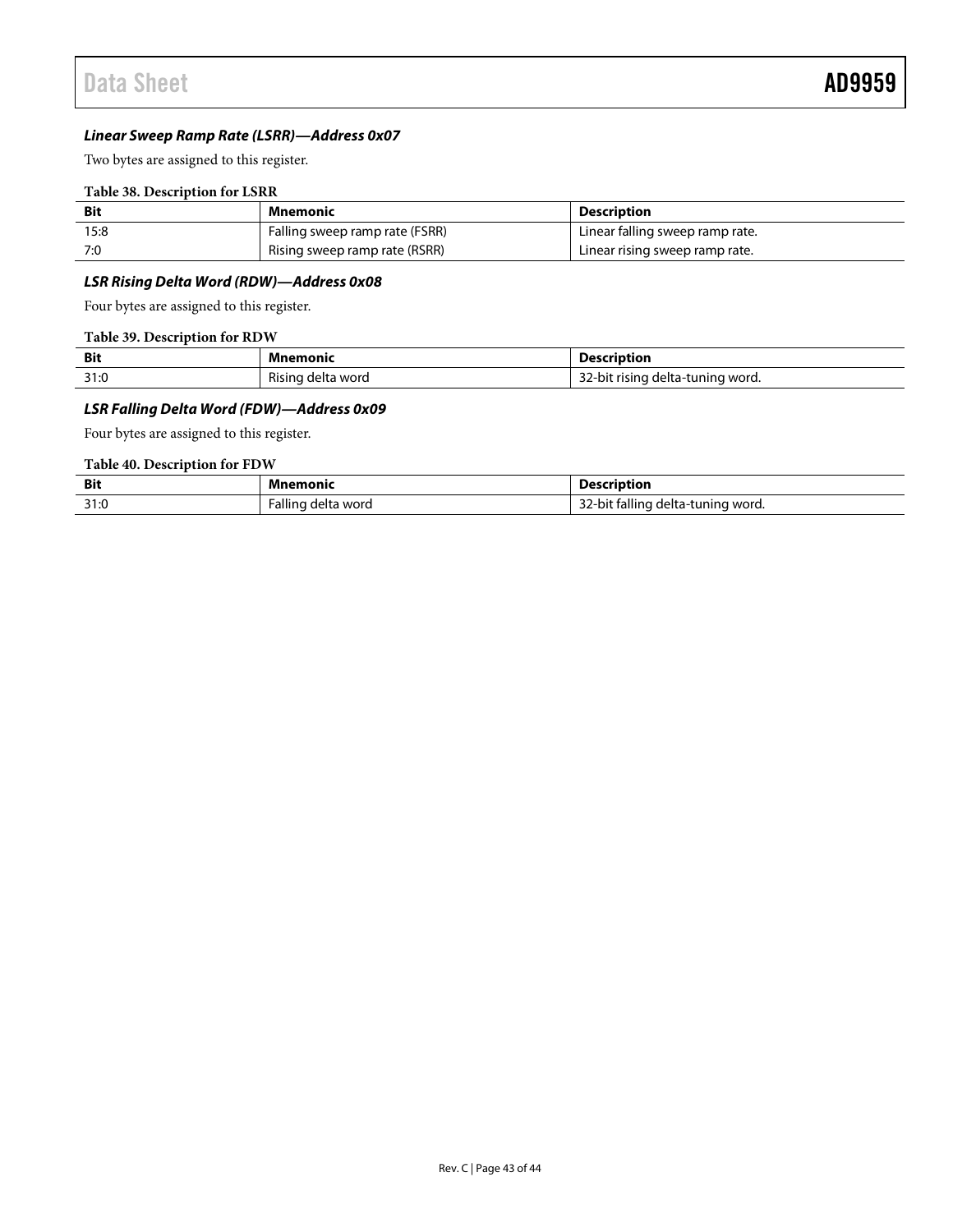#### *Linear Sweep Ramp Rate (LSRR)—Address 0x07*

Two bytes are assigned to this register.

#### **Table 38. Description for LSRR**

| Bit  | Mnemonic                       | <b>Description</b>              |
|------|--------------------------------|---------------------------------|
| 15:8 | Falling sweep ramp rate (FSRR) | Linear falling sweep ramp rate. |
| 7:0  | Rising sweep ramp rate (RSRR)  | Linear rising sweep ramp rate.  |

### *LSR Rising Delta Word (RDW)—Address 0x08*

Four bytes are assigned to this register.

#### **Table 39. Description for RDW**

| <b>Bit</b> | Mnemonic          | <b>Description</b>                         |
|------------|-------------------|--------------------------------------------|
| 31:0       | Rising delta word | $\sim$<br>32-bit rising delta-tuning word. |

### *LSR Falling Delta Word (FDW)—Address 0x09*

Four bytes are assigned to this register.

### **Table 40. Description for FDW**

| <b>Bit</b> | <b>Mnemonic</b>                                              | scription:                                                         |
|------------|--------------------------------------------------------------|--------------------------------------------------------------------|
| 31:0       | Falling<br>delta word<br>the contract of the contract of the | $\cdots$<br>--<br>. fallino<br>i delta-tuning word.<br>-bit<br>22٠ |